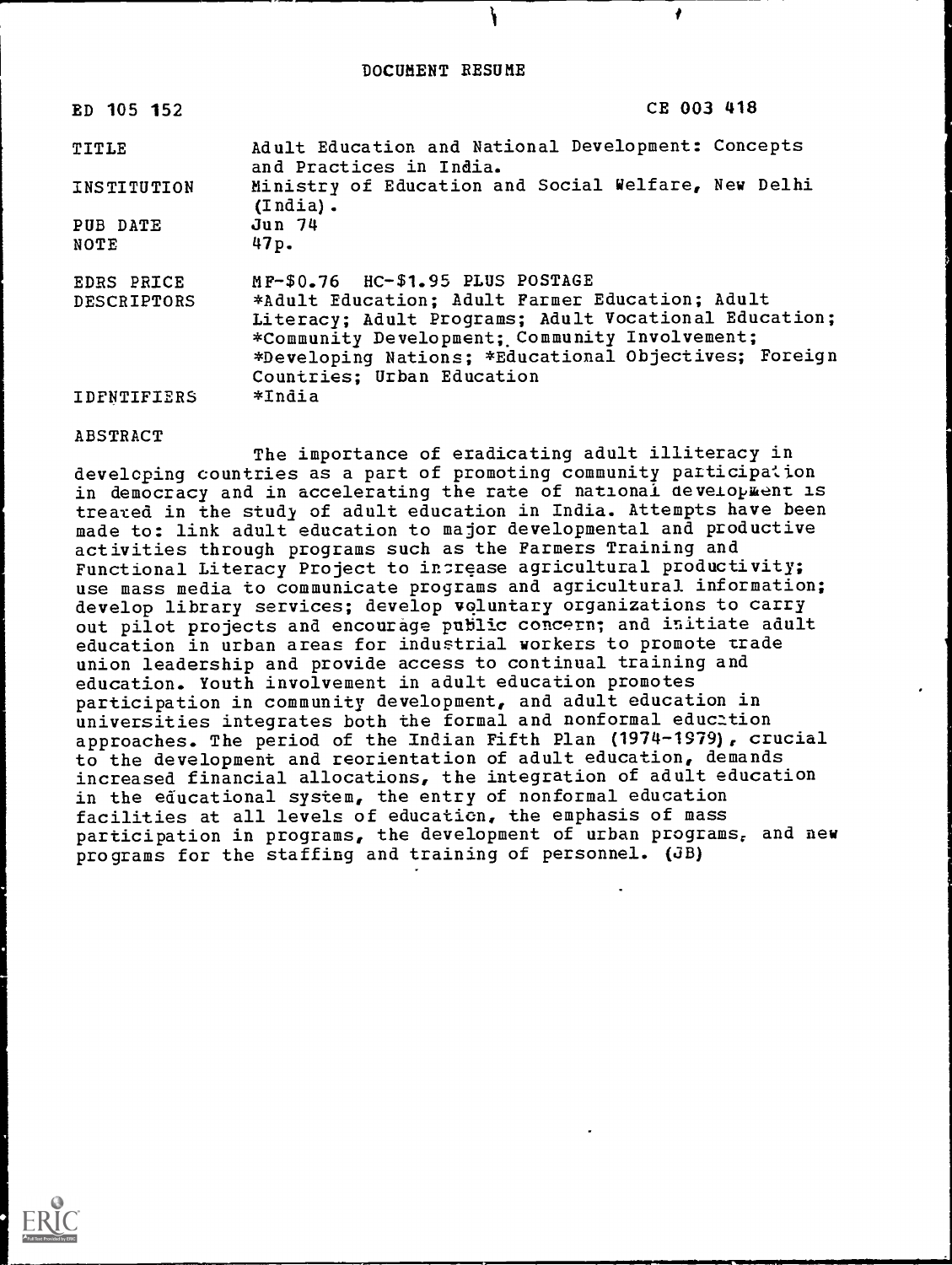$\mathbf{I}$  is a set of  $\mathbf{I}$ 

| ED 105 152                | CE 003 418                                                                                                                                                                                     |
|---------------------------|------------------------------------------------------------------------------------------------------------------------------------------------------------------------------------------------|
| TITLE                     | Adult Education and National Development: Concepts<br>and Practices in India.                                                                                                                  |
| INSTITUTION               | Ministry of Education and Social Welfare, New Delhi<br>$(India)$ .                                                                                                                             |
| PUB DATE                  | Jun 74                                                                                                                                                                                         |
| NOTE                      | 47p.                                                                                                                                                                                           |
| EDRS PRICE<br>DESCRIPTORS | MP-\$0.76 HC-\$1.95 PLUS POSTAGE<br>*Adult Education; Adult Parmer Education; Adult                                                                                                            |
|                           | Literacy; Adult Programs; Adult Vocational Education;<br>*Community Development; Community Involvement;<br>*Developing Nations; *Educational Objectives; Foreign<br>Countries; Urban Education |
| <b>IDFNTIFIERS</b>        | *India                                                                                                                                                                                         |

ABSTRACT

The importance of eradicating adult illiteracy in developing countries as a part of promoting community participa:ion in democracy and in accelerating the rate of national development is treated in the study of adult education in India. Attempts have been made to: link adult education to major developmental and productive activities through programs such as the Farmers Training and Functional Literacy Project to increase agricultural productivity; use mass media to communicate programs and agricultural information; develop library services; develop voluntary organizations to carry out pilot projects and encourage public concern; and initiate adult education in urban areas for industrial workers to promote trade union leadership and provide access to continual training and education. Youth involvement in adult education promotes participation in community development, and adult education in universities integrates both the formal and nonformal education approaches. The period of the Indian Fifth Plan (1974-1979), crucial to the development and reorientation of adult education, demands increased financial allocations, the integration of adult education in the educational system, the entry of nonformal education facilities at all levels of education, the emphasis of mass participation in programs, the development of urban programs, and new programs for the staffing and training of personnel. (JB)

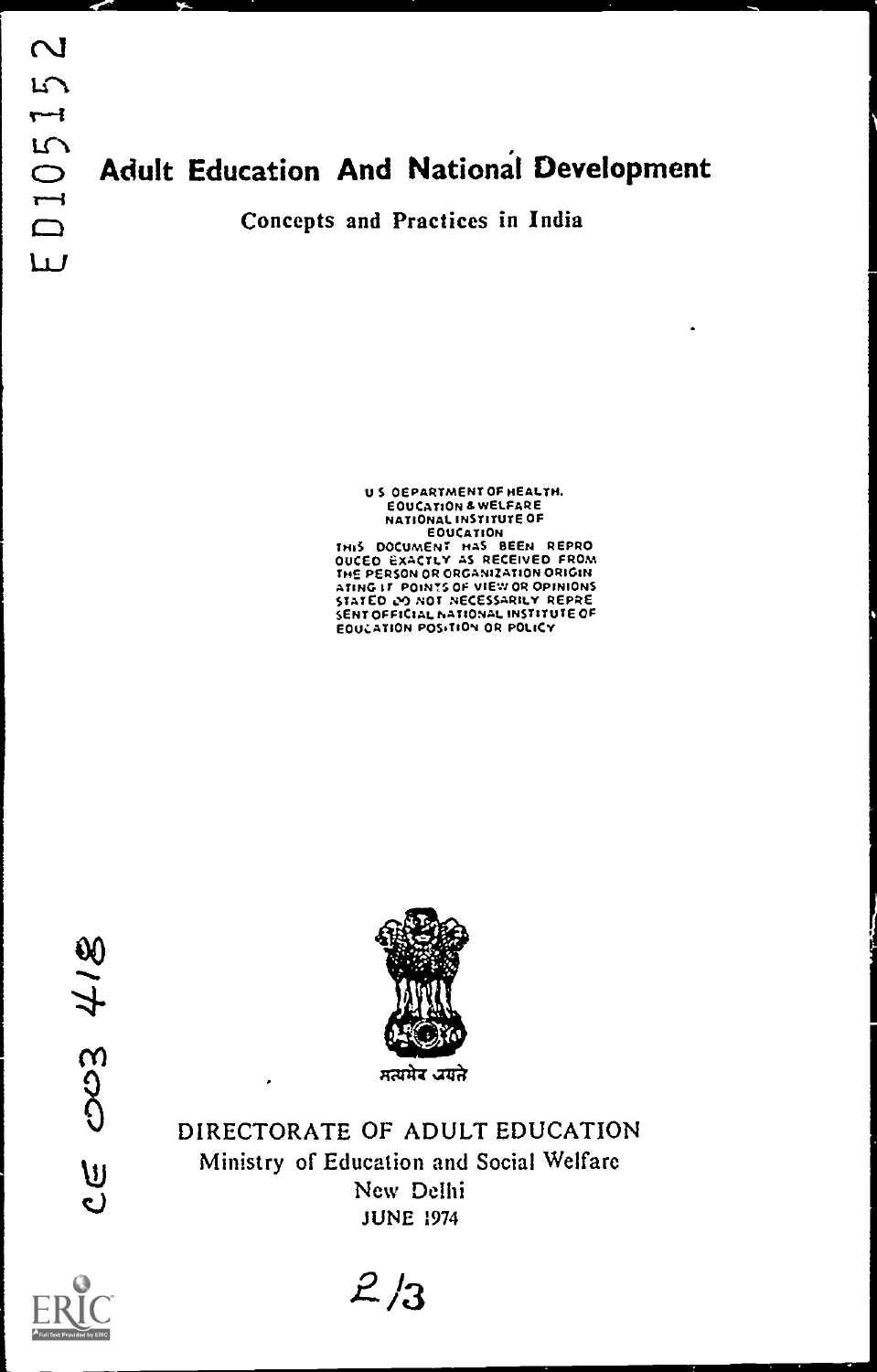# LM<br>
Adult Education And National Development<br>
Concepts and Practices in India

#### U S OEPARTMENT OF HEALTH. E OU CATION & WELFAR E NATIONAL INSTITUTE OF EOUCATION COUCATION<br>THIS DOCUMENT HAS BEEN REPRO<br>OUCED EXACTLY AS RECEIVED FROM<br>THE PERSON OR ORGANIZATION ORIGIN<br>ATING IT POINTS OF VIEW OR OPINIONS STATED 00 NOT NECESSARILY REPRE SENT OFFICIAL NATIONAL INSTITUTE OF EOUCATION POSITION OR POLICY

003418 <u>ပ</u>



DIRECTORATE OF ADULT EDUCATION Ministry of Education and Social Welfare New Delhi JUNE 1974



 $2/3$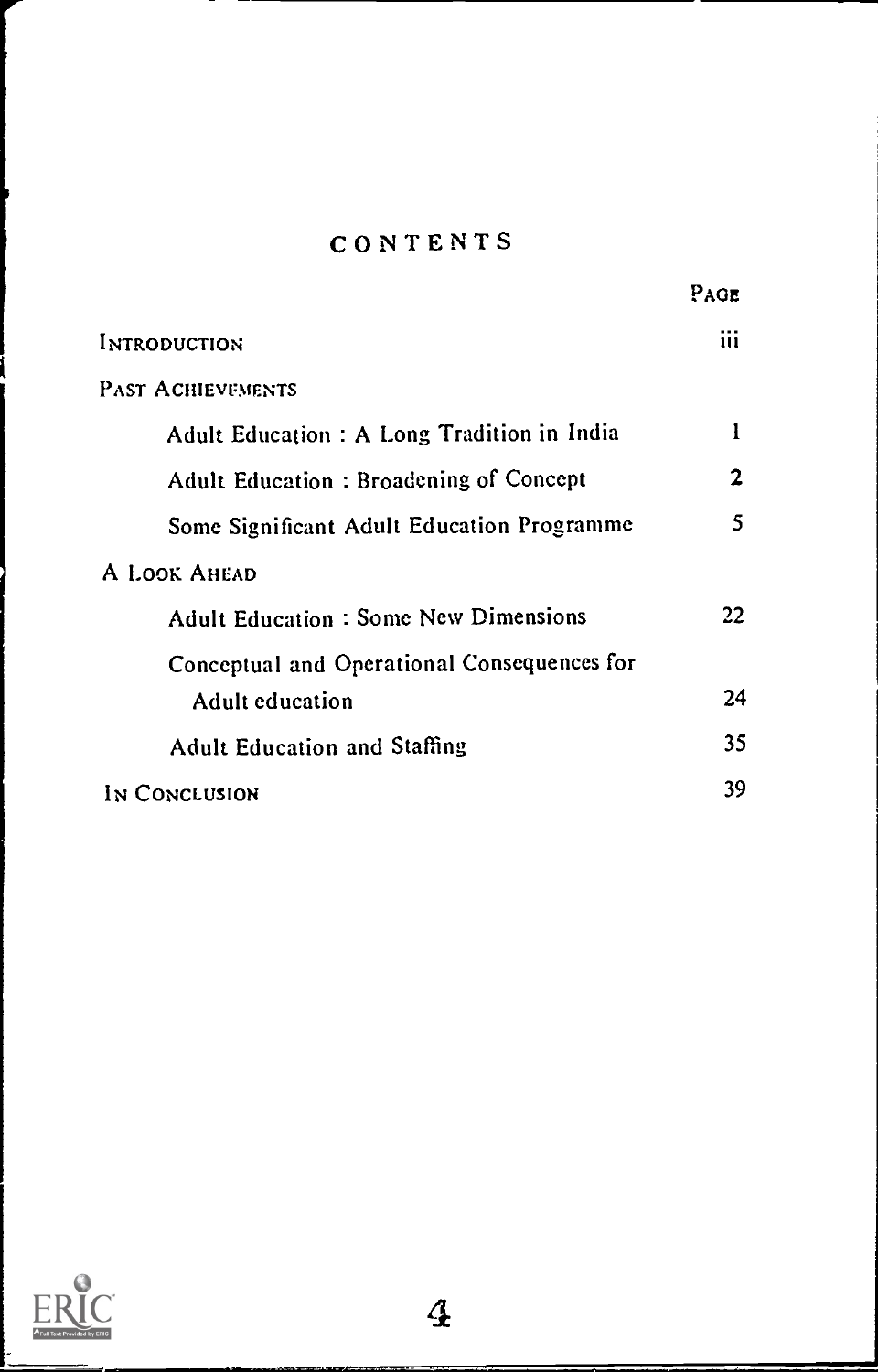# CONTENTS

|                                             | PAGE |  |
|---------------------------------------------|------|--|
| <b>INTRODUCTION</b>                         | iii  |  |
| <b>PAST ACHIEVEMENTS</b>                    |      |  |
| Adult Education : A Long Tradition in India | 1    |  |
| Adult Education: Broadening of Concept      | 2    |  |
| Some Significant Adult Education Programme  | 5    |  |
| A LOOK AHEAD                                |      |  |
| <b>Adult Education: Some New Dimensions</b> | 22   |  |
| Conceptual and Operational Consequences for |      |  |
| Adult education                             | 24   |  |
| <b>Adult Education and Staffing</b>         | 35   |  |
| IN CONCLUSION                               | 39   |  |

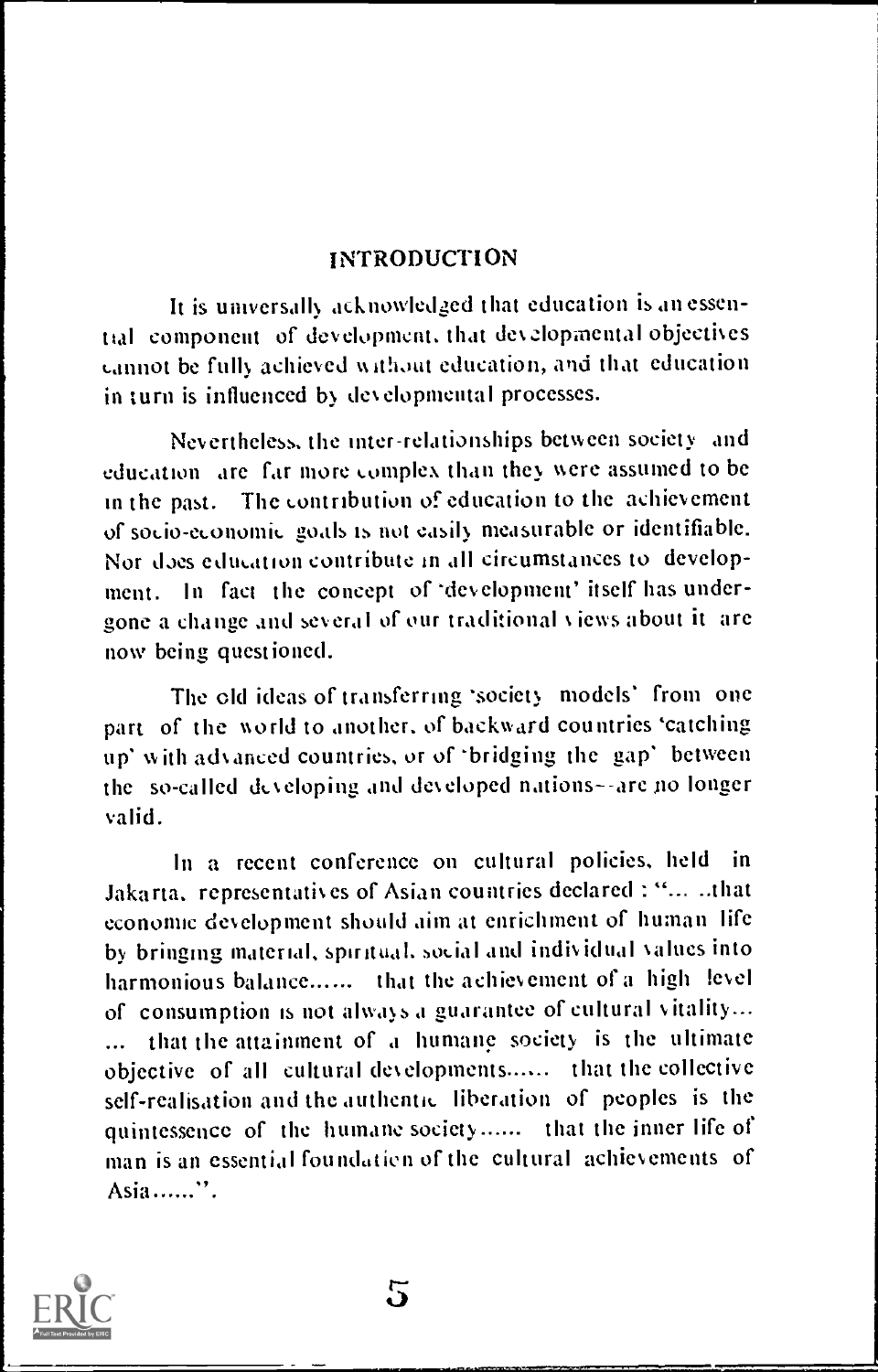# INTRODUCTION

It is universally acknowledged that education is an essential component of development. that dezlopmental objectives cannot be fully achieved without education, and that education in turn is influenced by developmental processes.

Nevertheless. the inter-relationships between society and education are far more complex than they were assumed to be in the past. The contribution of education to the achievement of socio-economic goals is not easily measurable or identifiable. Nor does education contribute in all circumstances to development. In fact the concept of 'development' itself has undergone a change and several of our traditional views about it are now being questioned.

The old ideas of transferring 'society models' from one part of the world to another, of backward countries 'catching up' with advanced countries, or of 'bridging the gap' between the so-called developing and developed nations--are no longer valid.

In a recent conference on cultural policies, held in Jakarta. representatives of Asian countries declared : "... -that economic development should aim at enrichment of human life by bringing material, spiritual. social and individual values into harmonious balance ...... that the achievement of a high level of consumption is not always a guarantee of cultural vitality... that the attainment of a humane society is the ultimate objective of all cultural developments...... that the collective self-realisation and the authentic liberation of peoples is the quintessence of the humane society...... that the inner life of man is an essential foundation of the cultural achievements of Asia......".

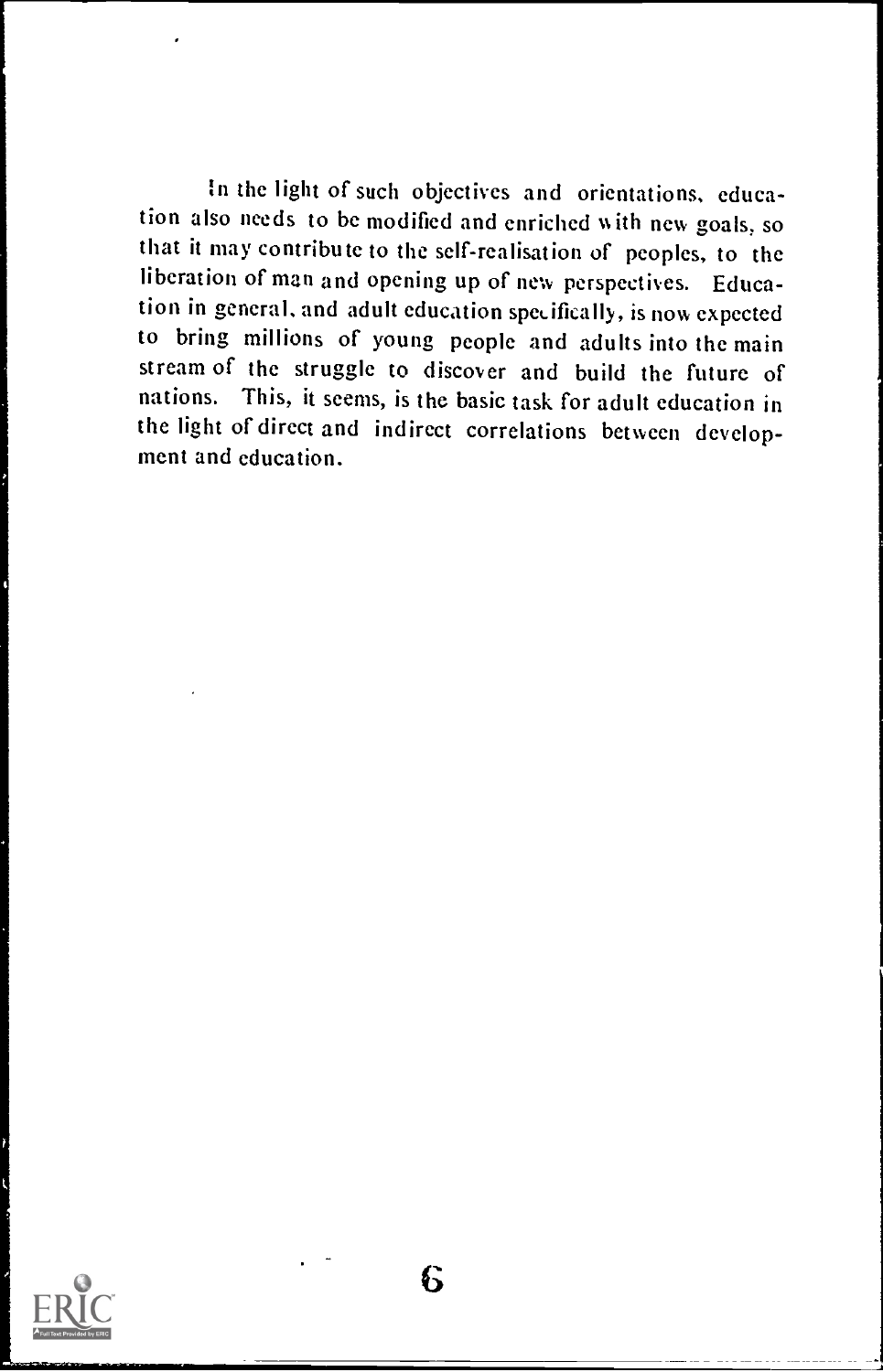In the light of such objectives and orientations, education also needs to be modified and enriched with new goals, so that it may contribute to the self-realisation of peoples, to the liberation of man and opening up of new perspectives. Education in general, and adult education specifically, is now expected to bring millions of young people and adults into the main stream of the struggle to discover and build the future of nations. This, it seems, is the basic task for adult education in the light of direct and indirect correlations between development and education.



t.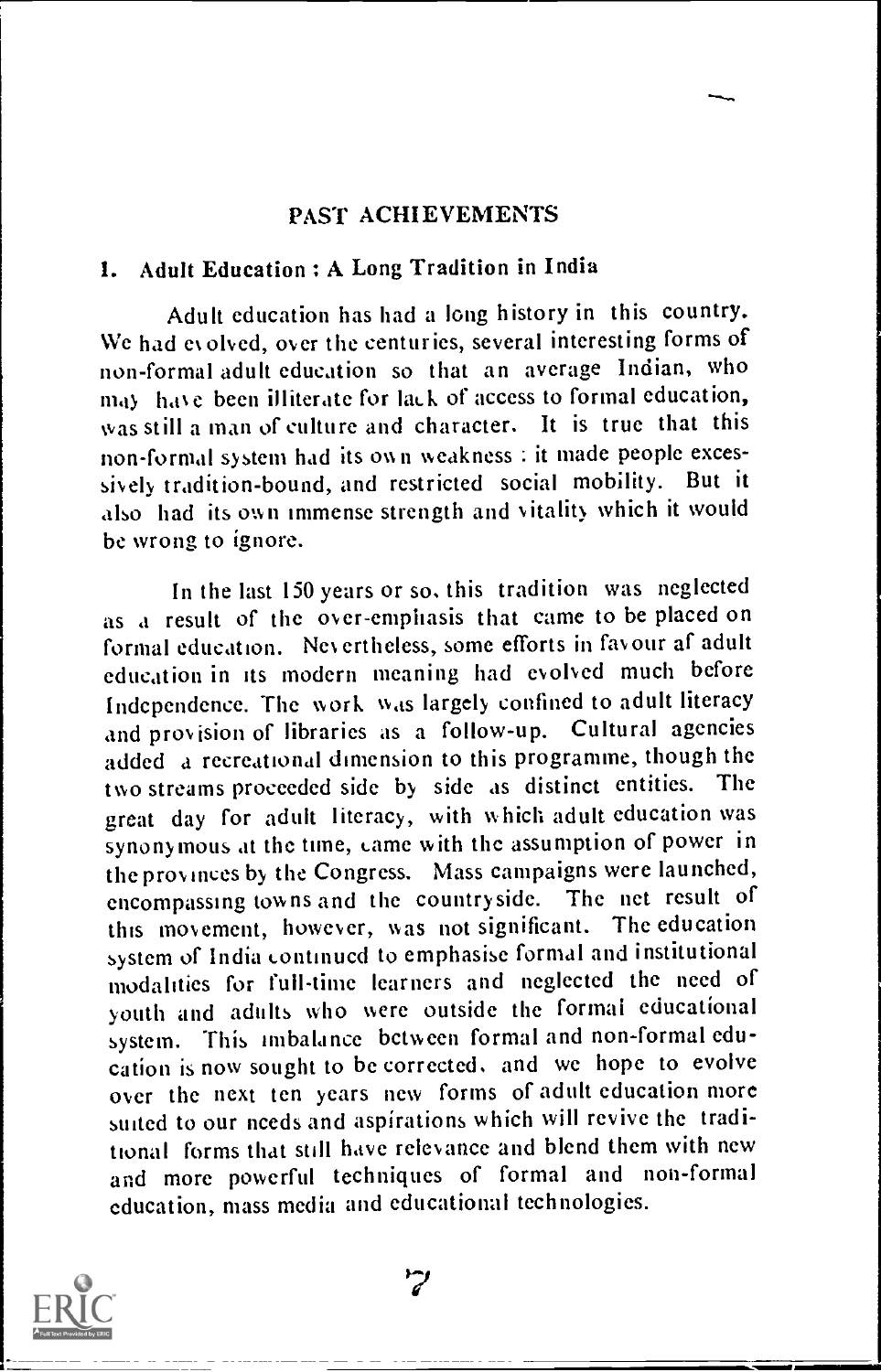#### PAST ACHIEVEMENTS

#### 1. Adult Education : A Long Tradition in India

Adult education has had a long history in this country. We had evolved, over the centuries, several interesting forms of non-formal adult education so that an average Indian, who may have been illiterate for lack of access to formal education, was still a man of culture and character. It is true that this non-formal system had its own weakness : it made people excessively tradition-bound, and restricted social mobility. But it also had its own immense strength and vitality which it would be wrong to ignore.

In the last 150 years or so. this tradition was neglected as a result of the over-emphasis that came to be placed on formal education. Nevertheless, some efforts in favour af adult education in its modern meaning had evolved much before Independence. The work was largely confined to adult literacy and provision of libraries as a follow-up. Cultural agencies added a recreational dimension to this programme, though the<br>this streams proceeded side, by side as distinct entities. The two streams proceeded side by side as distinct entities. great day for adult literacy, with which adult education was synonymous at the time, came with the assumption of power in the provinces by the Congress. Mass campaigns were launched, encompassing towns and the countryside. The net result of this movement, however, was not significant. The education this movement, however, was not significant. system of India continued to emphasise formal and institutional modalities for full-time learners and neglected the need of youth and adults who were outside the formai educational system. This imbalance bctween formal and non-formal education is now sought to be corrected. and we hope to evolve over the next ten years new forms of adult education more suited to our needs and aspirations which will revive the traditional forms that still have relevance and blend them with new and more powerful techniques of formal and non-formal education, mass media and educational technologies.



 $\mathcal{L}$ 

\ - 11Mnii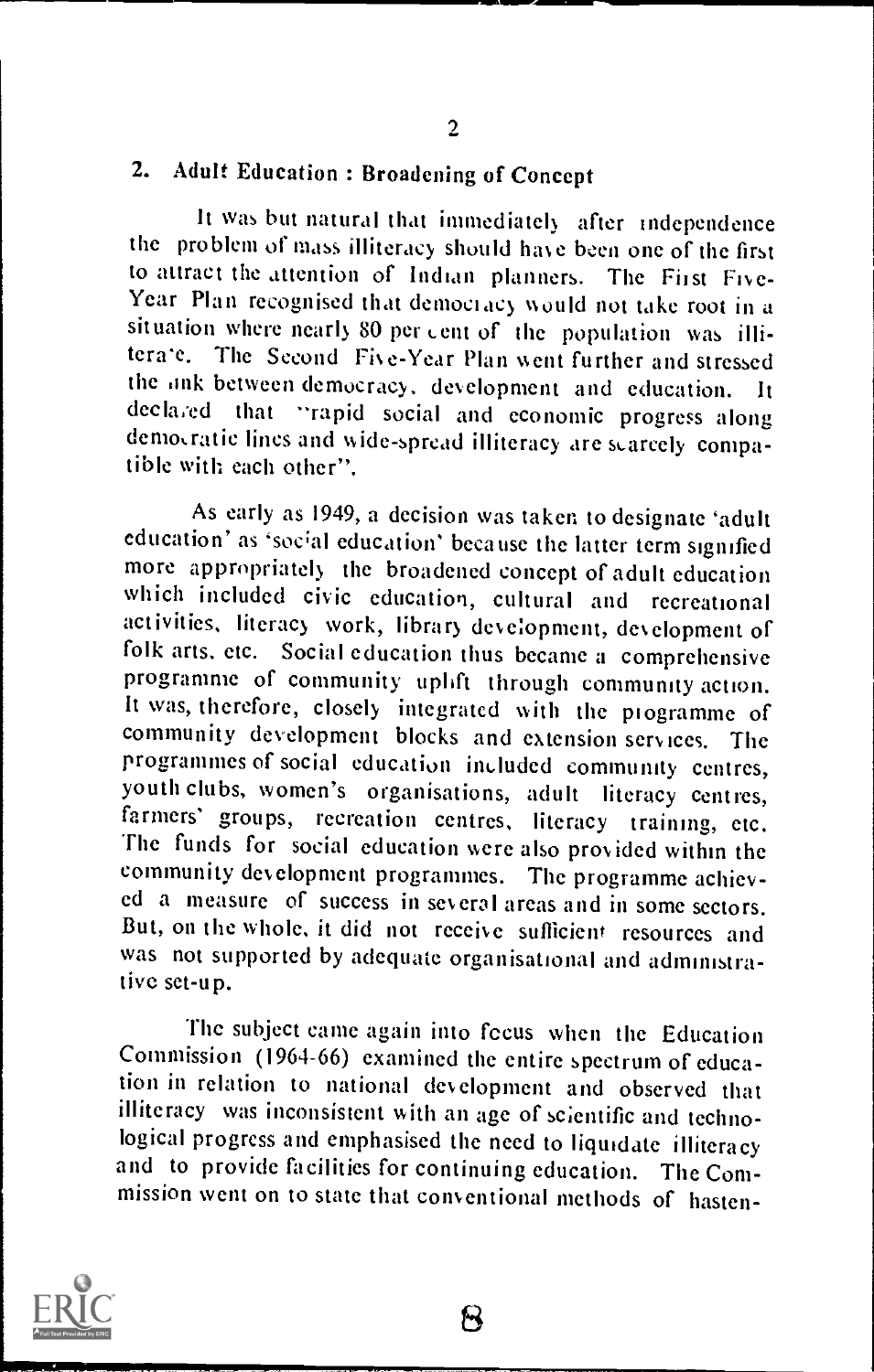# 2. Adult Education : Broadening of Concept

It was but natural that immediately after independence the problem of mass illiteracy should have been one of the first to attract the attention of Indian planners. The First Five-Year Plan recognised that democracy would not take root in a situation where nearly 80 per cent of the population was illitera'e. The Second Five-Year Plan went further and stressed the onk between democracy, development and education. It declared that "rapid social and economic progress along that "rapid social and economic progress along demo,ratic lines and wide-spread illiteracy are scarcely compatible with each other".

As early as 1949, a decision was taken to designate 'adult education' as 'social education' because the latter term signified more appropriately the broadened concept of adult education<br>which included civic education, cultural and recreational activities, literacy work, library development, development of folk arts, etc. Social education thus became a comprehensive programme of community uplift through community action. It was, therefore, closely integrated with the programme of community development blocks and extension services. The programmes of social education included community centres, youth clubs, women's organisations, adult literacy centres, farmers' groups, recreation centres, literacy training, etc.<br>The funds for social education were also provided within the community development programmes. The programme achieved a measure of success in several areas and in some sectors. But, on the whole, it did not receive sufficient resources and was not supported by adequate organisational and administrative set-up.

The subject came again into focus when the Education Commission (1964-66) examined the entire spectrum of education in relation to national development and observed that illiteracy was inconsistent with an age of scientific and technological progress and emphasised the need to liquidate illiteracy and to provide facilities for continuing education. The Commission went on to state that conventional methods of hasten-



R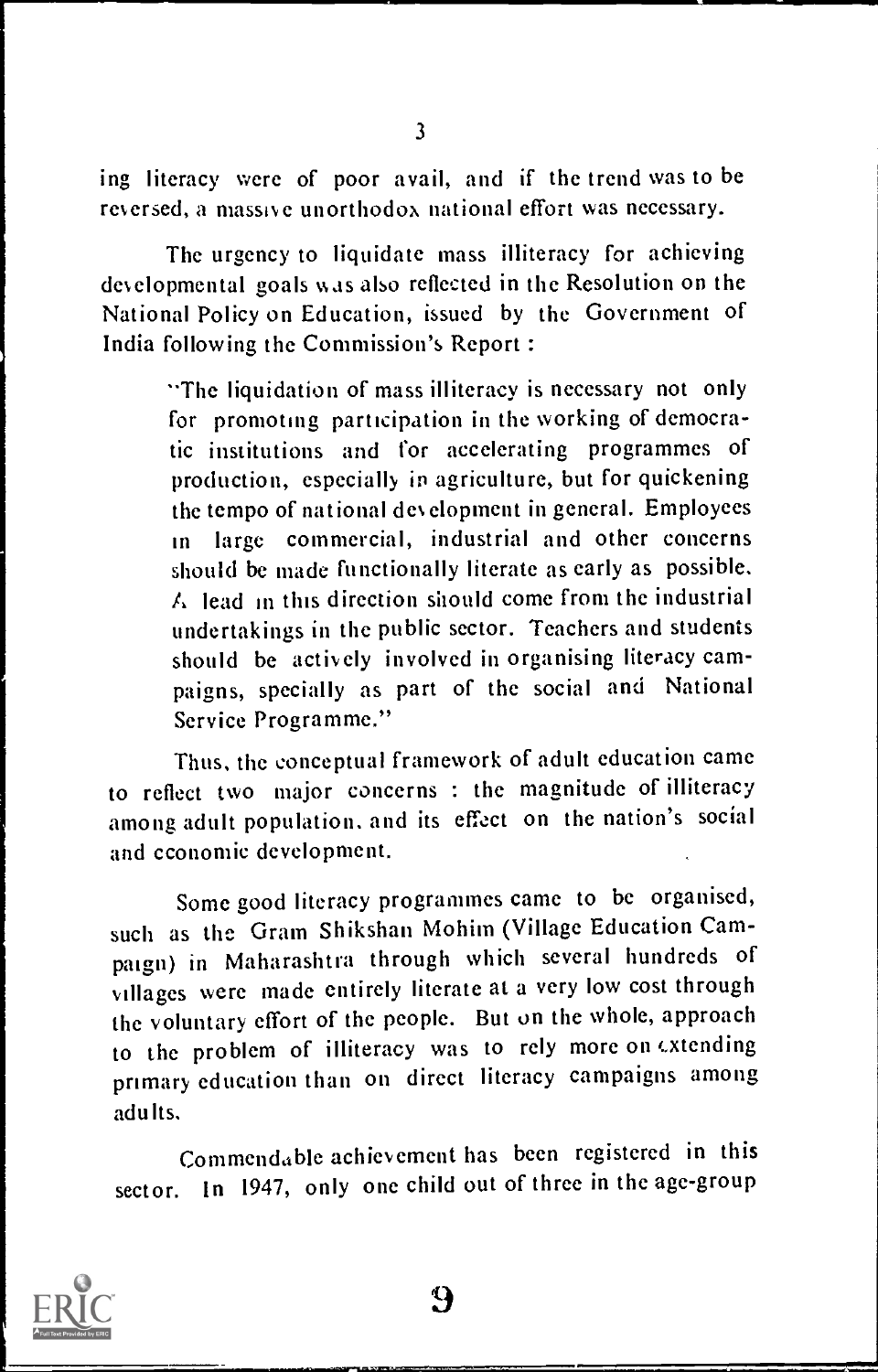ing literacy were of poor avail, and if the trend was to be reversed, a massive unorthodox national effort was necessary.

The urgency to liquidate mass illiteracy for achieving developmental goals was also reflected in the Resolution on the National Policy on Education, issued by the Government of India following the Commission's Report :

> "The liquidation of mass illiteracy is necessary not only for promoting participation in the working of democratic institutions and for accelerating programmes of production, especially in agriculture, but for quickening the tempo of national development in general. Employees in large commercial, industrial and other concerns should be made functionally literate as early as possible. A lead in this direction should come from the industrial undertakings in the public sector. Teachers and students should be actively involved in organising literacy campaigns, specially as part of the social and National Service Programme."

Thus. the conceptual framework of adult education came to reflect two major concerns : the magnitude of illiteracy among adult population. and its effect on the nation's social and economic. development.

Some good literacy programmes came to be organised, such as the Gram Shikshan Mohim (Village Education Campaign) in Maharashtra through which several hundreds of villages were made entirely literate at a very low cost through the voluntary effort of the people. But on the whole, approach to the problem of illiteracy was to rely more on extending primary education than on direct literacy campaigns among adults.

Commendable achievement has been registered in this sector. In 1947, only one child out of three in the age-group

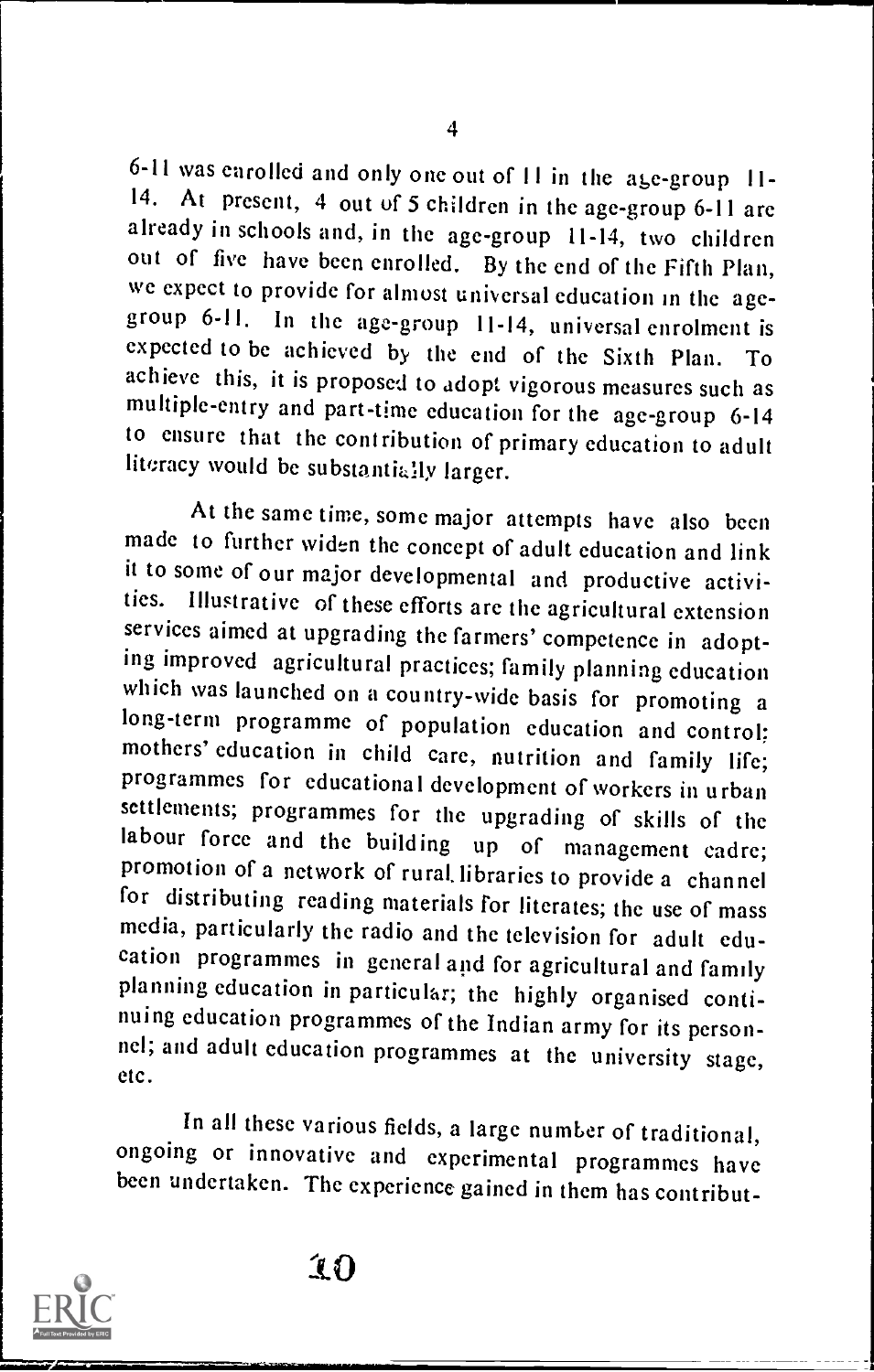6-11 was earolled and only one out of  $11$  in the age-group 11-<br>14. At present, 4 out of 5 children in the age-group 6-11 are already in schools and, in the age-group 11-14, two children out of five have been enrolled. By the end of the Fifth Plan, we expect to provide for almost universal education in the agegroup 6-11. In the age-group 11-14, universal enrolment is expected to be achieved by the end of the Sixth Plan. To achieve this, it is proposed to adopt vigorous measures such as multiple-entry and part-time education for the age-group 6-14 to ensure that the contribution of primary education to adult literacy would be substantially larger.

At the same time, some major attempts have also been made to further widen the concept of adult education and link it to some of our major developmental and productive activities. Illustrative of these efforts are the agricultural extension services aimed at upgrading the farmers' competence in adopt-<br>ing improved agricultural practices; family planning education which was launched on a country-wide basis for promoting a long-term programme of population education and control: mothers' education in child care, nutrition and family life; programmes for educational development of workers in urban settlements; programmes for the upgrading of skills of the<br>labour force and the building up of management cadre; promotion of a network of rural libraries to provide a channel<br>for distributing reading materials for literates; the use of mass media, particularly the radio and the television for adult education programmes in general and for agricultural and family<br>planning education in particular; the highly organised continuing education programmes of the Indian army for its person-<br>nel; and adult education programmes at the university stage, etc.

In all these various fields, a large number of traditional, ongoing or innovative and experimental programmes have been undertaken. The experience gained in them has contribut-

10



01111.11=1"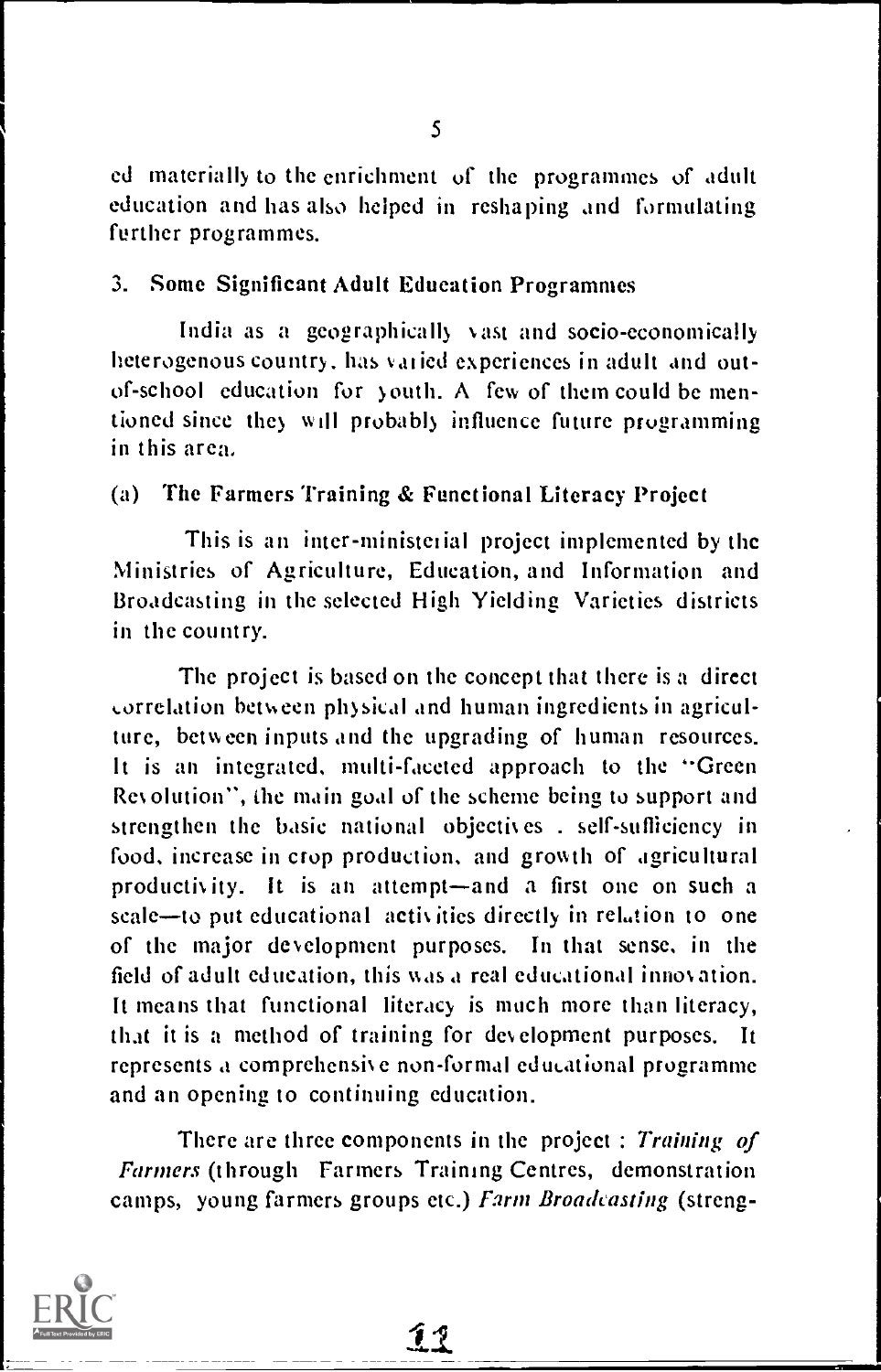ed materially to the enrichment of the programmes of adult education and has also helped in reshaping and formulating further programmes.

#### 3. Some Significant Adult Education Programmes

India as a geographically vast and socio-economically heterogenous country. has vai ied experiences in adult and outof-school education for youth. A few of them could be mentioned since they will probably influence future programming in this area,

## (a) The Farmers Training & Functional Literacy Project

This is an inter-ministerial project implemented by the Ministries of Agriculture, Education, and Information and Broadcasting in the selected High Yielding Varieties districts in the country.

The project is based on the concept that there is a direct orrclation bet%,een physical and human ingredients in agriculture, between inputs and the upgrading of human resources. It is an integrated, multi-faceted approach to the "Green Revolution", the main goal of the scheme being to support and strengthen the basic national objectives . self-sufficiency in food, increase in crop production, and growth of agricultural productivity. It is an attempt—and a first one on such a scale-to put educational activities directly in relation to one of the major development purposes. In that sense, in the field of adult education, this was a real educational innovation. It means that functional literacy is much more than literacy, that it is a method of training for development purposes. It represents a comprehensive non-formal educational programme and an opening to continuing education.

There are three components in the project : Training of Farmers (through Farmers Training Centres, demonstration camps, young farmers groups etc.) Farm Broadcasting (streng-

<u>11</u>

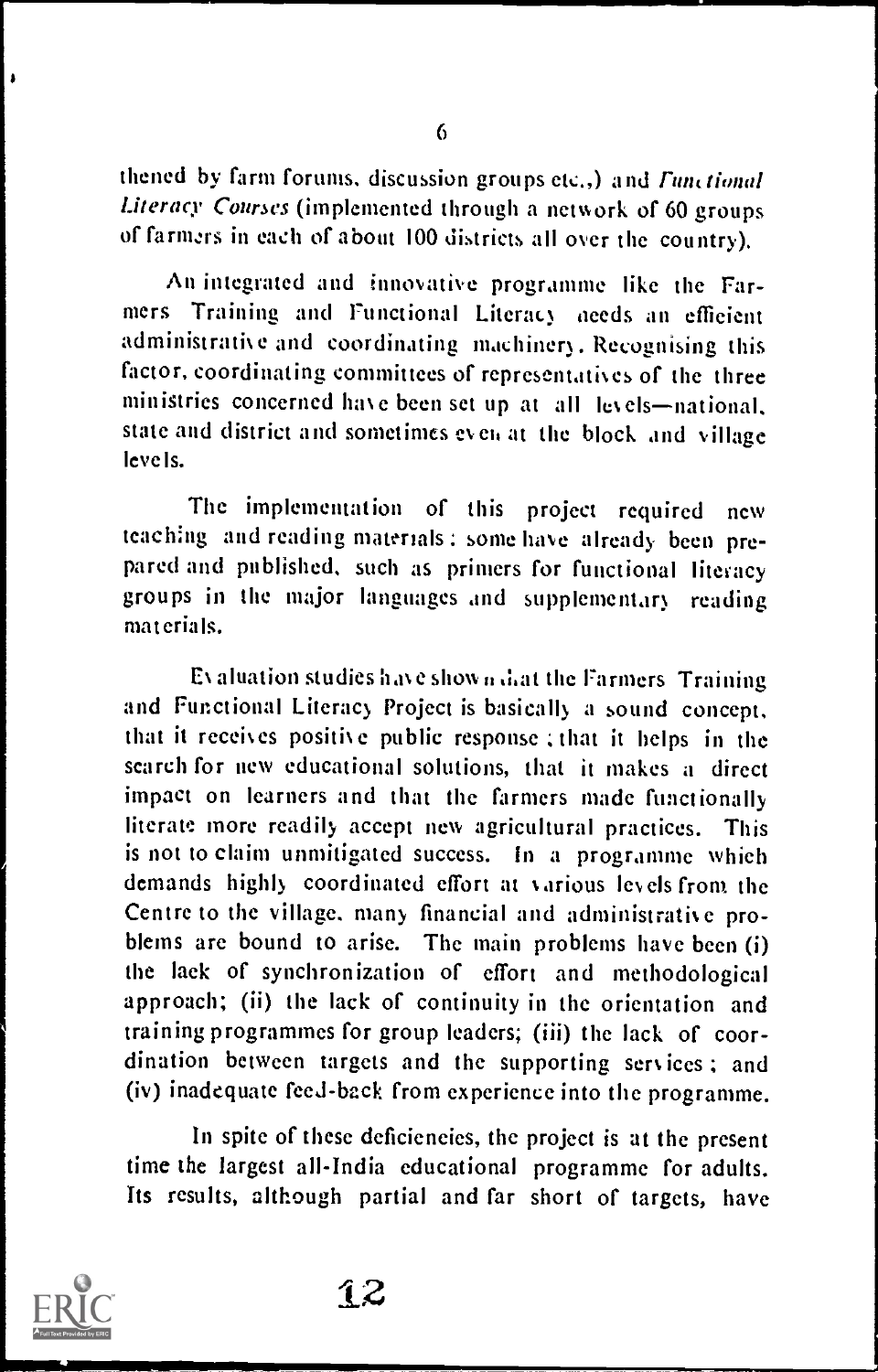thened by farm forums, discussion groups etc.,) and *Functional* Literacy Courses (implemented through a network of 60 groups of farmzrs in each of about 100 districts all over the country).

An integrated and innovative programme like the Farmers Training and Functional Literacy needs an efficient administrative and coordinating machinery. Recognising this factor, coordinating committees of representatives of the three ministries concerned have been set up at all levels-national, state and district and sometimes even at the block and village leve Is.

The implementation of this project required new teaching and reading materials ; some have already been prepared and published, such as primers for functional literacy groups in the major languages and supplementary reading materials.

Evaluation studies have shown diat the Farmers Training and Functional Literacy Project is basically a sound concept, that it receives positive public response ; that it helps in the search for new educational solutions, that it makes a direct impact on learners and that the farmers made functionally literate more readily accept new agricultural practices. This is not to claim unmitigated success. In a programme which demands highly coordinated effort at various levels from the Centre to the village, many financial and administrative problems are bound to arise. The main problems have been (i) the lack of synchronization of effort and methodological approach; (ii) the lack of continuity in the orientation and training programmes for group leaders; (iii) the lack of coordination between targets and the supporting services ; and (iv) inadequate feed-back from experience into the programme.

In spite of these deficiencies, the project is at the present time the largest all-India educational programme for adults. Its results, although partial and far short of targets, have



 $\bullet$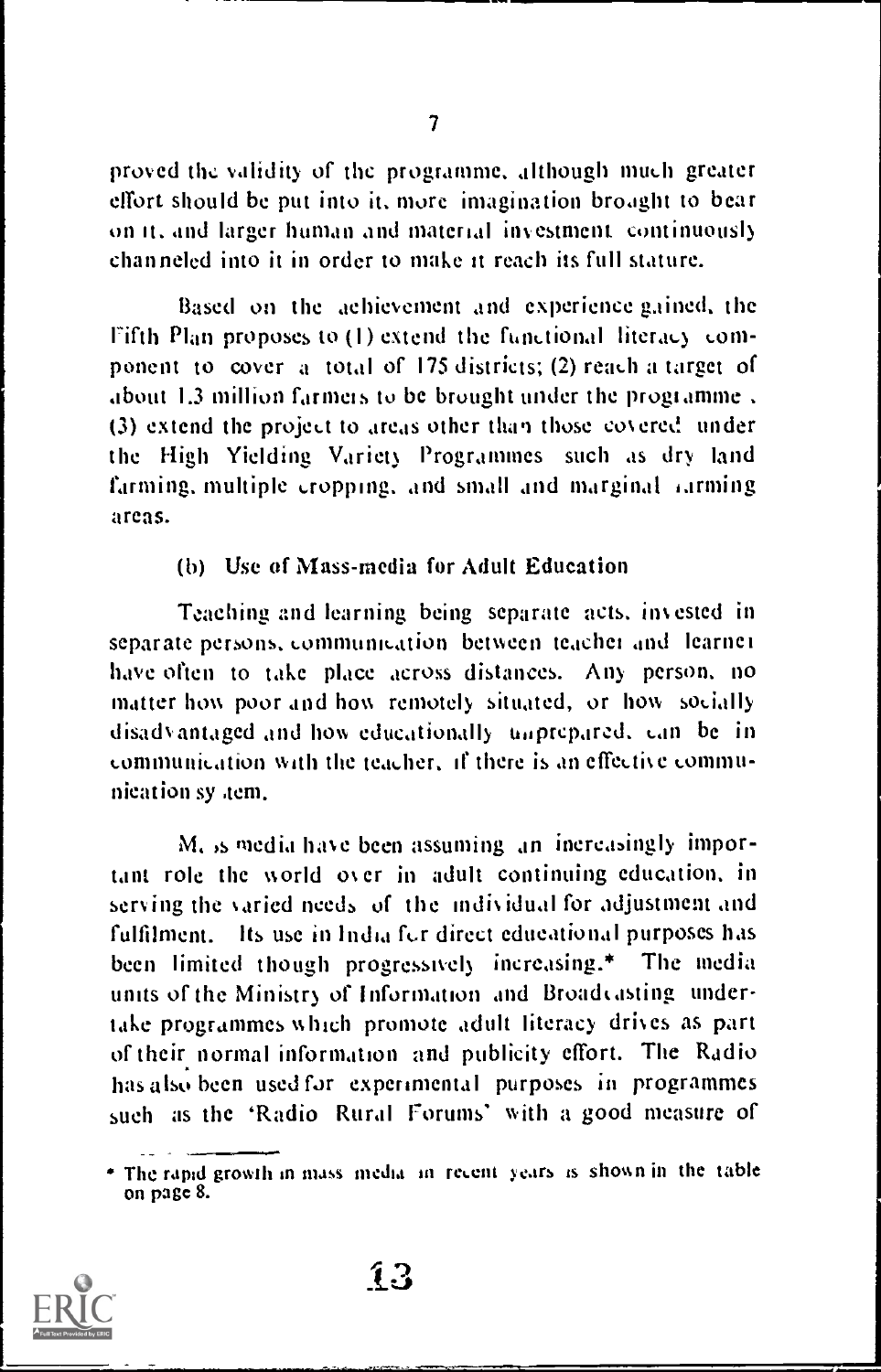proved the validity of the programme, although much greater effort should be put into it. more imagination brought to bear on it, and larger human and material investment continuously channeled into it in order to make it reach its full stature.

Based on the achievement and experience gained, the Fifth Plan proposes to  $(1)$  extend the functional literacy component to cover a total of 175 districts; (2) reach a target of about 1.3 million farmeis to be brought under the programme (3) extend the project to areas other than those covered under the High Yielding Variety Programmes such as dry land farming, multiple cropping. and small and marginal iarming areas.

#### (b) Use of Mass-media for Adult Education

Teaching and learning being separate acts. invested in separate persons, communication between teacher and learner have often to take place across distances. Any person. no matter how poor and how remotely situated, or how socially disadvantaged and how educationally tiaprepared. an be in 4.0MIninkaltion with the teacher, if there is an effective communication sy *tem*.

M, is media have been assuming an increasingly important role the world over in adult continuing education. in serving the varied needs of the individual for adjustment and fulfilment. Its use in India for direct educational purposes has been limited though progressively increasing.\* The media units of the Ministry of Information and Broadvasting undertake programmes which promote adult literacy drives as part of their normal information and publicity effort. The Radio has also been used for experimental purposes in programmes such as the 'Radio Rural Forums' with a good measure of

The rapid growth in mass media in recent years is shown in the table on page 8.



 $1<sup>3</sup>$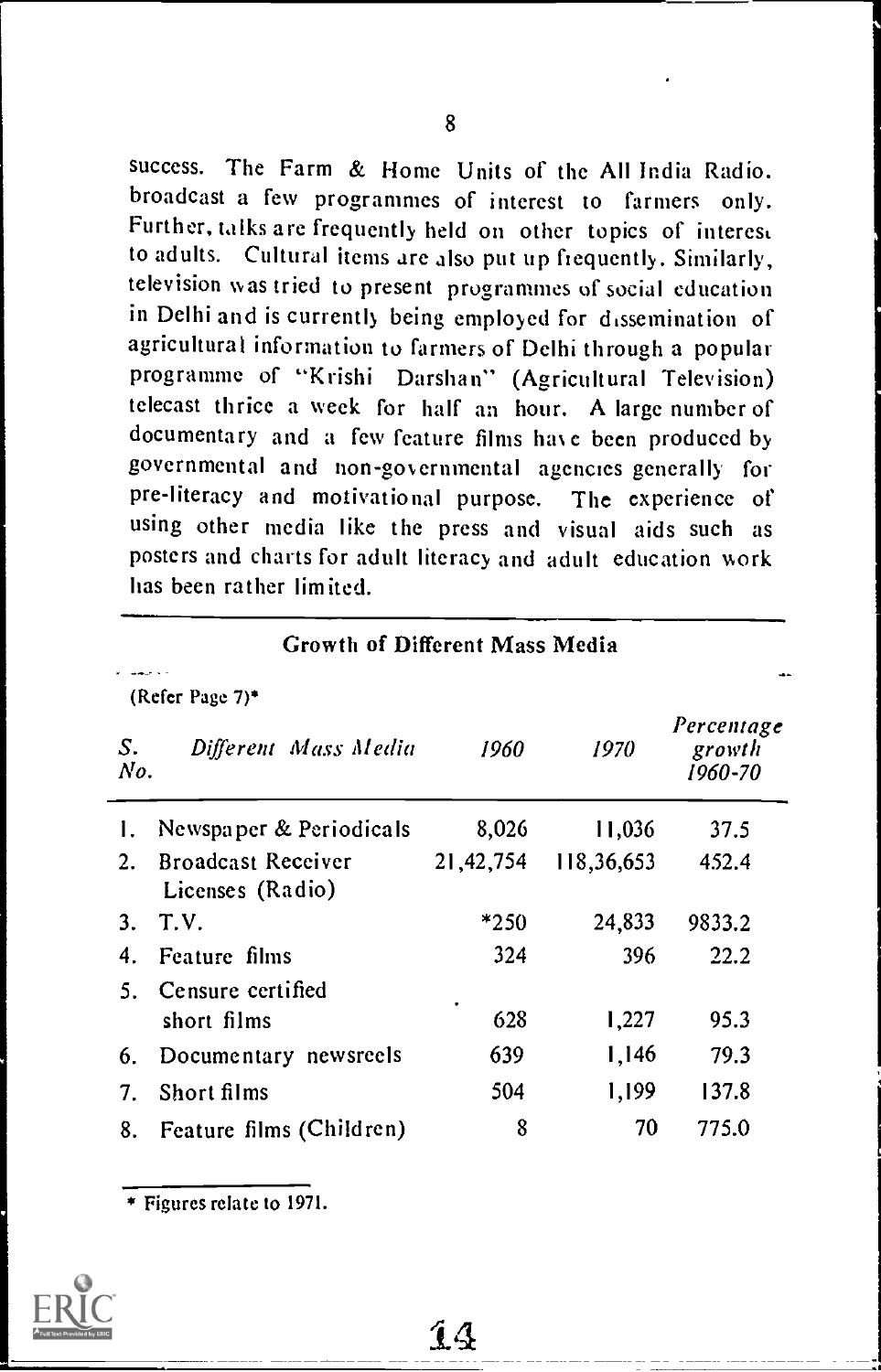success. The Farm & Home Units of the All India Radio. broadcast a few programmes of interest to farmers only. Further, talks are frequently held on other topics of interest to adults. Cultural items are also put up frequently. Similarly, television was tried to present programmes of social education in Delhi and is currently being employed for dissemination of agricultural information to farmers of Delhi through a popular programme of "Krishi Darshan" (Agricultural Television) telecast thrice a week for half an hour. A large number of documentary and a few feature films have been produced by governmental and non-governmental agencies generally for pre-literacy and motivational purpose. The experience of using other media like the press and visual aids such as posters and charts for adult literacy and adult education work has been rather limited.

|                | Growth of Different Mass Media                |           |            |                                 |  |  |  |  |
|----------------|-----------------------------------------------|-----------|------------|---------------------------------|--|--|--|--|
|                | (Refer Page 7)*                               |           |            |                                 |  |  |  |  |
| S.<br>No.      | Different Mass Media                          | 1960      | 1970       | Percentage<br>growth<br>1960-70 |  |  |  |  |
| 1.             | Newspaper & Periodicals                       | 8,026     | 11,036     | 37.5                            |  |  |  |  |
| 2.             | <b>Broadcast Receiver</b><br>Licenses (Radio) | 21,42,754 | 118,36,653 | 452.4                           |  |  |  |  |
| 3 <sub>1</sub> | T.V.                                          | *250      | 24,833     | 9833.2                          |  |  |  |  |
| 4.             | Feature films                                 | 324       | 396        | 22.2                            |  |  |  |  |
| 5.             | Censure certified                             | ٠         |            |                                 |  |  |  |  |
|                | short films                                   | 628       | 1,227      | 95.3                            |  |  |  |  |
| 6.             | Documentary newsreels                         | 639       | 1,146      | 79.3                            |  |  |  |  |
| 7.             | Short films                                   | 504       | 1,199      | 137.8                           |  |  |  |  |
| 8.             | Feature films (Children)                      | 8         | 70         | 775.0                           |  |  |  |  |

14

Figures relate to 1971.

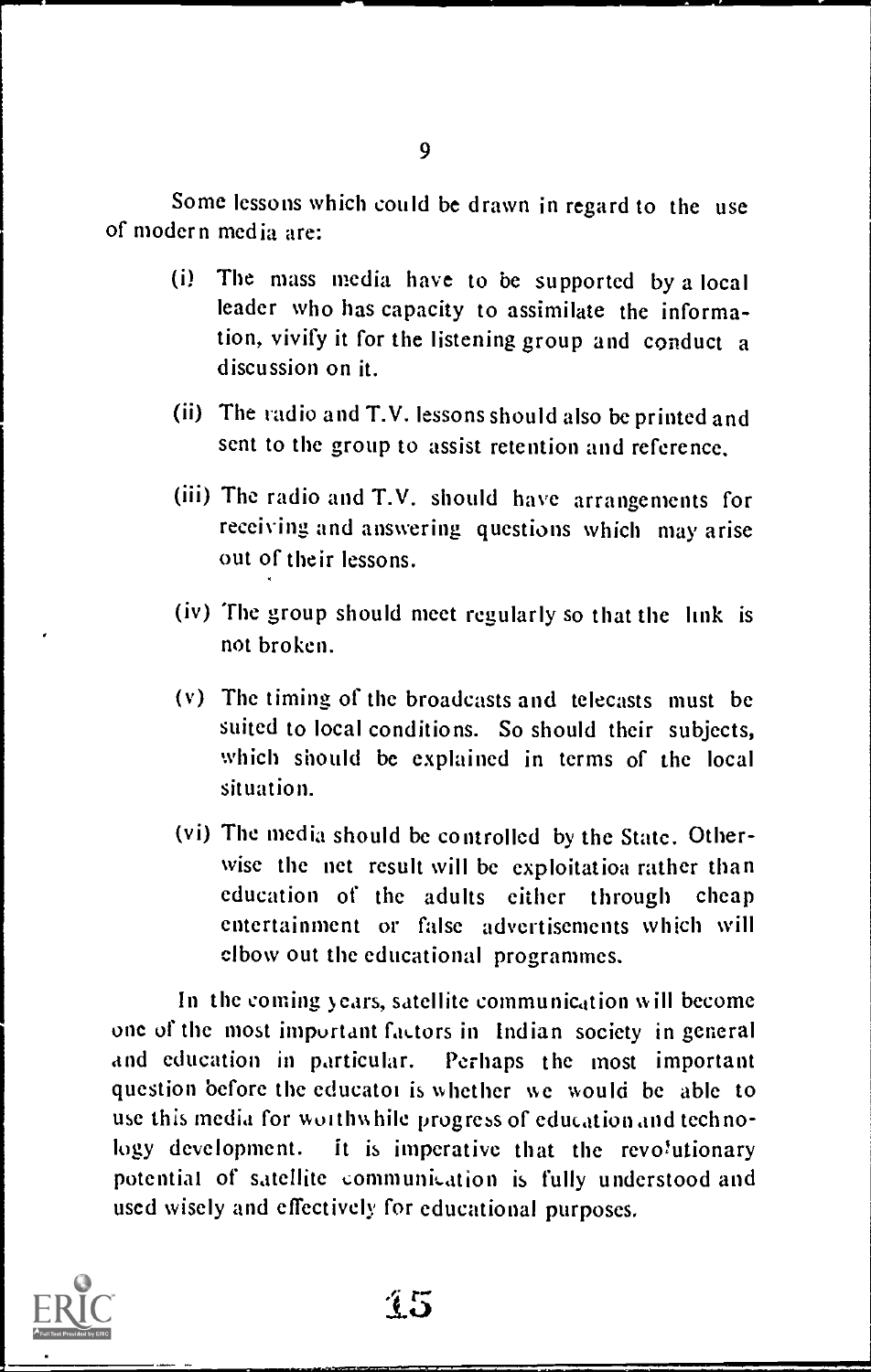Some lessons which could be drawn in regard to the use of modern media are:

- (i) The mass media have to be supported by a local leader who has capacity to assimilate the information, vivify it for the listening group and conduct a discussion on it.
- (ii) The radio and T.V. lessons should also be printed and sent to the group to assist retention and reference.
- (iii) The radio and T.V. should have arrangements for receiving and answering questions which may arise out of their lessons.
- (iv) The group should meet regularly so that the link is not broken.
- (v) The timing of the broadcasts and telecasts must be suited to local conditions. So should their subjects, which should be explained in terms of the local situation.
- (vi) The media should be controlled by the State. Otherwise the net result will be exploitatioa rather than education of the adults either through cheap entertainment or false advertisements which will elbow out the educational programmes.

In the coming years, satellite communication will become one of the most important factors in Indian society in general and education in particular. Perhaps the most important question before the educator is whether we would be able to use this media for woithwhile progress of education and technology development. It is imperative that the revolutionary potential of satellite communication is fully understood and used wisely and effectively for educational purposes.

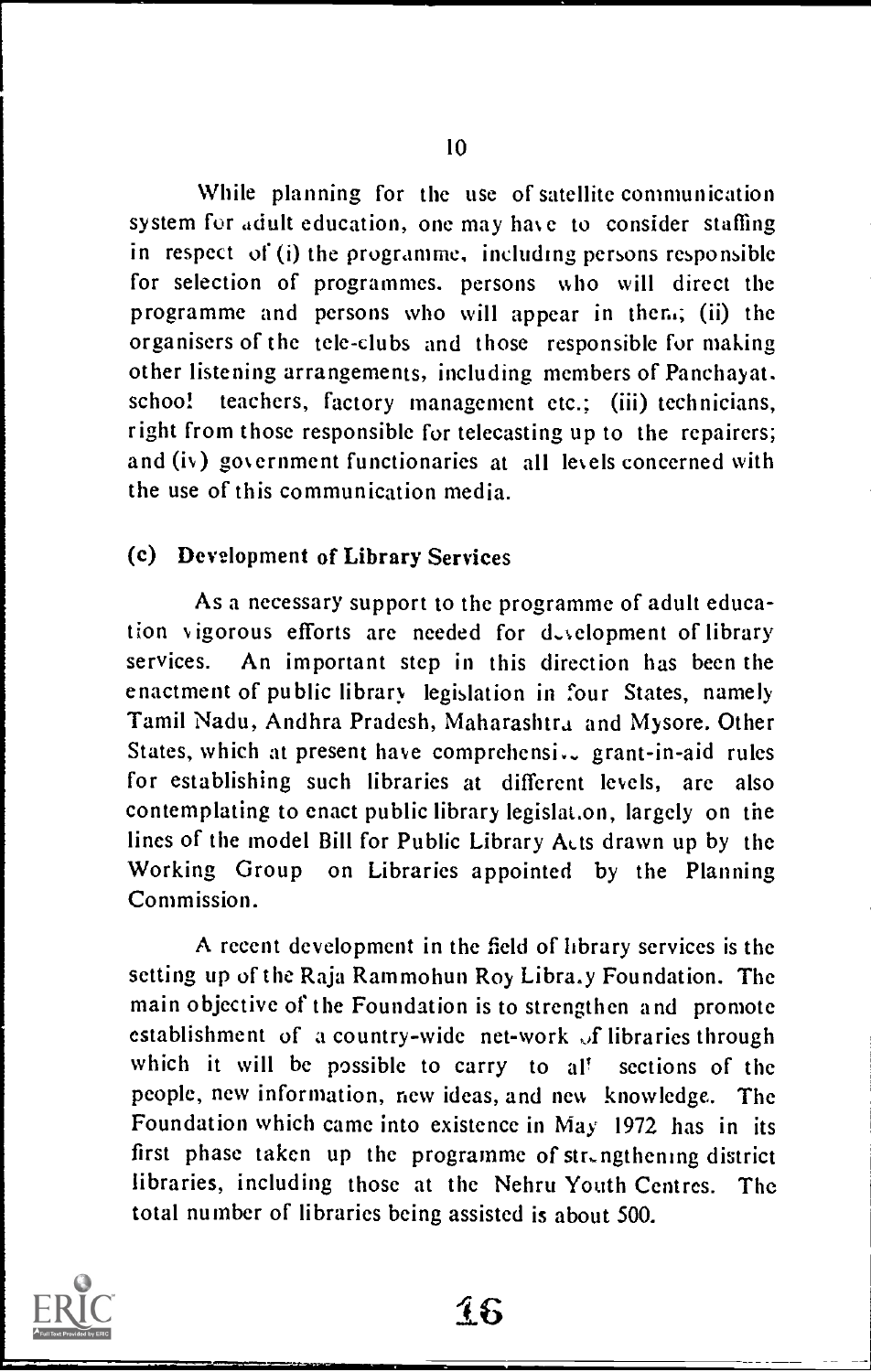While planning for the use of satellite communication system for adult education, one may hare to consider staffing in respect of (i) the programme, including persons responsible for selection of programmes. persons who will direct the programme and persons who will appear in then.; (ii) the organisers of the tele-clubs and those responsible for making other listening arrangements, including members of Panchayat. school teachers, factory management etc.; (iii) technicians, right from those responsible for telecasting up to the repairers; and (iv) government functionaries at all levels concerned with the use of this communication media.

# (c) Development of Library Services

As a necessary support to the programme of adult education vigorous efforts are needed for development of library services. An important step in this direction has been the enactment of public library legislation in four States, namely Tamil Nadu, Andhra Pradesh, Maharashtra and Mysore. Other States, which at present have comprehensi. grant-in-aid rules for establishing such libraries at different levels, are also contemplating to enact public library legislat.on, largely on the lines of the model Bill for Public Library Acts drawn up by the Working Group on Libraries appointed by the Planning Commission.

A recent development in the field of library services is the setting up of the Raja Rammohun Roy Libra.y Foundation. The main objective of the Foundation is to strengthen and promote establishment of a country-wide net-work of libraries through which it will be possible to carry to al! sections of the people, new information, new ideas, and new knowledge. The Foundation which came into existence in May 1972 has in its first phase taken up the programme of  $str<sub>n</sub>$  ngthening district libraries, including those at the Nehru Youth Centres. The total number of libraries being assisted is about 500.

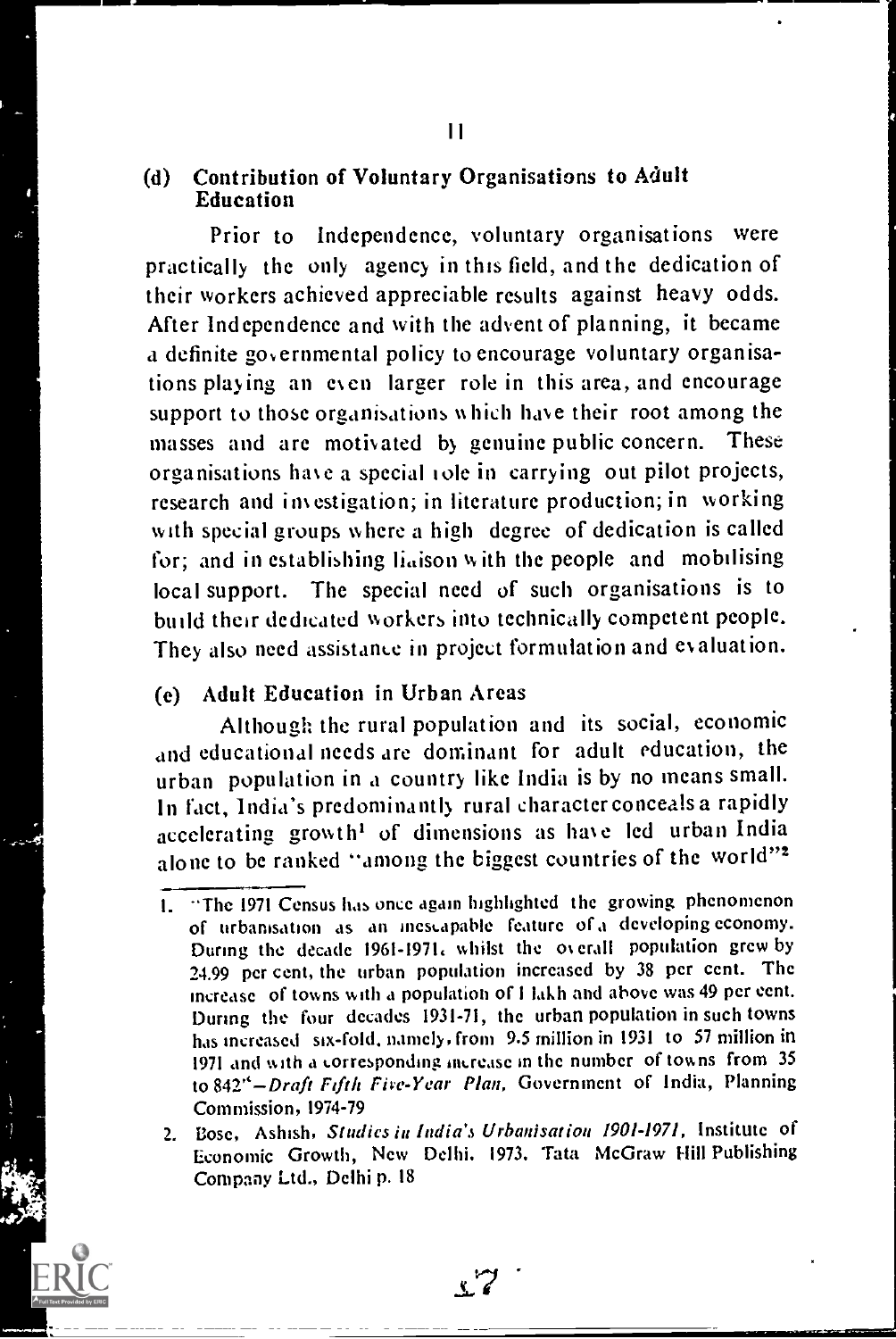#### (d) Contribution of Voluntary Organisations to Adult Education

Prior to Independence, voluntary organisations were practically the only agency in this field, and the dedication of their workers achieved appreciable results against heavy odds. After Independence and with the advent of planning, it became a definite governmental policy to encourage voluntary organisations playing an even larger role in this area, and encourage support to those organisations which have their root among the masses and are motivated by genuine public concern. These organisations have a special tole in carrying out pilot projects, research and investigation; in literature production; in working with special groups where a high degree of dedication is called for; and in establishing liaison with the people and mobilising local support. The special need of such organisations is to build their dedicated workers into technically competent people. They also need assistance in project formulation and evaluation.

# (e) Adult Education in Urban Areas

Although the rural population and its social, economic and educational needs are dominant for adult education, the urban population in a country like India is by no means small. In fact, India's predominantly rural characterconceals a rapidly accelerating growth' of dimensions as have led urban India alone to be ranked "among the biggest countries of the world"<sup>2</sup>

I. "The 1971 Census has once again highlighted the growing phenomenon of urbanisation as an inescapable feature of a developing economy. During the decade 1961-1971. whilst the ov erall population grew by 24.99 per cent, the urban population increased by 38 per cent. The increase of towns with a population of I lakh and above was 49 per cent. During the four decades 1931-71, the urban population in such towns has increased six-fold. namely, from 9.5 million in 1931 to 57 million in 1971 and with a corresponding increase in the number of towns from 35 to 842"-Draft Fifth Five-Year Plan, Government of India, Planning Commission, 1974-79

<sup>2.</sup> Bose, Ashish, Studies in India's Urbanisation 1901-1971, Institute of Economic Growth, New Delhi. 1973. Tata McGraw Hill Publishing Company Ltd., Delhi p. 18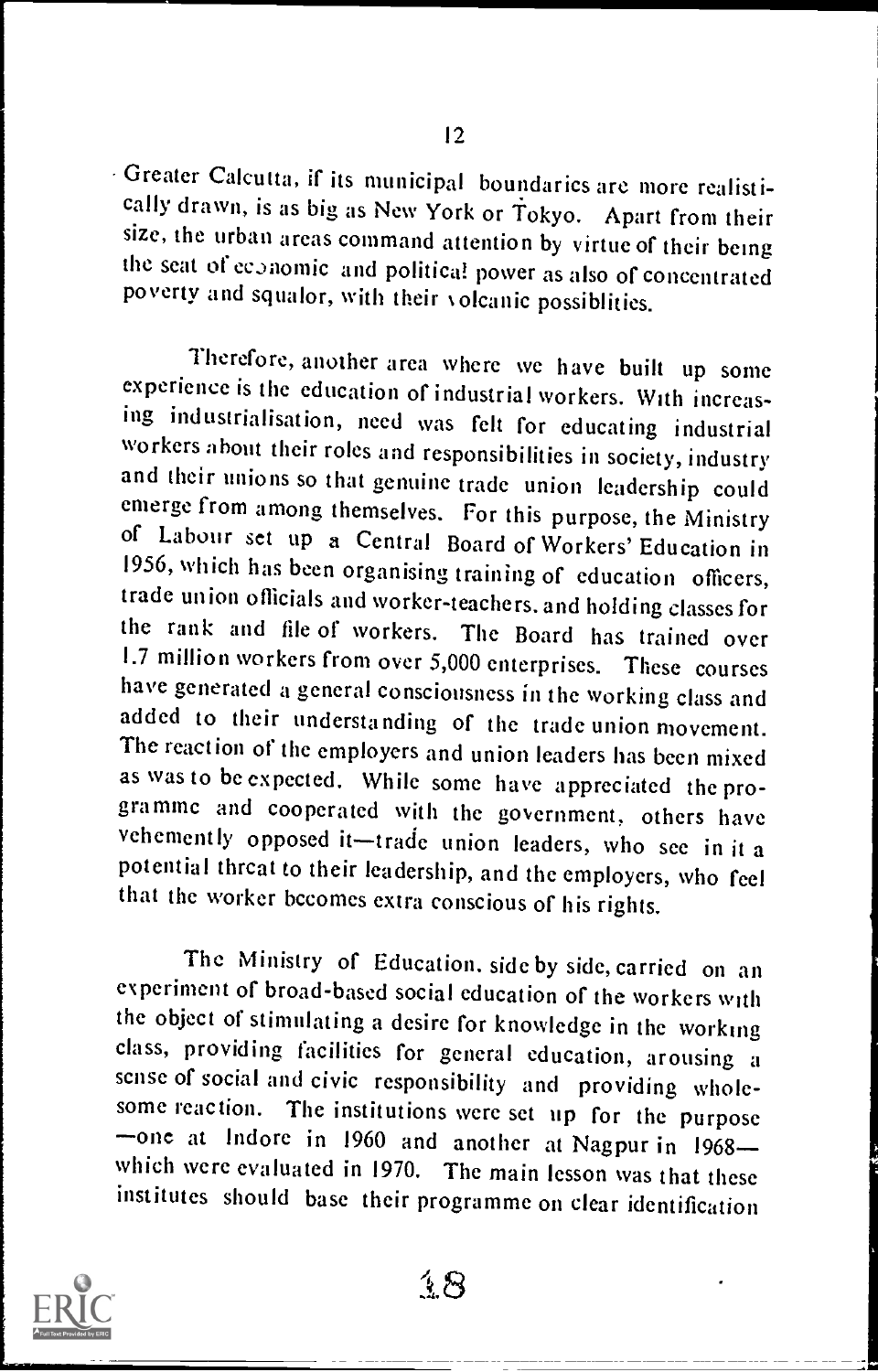Greater Calcutta, if its municipal boundaries are more realistisize, the urban areas command attention by virtue of their being the seat of economic and politica! power as also of concentrated poverty and squalor, with their volcanic possiblities.

Therefore, another area where we have built up some experience is the education of industrial workers. With increas-<br>ing industrialisation, need was felt for educating industrial workers about their roles and responsibilities in society, industry and their unions so that genuine trade union leadership could emerge from among themselves. For this purpose, the Ministry of Labour set up a Central Board of Workers' Education in 1956, which has been organising training of education officers, trade union officials and worker-teachers, and holding classes for the rank and file of workers. The Board has trained over 1.7 million workers from over 5,000 enterprises. These courses have generated a general consciousness in the working class and added to their understanding of the trade union movement. The reaction of the employers and union leaders has been mixed as was to be expected. While some have appreciated the programme and cooperated with the government, others have vehemently opposed it—trade union leaders, who see in it a potential threat to their leadership, and the employers, who feel that the worker becomes extra conscious of his rights.

The Ministry of Education. side by side, carried on an experiment of broad-based social education of the workers with the object of stimulating a desire for knowledge in the working class, providing facilities for general education, arousing a sense of social and civic responsibility and providing whole-<br>some reaction. The institutions were set up for the purpose<br>-one at Indore in 1960 and another at Nagpur in 1968which were evaluated in 1970. The main lesson was that these institutes should base their programme on clear identification



そ8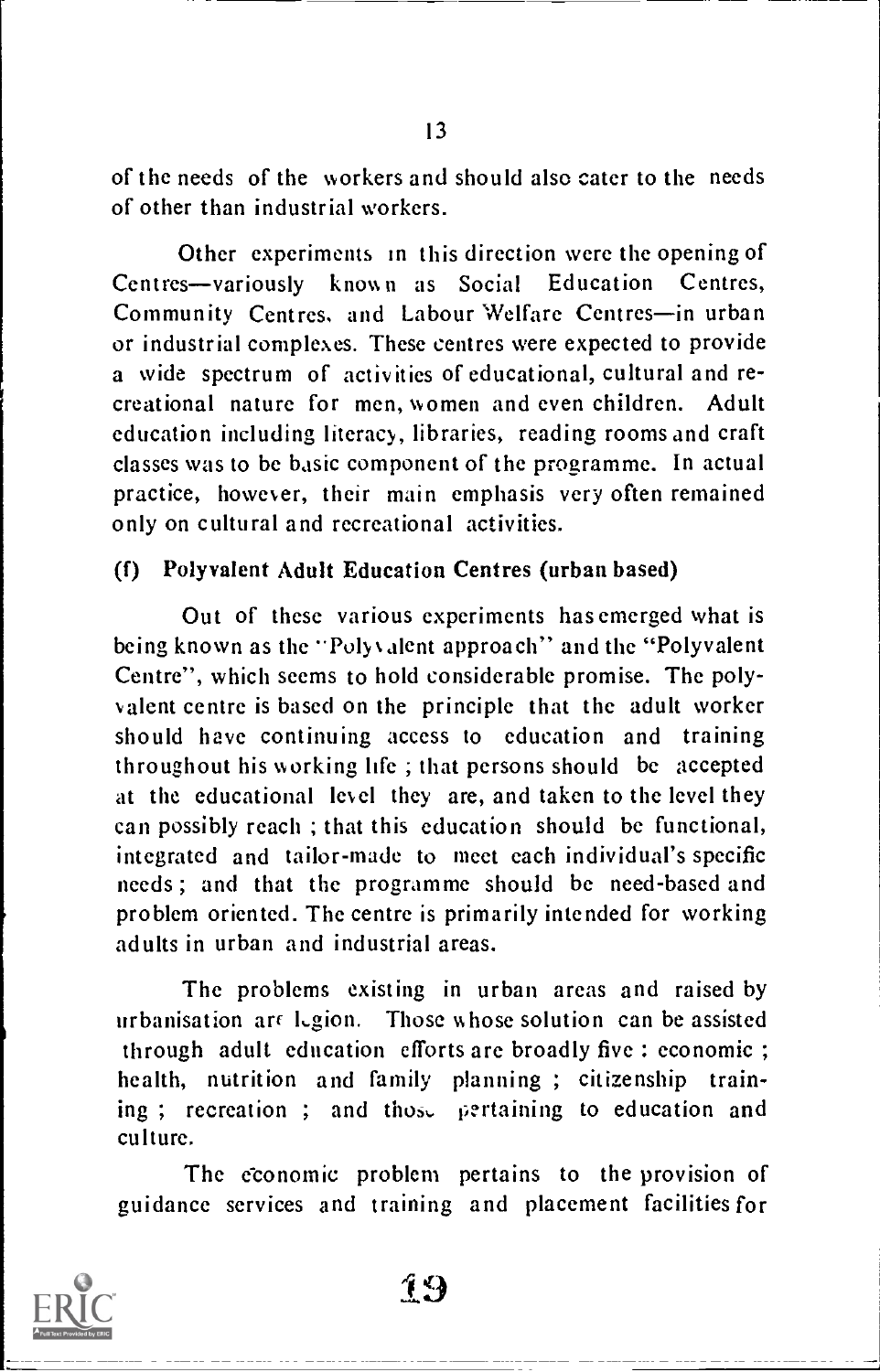of the needs of the workers and should also cater to the needs of other than industrial workers.

Other experiments in this direction were the opening of Centres-variously known as Social Education Centres, Community Centres, and Labour Welfare Centres-in urban or industrial complexes. These centres were expected to provide a wide spectrum of activities of educational, cultural and recreational nature for men, women and even children. Adult education including literacy, libraries, reading rooms and craft classes was to be basic component of the programme. In actual practice, however, their main emphasis very often remained only on cultural and recreational activities.

#### (f) Polyvalent Adult Education Centres (urban based)

Out of these various experiments has emerged what is being known as the "Polyvalent approach" and the "Polyvalent Centre", which seems to hold considerable promise. The polyvalent centre is based on the principle that the adult worker should have continuing access to education and training throughout his working life ; that persons should be accepted at the educational level they are, and taken to the level they can possibly reach ; that this education should be functional, integrated and tailor-made to meet each individual's specific needs ; and that the programme should be need-based and problem oriented. The centre is primarily intended for working adults in urban and industrial areas.

The problems existing in urban areas and raised by urbanisation are  $Lgion$ . Those whose solution can be assisted through adult education efforts are broadly five : economic ; health, nutrition and family planning ; citizenship training ; recreation ; and those pertaining to education and culture.

The economic problem pertains to the provision of guidance services and training and placement facilities for

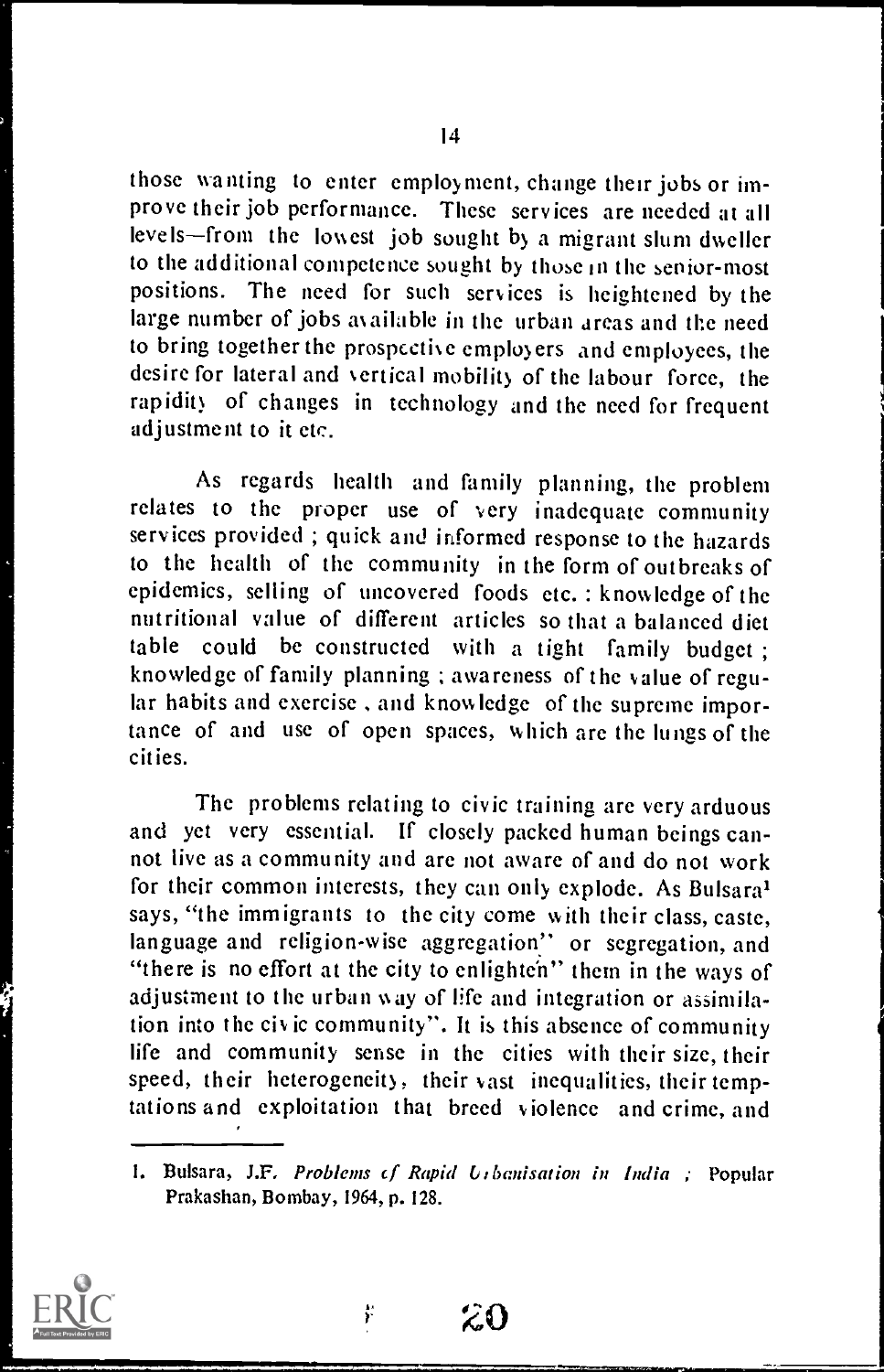those wanting to enter employment, change their jobs or improve their job performance. These services are needed at all levels-from the lowest job sought by a migrant slum dweller to the additional competence sought by those in the senior-most positions. The need for such services is heightened by the large number of jobs available in the urban areas and the need to bring together the prospective employers and employees, the desire for lateral and vertical mobility of the labour force, the rapidity of changes in technology and the need for frequent adjustment to it etc.

As regards health and family planning, the problem relates to the proper use of very inadequate community services provided ; quick and informed response to the hazards to the health of the community in the form of outbreaks of epidemics, selling of uncovered foods etc. : knowledge of the nutritional value of different articles so that a balanced diet table could be constructed with a tight family budget ; knowledge of family planning ; awareness of the value of regular habits and exercise , and knowledge of the supreme importance of and use of open spaces, which arc the lungs of the cities.

The problems relating to civic training are very arduous and yet very essential. If closely packed human beings cannot live as a community and are not aware of and do not work for their common interests, they can only explode. As Bulsara' says, "the immigrants to the city come with their class, caste, language and religion-wise aggregation" or segregation, and "there is no effort at the city to enlighten" them in the ways of adjustment to the urban way of life and integration or assimilation into the civic community". It is this absence of community life and community sense in the cities with their size, their speed, their heterogeneity, their vast inequalities, their temptations and exploitation that breed violence and crime, and

<sup>1.</sup> Bulsara, J.F. Problems of Rapid Urbanisation in India ; Popular Prakashan, Bombay, 1964, p. 128.



20

ř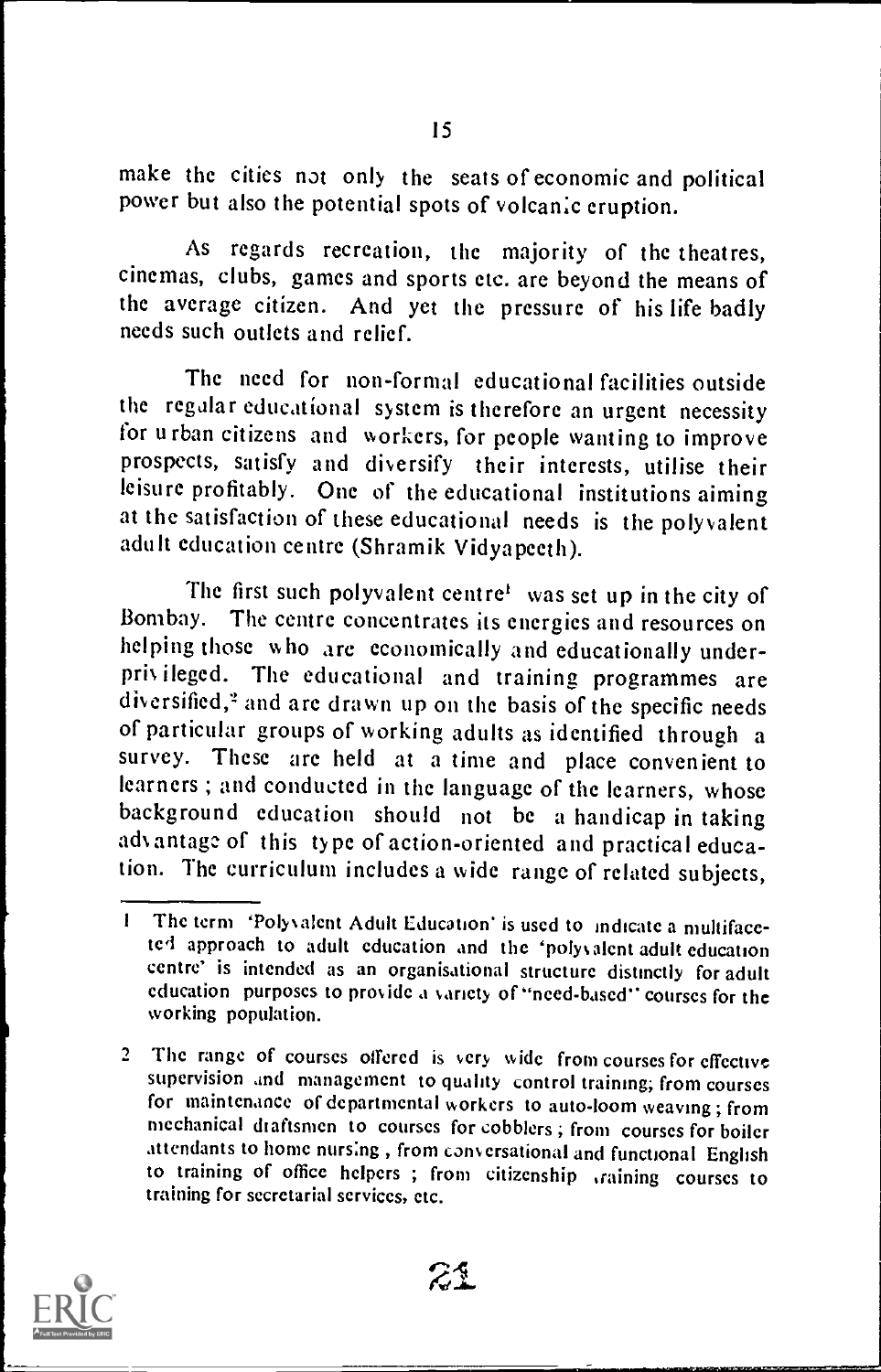make the cities not only the seats of economic and political power but also the potential spots of volcanic eruption.

As regards recreation, the majority of the theatres, cinemas, clubs, games and sports etc. are beyond the means of the average citizen. And yet the pressure of his life badly needs such outlets and relief.

The need for non-formal educational facilities outside the regalar educational system is therefore an urgent necessity for urban citizens and workers, for people wanting to improve prospects, satisfy and diversify their interests, utilise their leisure profitably. One of the educational institutions aiming at the satisfaction of these educational needs is the polyvalent adult education centre (Shramik Vidyapeeth).

The first such polyvalent centre' was set up in the city of Bombay. The centre concentrates its energies and resources on helping those who are economically and educationally underprivileged. The educational and training programmes are diversified," and are drawn up on the basis of the specific needs of particular groups of working adults as identified through a survey. These are held at a time and place convenient to learners ; and conducted in the language of the learners, whose background education should not be a handicap in taking advantage of this type of action-oriented and practical education. The curriculum includes a wide range of related subjects,

<sup>2</sup> The range of courses offered is very wide from courses for effective supervision and management to quality control training; from courses for maintenance of departmental workers to auto-loom weaving ; from mechanical draftsmen to courses for cobblers ; from courses for boiler attendants to home nursing , from conversational and functional English to training of office helpers ; from citizenship training courses to training for secretarial services, etc.



<sup>I</sup> The term 'Polyvalent Adult Education' is used to indicate a multifacetel approach to adult education and the 'polyvalent adult education centre' is intended as an organisational structure distinctly for adult education purposes to provide a variety of "need-based" courses for the working population.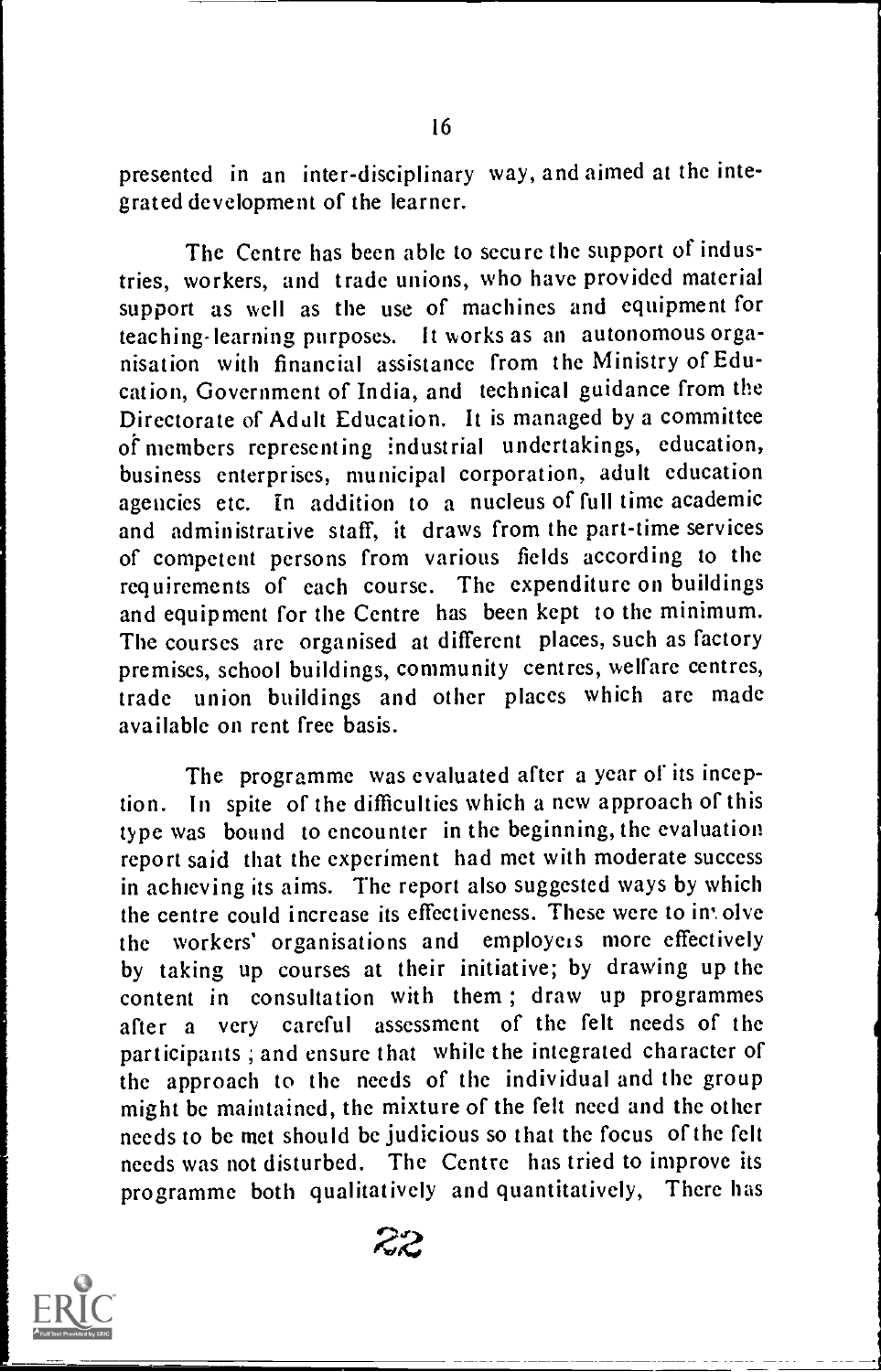presented in an inter-disciplinary way, and aimed at the integrated development of the learner.

The Centre has been able to secure the support of industries, workers, and trade unions, who have provided material support as well as the use of machines and equipment for teaching-learning purposes. It works as an autonomous organisation with financial assistance from the Ministry of Education, Government of India, and technical guidance from the Directorate of Adult Education. It is managed by a committee of members representing industrial undertakings, education, business enterprises, municipal corporation, adult education agencies etc. in addition to a nucleus of full time academic and administrative staff, it draws from the part-time services of competent persons from various fields according to the requirements of each course. The expenditure on buildings and equipment for the Centre has been kept to the minimum. The courses are organised at different places, such as factory premises, school buildings, community centres, welfare centres, trade union buildings and other places which are made available on rent free basis.

The programme was evaluated after a year of its inception. In spite of the difficulties which a new approach of this type was bound to encounter in the beginning, the evaluation report said that the experiment had met with moderate success in achieving its aims. The report also suggested ways by which the centre could increase its effectiveness. These were to in olve the workers' organisations and employers more effectively by taking up courses at their initiative; by drawing up the content in consultation with them ; draw up programmes after <sup>a</sup> very careful assessment of the felt needs of the participants ; and ensure that while the integrated character of the approach to the needs of the individual and the group might be maintained, the mixture of the felt need and the other needs to be met should be judicious so that the focus of the felt needs was not disturbed. The Centre has tried to improve its programme both qualitatively and quantitatively, There has

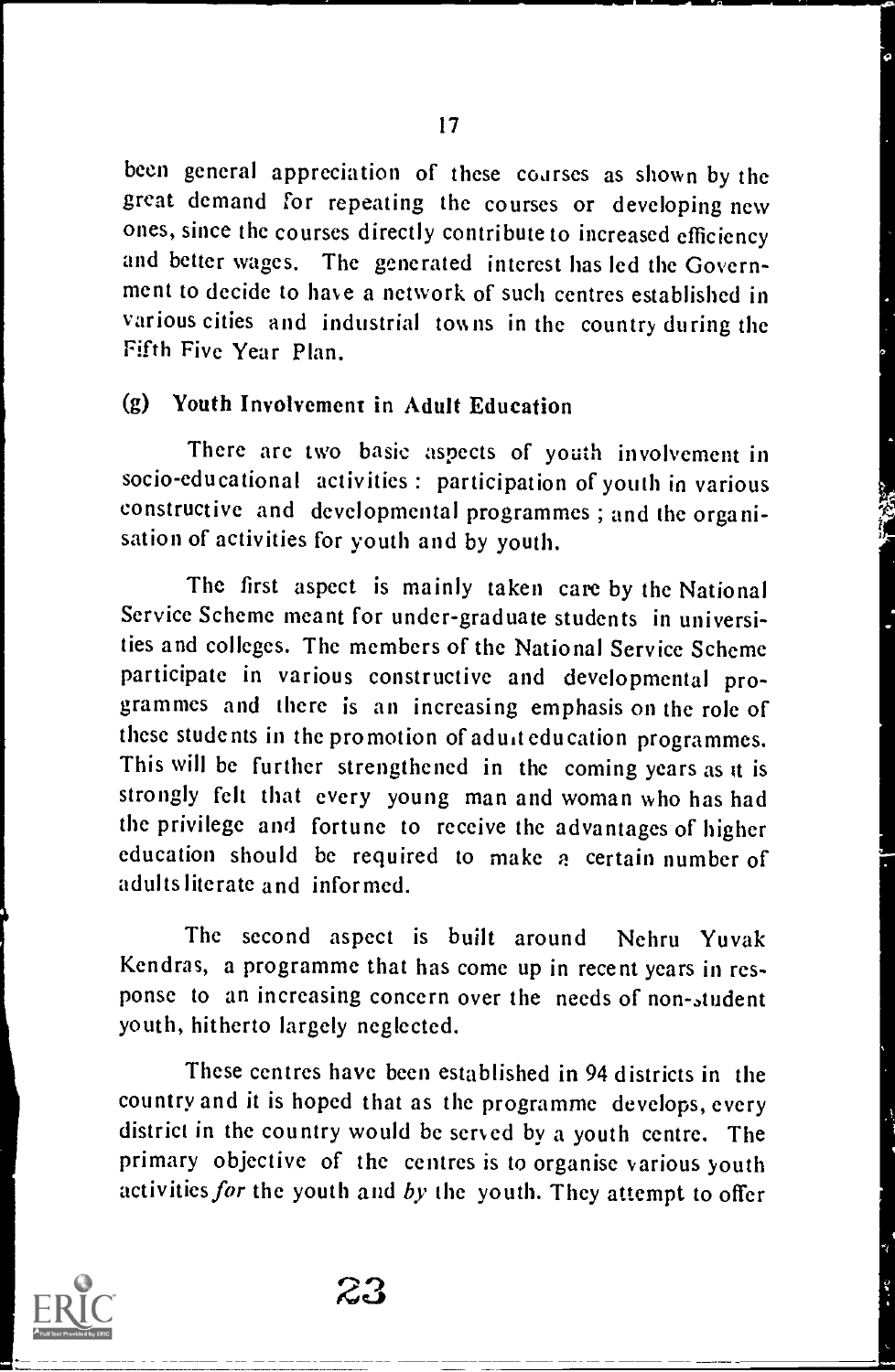been general appreciation of these coarses as shown by the great demand for repeating the courses or developing new ones, since the courses directly contribute to increased efficiency and better wages. The generated interest has led the Government to decide to have a network of such centres established in various cities and industrial towns in the country during the Fifth Five Year Plan.

# (g) Youth Involvement in Adult Education

There are two basic aspects of youth involvement in socio-educational activities : participation of youth in various constructive and developmental programmes ; and the organisation of activities for youth and by youth.

The first aspect is mainly taken care by the National Service Scheme meant for under-graduate students in universities and colleges. The members of the National Service Scheme<br>participate in various constructive and developmental programmes and there is an increasing emphasis on the role of these students in the promotion of adult education programmes. This will be further strengthened in the coming years as it is strongly felt that every young man and woman who has had the privilege and fortune to receive the advantages of higher education should be required to make a certain number of adults literate and informed.

The second aspect is built around Nehru Yuvak Kendras, a programme that has come up in recent years in response to an increasing concern over the needs of non-student youth, hitherto largely neglected.

These centres have been established in 94 districts in the country and it is hoped that as the programme develops, every district in the country would be served by a youth centre. The primary objective of the centres is to organise various youth activities for the youth and by the youth. They attempt to offer

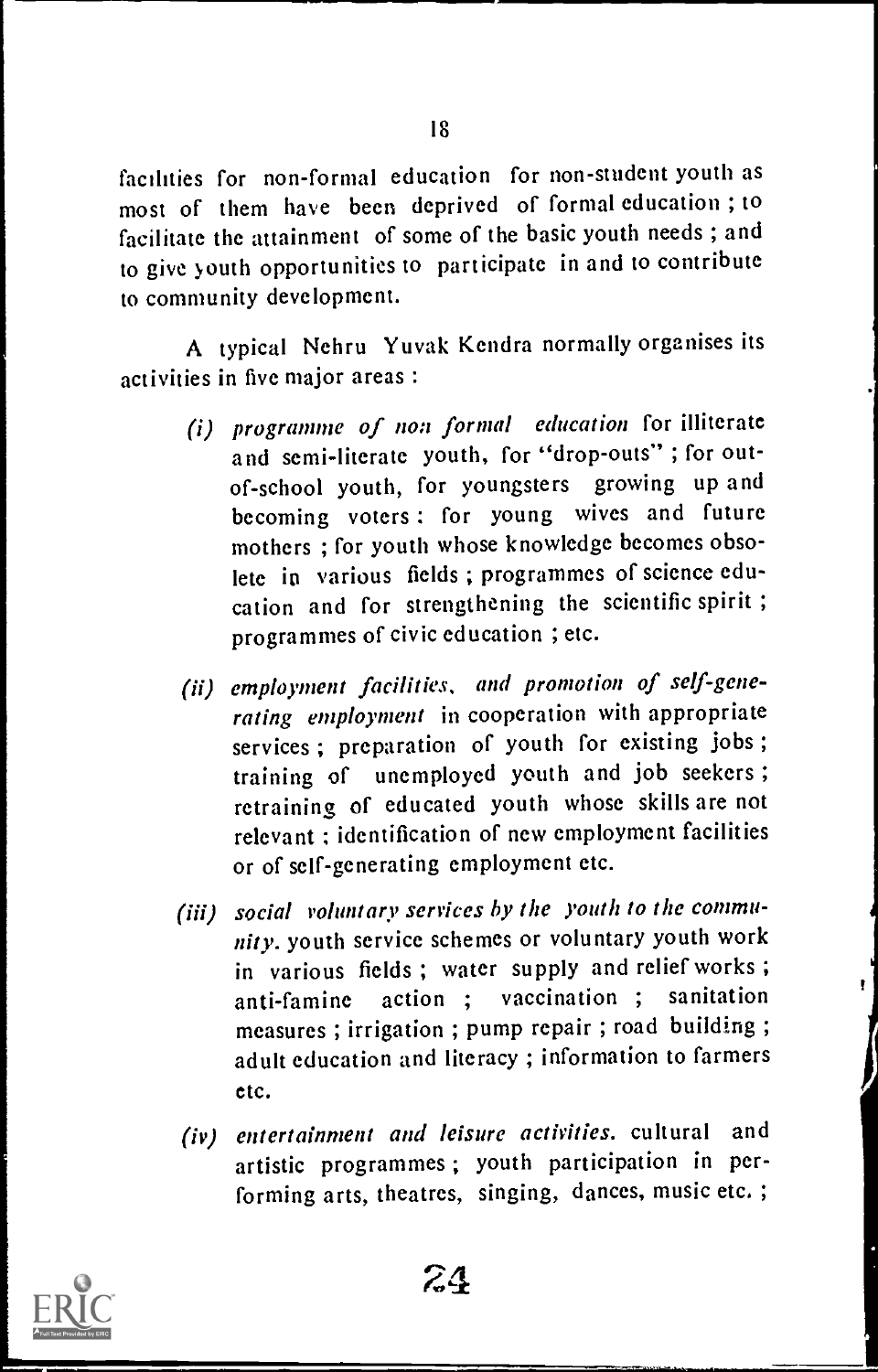facilities for non-formal education for non-student youth as most of them have been deprived of formal education ; to facilitate the attainment of some of the basic youth needs ; and to give youth opportunities to participate in and to contribute to community development.

A typical Nehru Yuvak Kendra normally organises its activities in five major areas :

- (i) programme of non formal education for illiterate and semi-literate youth, for "drop-outs" ; for outof-school youth, for youngsters growing up and becoming voters : for young wives and future mothers ; for youth whose knowledge becomes obsolete in various fields ; programmes of science education and for strengthening the scientific spirit ; programmes of civic education ; etc.
- (ii) employment facilities, and promotion of self-generating employment in cooperation with appropriate services ; preparation of youth for existing jobs ; training of unemployed youth and job seekers ; retraining of educated youth whose skills are not relevant ; identification of new employment facilities or of self-generating employment etc.
- (iii) social voluntary services by the youth to the community. youth service schemes or voluntary youth work in various fields ; water supply and relief works ; anti-famine action ; vaccination ; sanitation measures ; irrigation ; pump repair ; road building ; adult education and literacy ; information to farmers etc.
- (iv) entertainment and leisure activities. cultural and artistic programmes ; youth participation in performing arts, theatres, singing, dances, music etc.;

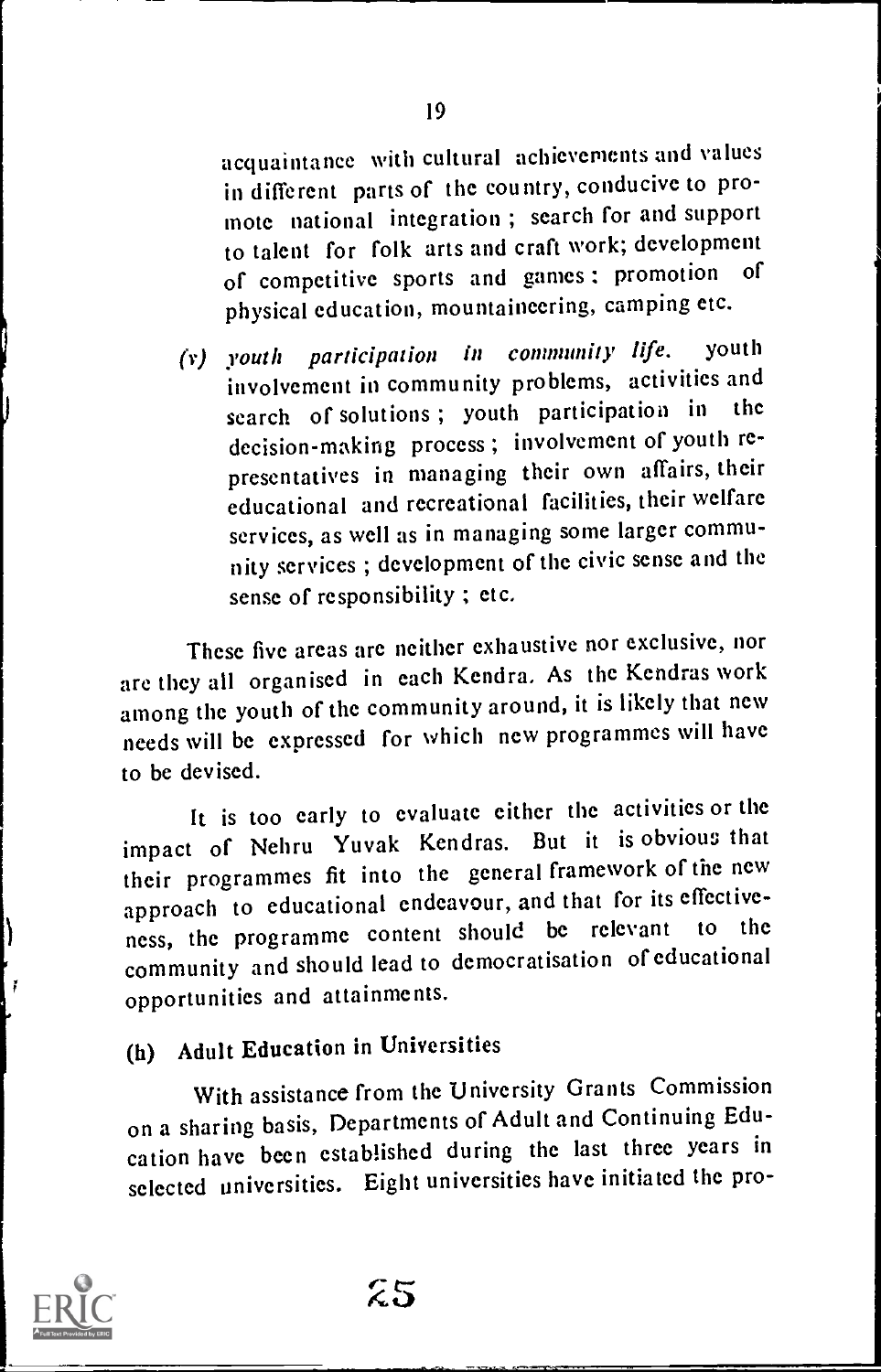acquaintance with cultural achievements and values in different parts of the country, conducive to promote national integration ; search for and support to talent for folk arts and craft work; development of competitive sports and games ; promotion of physical education, mountaineering, camping etc.

(v) youth participation in community life, youth involvement in community problems, activities and<br>search of solutions: youth participation in the search of solutions; youth participation in decision-making process ; involvement of youth representatives in managing their own affairs, their educational and recreational facilities, their welfare services, as well as in managing some larger community services ; development of the civic sense and the sense of responsibility ; etc.

These five areas are neither exhaustive nor exclusive, nor are they all organised in each Kendra. As the Kendras work among the youth of the community around, it is likely that new needs will be expressed for which new programmes will have to be devised.

It is too early to evaluate either the activities or the impact of Nehru Yuvak Kendras. But it is obvious that their programmes fit into the general framework of the new approach to educational endeavour, and that for its effective-<br>approach to educational endeavour, should be relevant to the ness, the programme content should be relevant community and should lead to democratisation of educational opportunities and attainments.

# (h) Adult Education in Universities

With assistance from the University Grants Commission on a sharing basis, Departments of Adult and Continuing Education have been established during the last three years in selected universities. Eight universities have initiated the pro-

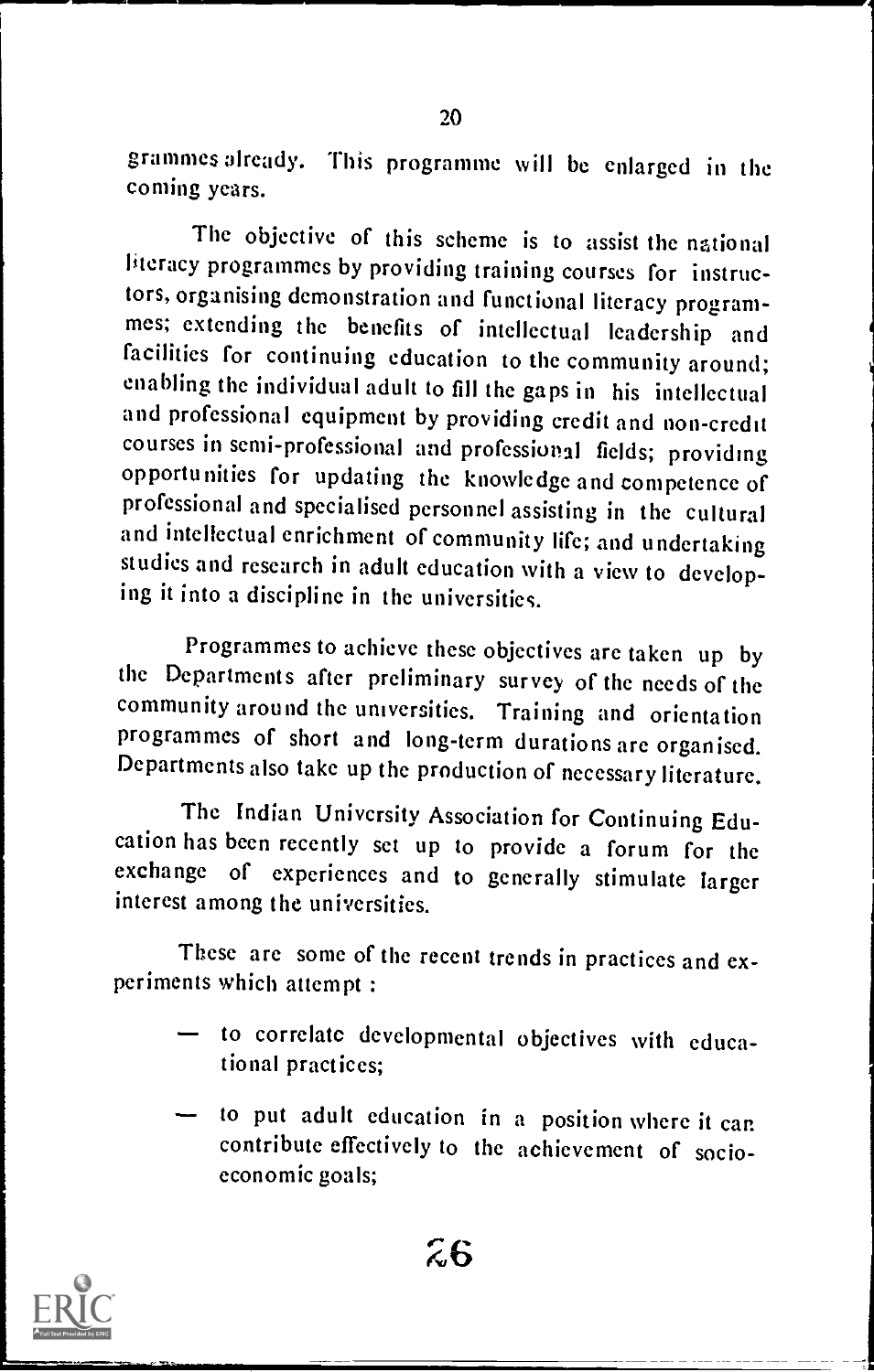grammes already. This programme will be enlarged in the coming years.

The objective of this scheme is to assist the national literacy programmes by providing training courses for instruc-<br>tors, organising demonstration and functional literacy programmes; extending the benefits of intellectual leadership and facilities for continuing education to the community around; enabling the individual adult to fill the gaps in his intellectual and professional equipment by providing credit and non-credit courses in semi-professional and professional fields; providing opportunities for updating the knowledge and competence of professional and specialised personnel assisting in the cultural and intellectual enrichment of community life; and undertaking studies and research in adult education with a view to developing it into a discipline in the universities.

Programmes to achieve these objectives are taken up by the Departments after preliminary survey of the needs of the community around the universities. Training and orientation programmes of short and long-term durations are organised. Departments also take up the production of necessary literature.

The Indian University Association for Continuing Edu- cation has been recently set up to provide a forum for the exchange of experiences and to generally stimulate larger interest among the universities.

These are some of the recent trends in practices and experiments which attempt :

- to correlate developmental objectives with educational practices;
- to put adult education in a position where it can contribute effectively to the achievement of socioeconomic goals;

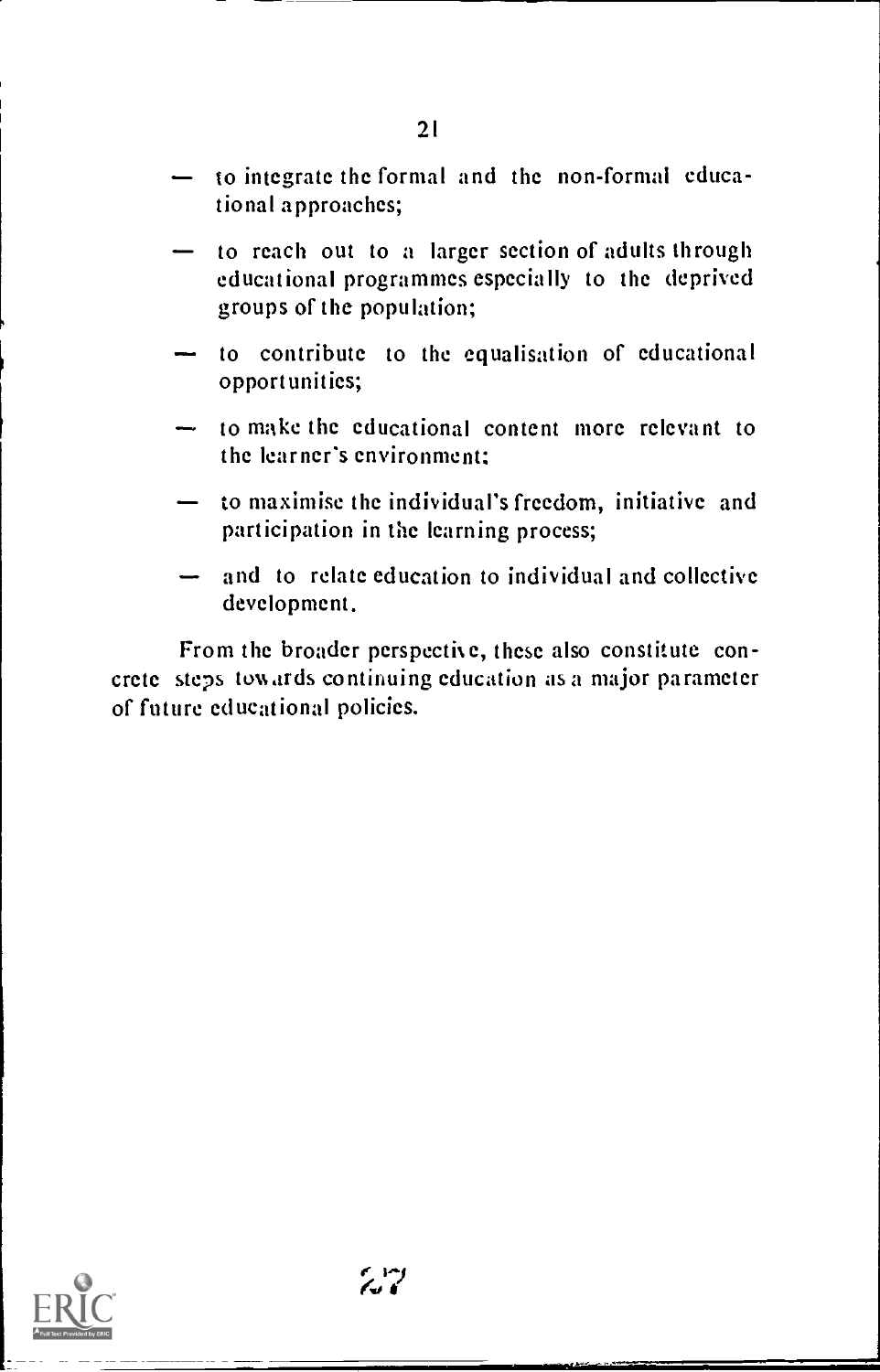- to integrate the formal and the non-formal educational approaches;
- to reach out to a larger section of adults through educational programmes especially to the deprived groups of the population;
- to contribute to the equalisation of educational opportunities;
- to make the educational content more relevant to the learner's environment;
- to maximise the individual's freedom, initiative and participation in the learning process;
- and to relate education to individual and collective development.

From the broader perspective, these also constitute concrete steps touards continuing education as a major parameter of future educational policies.

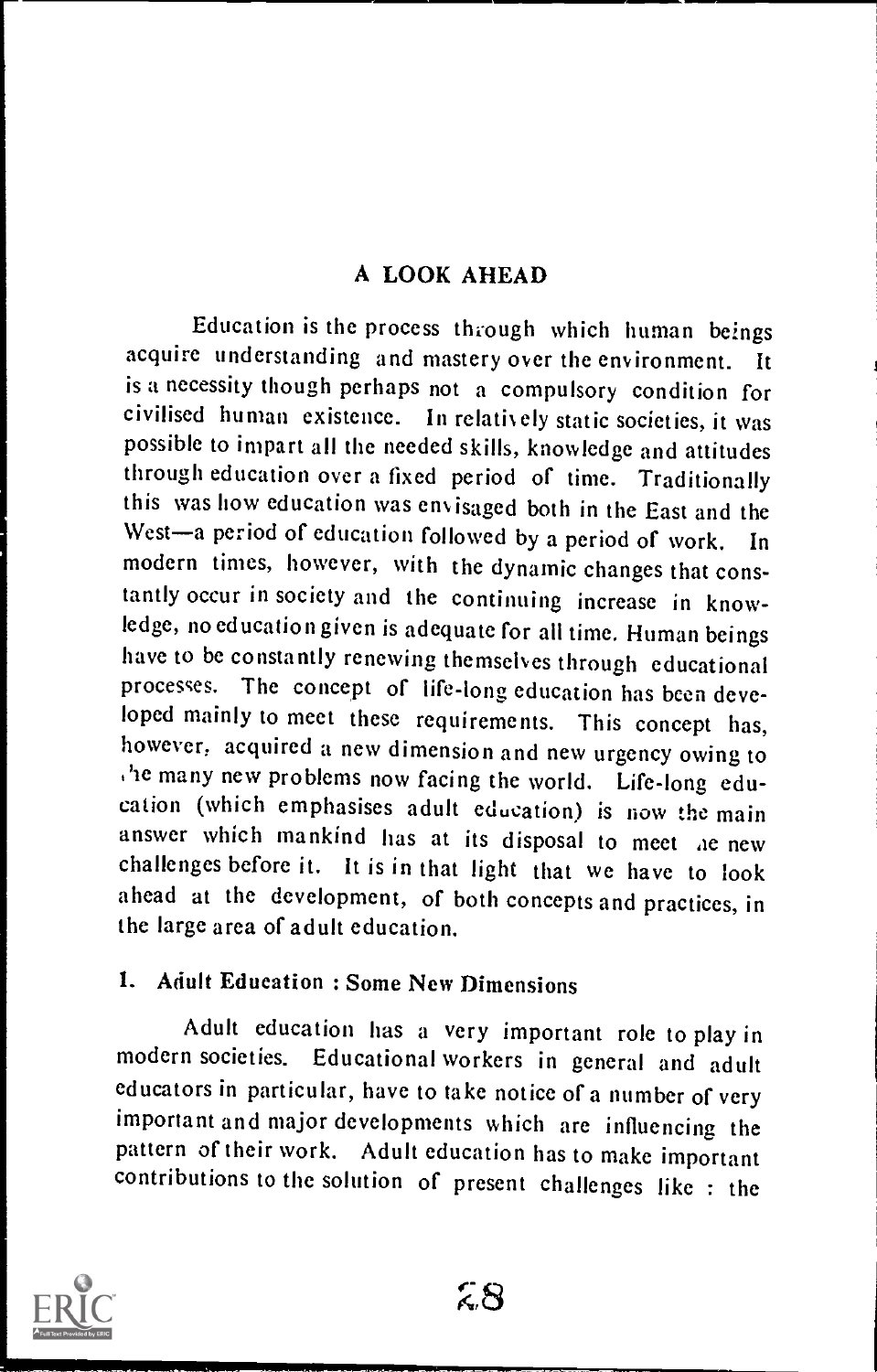# A LOOK AHEAD

Education is the process through which human beings acquire understanding and mastery over the environment. is a necessity though perhaps not a compulsory condition for civilised human existence. In relatively static societies, it was possible to impart all the needed skills, knowledge and attitudes through education over a fixed period of time. Traditionally this was how education was envisaged both in the East and the West-a period of education followed by a period of work. In modern times, however, with the dynamic changes that constantly occur in society and the continuing increase in knowledge, no education given is adequate for all time. Human beings have to be constantly renewing themselves through educational processes. The concept of life-long education has been developed mainly to meet these requirements. This concept has, however, acquired a new dimension and new urgency owing to the many new problems now facing the world. Life-long education (which emphasises adult education) is now the main answer which mankind has at its disposal to meet ae new challenges before it. It is in that light that we have to look ahead at the development, of both concepts and practices, in the large area of adult education.

# 1. Adult Education : Some New Dimensions

Adult education has a very important role to play in modern societies. Educational workers in general and adult educators in particular, have to take notice of a number of very important and major developments which are influencing the pattern of their work. Adult education has to make important contributions to the solution of present challenges like : the

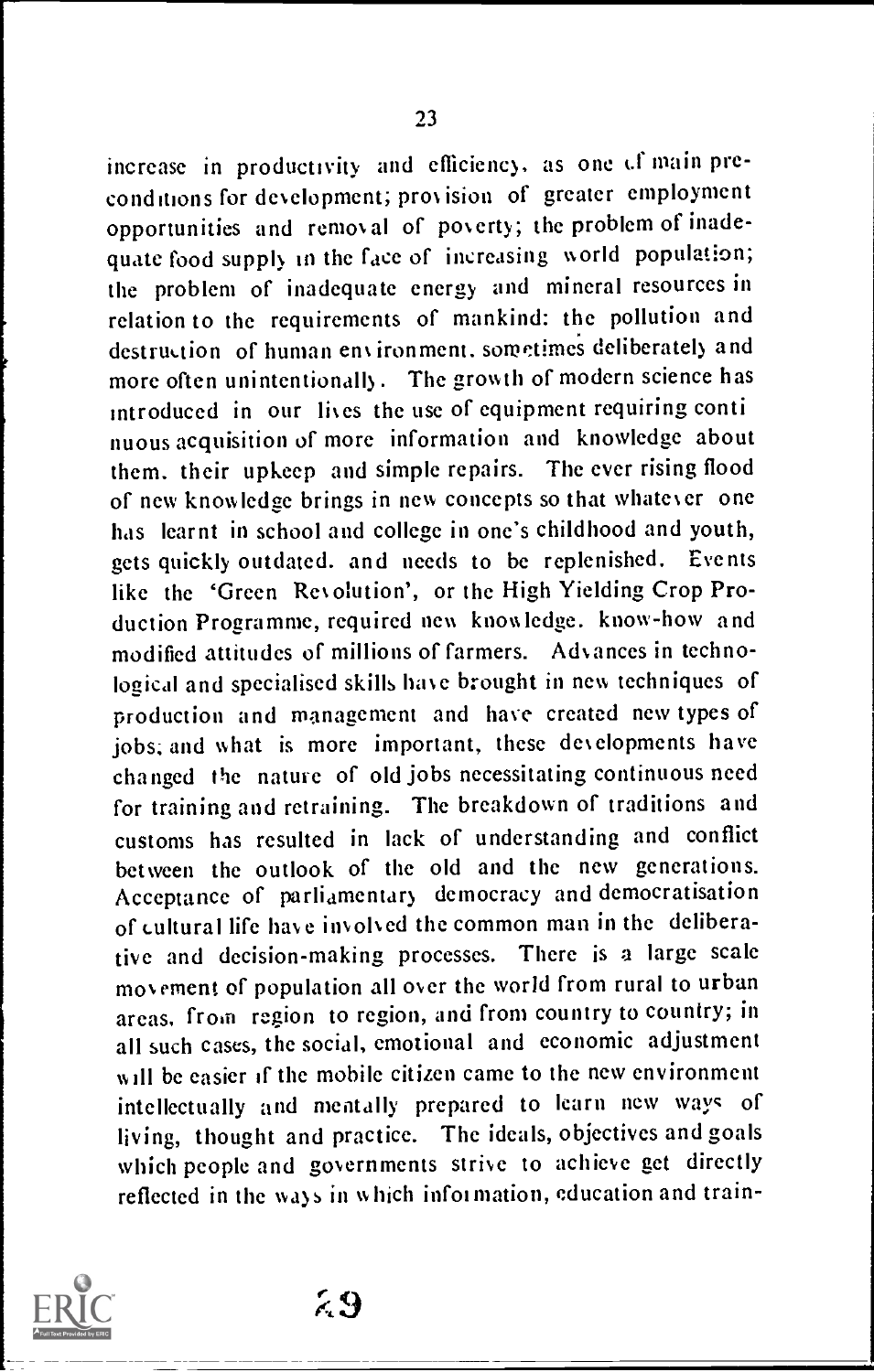increase in productivity and efficiency, as one of main preconditions for development; provision of greater employment opportunities and removal of poverty; the problem of inadequate food supply in the face of increasing world population; the problem of inadequate energy and mineral resources in relation to the requirements of mankind: the pollution and destruction of human environment, sometimes deliberately and more often unintentionally. The growth of modern science has introduced in our lives the use of equipment requiring conti nuous acquisition of more information and knowledge about them. their upkeep and simple repairs. The ever rising flood of new knowledge brings in new concepts so that whatever one has learnt in school and college in one's childhood and youth, gets quickly outdated. and needs to be replenished. Events like the 'Green Revolution', or the High Yielding Crop Production Programme, required new knowledge. know-how and modified attitudes of millions of farmers. Advances in technological and specialised skills have brought in new techniques of production and management and have created new types of jobs; and what is more important, these developments have changed the nature of old jobs necessitating continuous need for training and retraining. The breakdown of traditions and customs has resulted in lack of understanding and conflict between the outlook of the old and the new generations. Acceptance of parliamentary democracy and democratisation of cultural life have involved the common man in the deliberative and decision-making processes. There is a large scale movement of population all over the world from rural to urban areas, from region to region, and from country to country; in all such cases, the social, emotional and economic adjustment will be easier if the mobile citizen came to the new environment intellectually and mentally prepared to learn new ways of living, thought and practice. The ideals, objectives and goals which people and governments strive to achieve get directly reflected in the ways in which information, education and train-



k9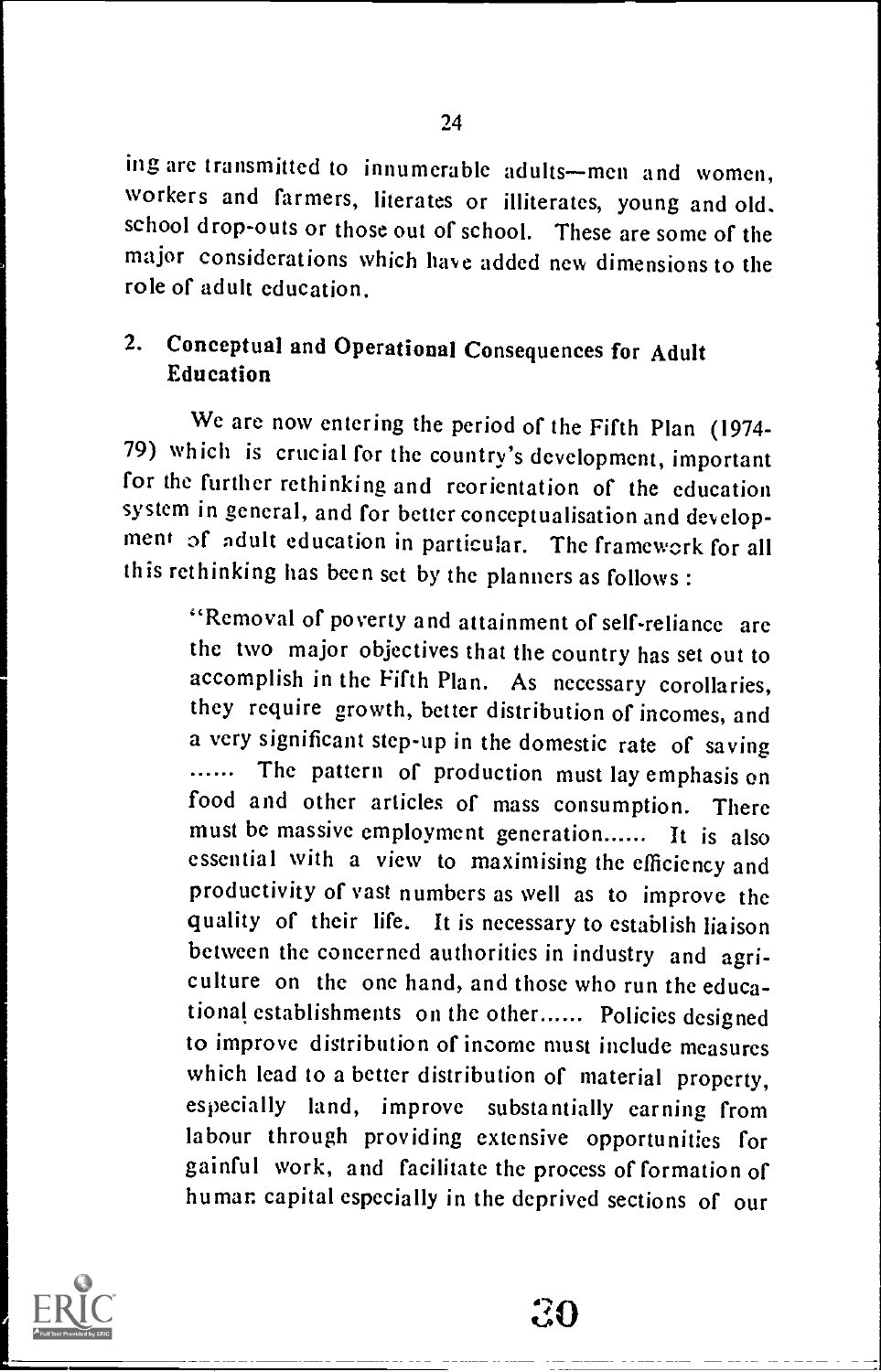ing are transmitted to innumerable adults-men and women, workers and farmers, literates or illiterates, young and old. school drop-outs or those out of school. These are some of the major considerations which have added new dimensions to the role of adult education.

# 2. Conceptual and Operational Consequences for Adult Education

We are now entering the period of the Fifth Plan (1974- 79) which is crucial for the country's development, important for the further rethinking and reorientation of the education system in general, and for better conceptualisation and development of adult education in particular. The framework for all this rethinking has been set by the planners as follows :

"Removal of poverty and attainment of self-reliance are the two major objectives that the country has set out to accomplish in the Fifth Plan. As necessary corollaries, they require growth, better distribution of incomes, and a very significant step-up in the domestic rate of saving The pattern of production must lay emphasis on  $\ldots$ food and other articles of mass consumption. There must be massive employment generation...... It is also essential with a view to maximising the efficiency and productivity of vast numbers as well as to improve the quality of their life. It is necessary to establish liaison between the concerned authorities in industry and agriculture on the one hand, and those who run the educational establishments on the other...... Policies designed to improve distribution of income must include measures which lead to a better distribution of material property, especially land, improve substantially earning from labour through providing extensive opportunities for gainful work, and facilitate the process of formation of human capital especially in the deprived sections of our

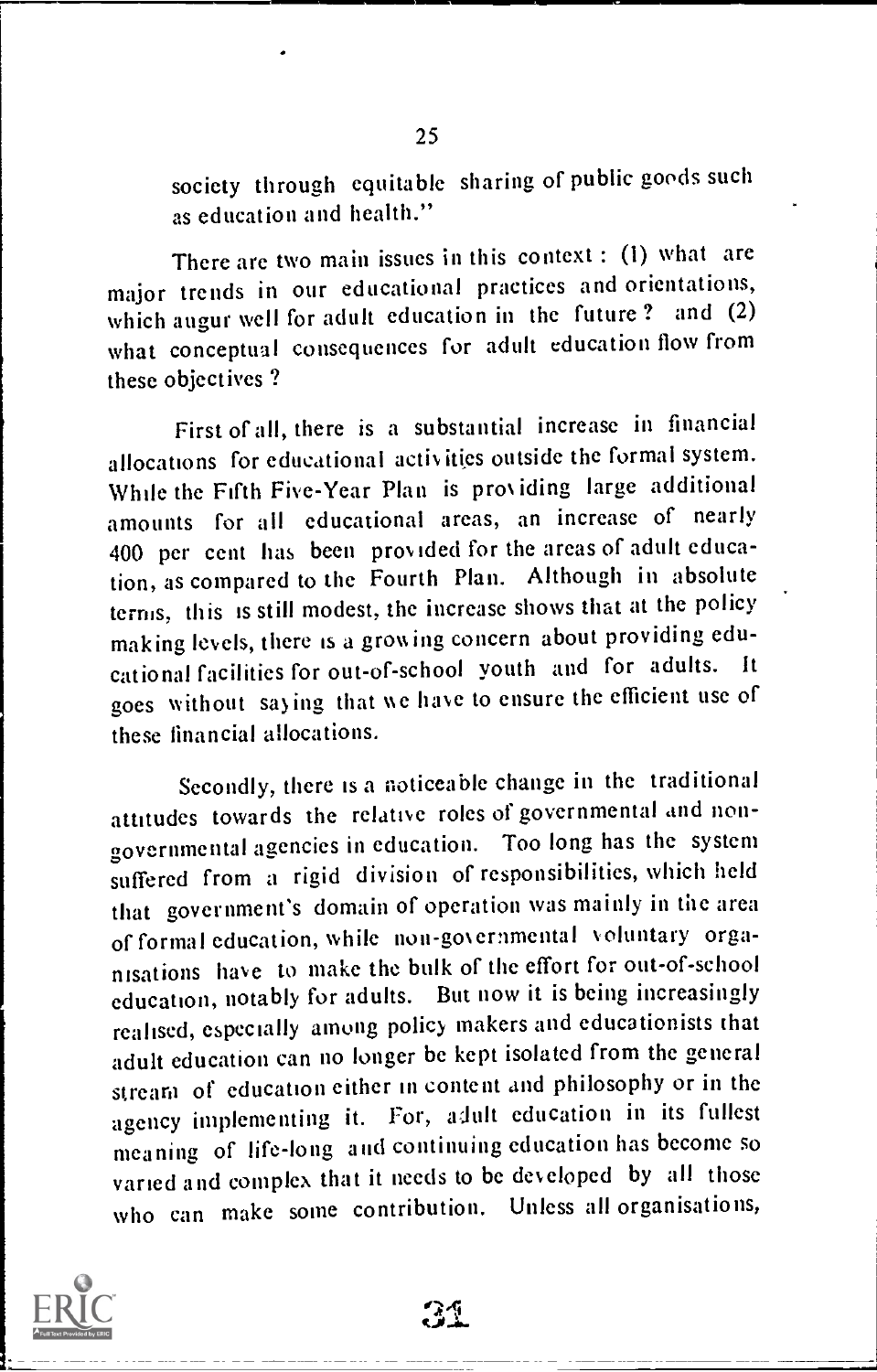society through equitable sharing of public goods such as education and health."

There are two main issues in this context : (1) what are major trends in our educational practices and orientations, which augur well for adult education in the future ? and (2) what conceptual consequences for adult education flow from these objectives ?

First of all, there is a substantial increase in financial allocations for educational activities outside the formal system. While the Fifth Five-Year Plan is providing large additional amounts for all educational areas, an increase of nearly 400 per cent has been provided for the areas of adult education, as compared to the Fourth Plan. Although in absolute terms, this is still modest, the increase shows that at the policy making levels, there is a growing concern about providing educational facilities for out-of-school youth and for adults. It goes without saying that we have to ensure the efficient use of these financial allocations.

Secondly, there is a noticeable change in the traditional attitudes towards the relative roles of governmental and nongovernmental agencies in education. Too long has the system suffered from a rigid division of responsibilities, which held that government's domain of operation was mainly in the area of formal education, while non-governmental Voluntary organisations have to make the bulk of the effort for out-of-school education, notably for adults. But now it is being increasingly realised, especially among policy makers and educationists that adult education can no longer be kept isolated from the general stream of education either in content and philosophy or in the agency implementing it. For, adult education in its fullest meaning of life-long and continuing education has become so varied and complex that it needs to be developed by all those who can make some contribution. Unless all organisations,



34.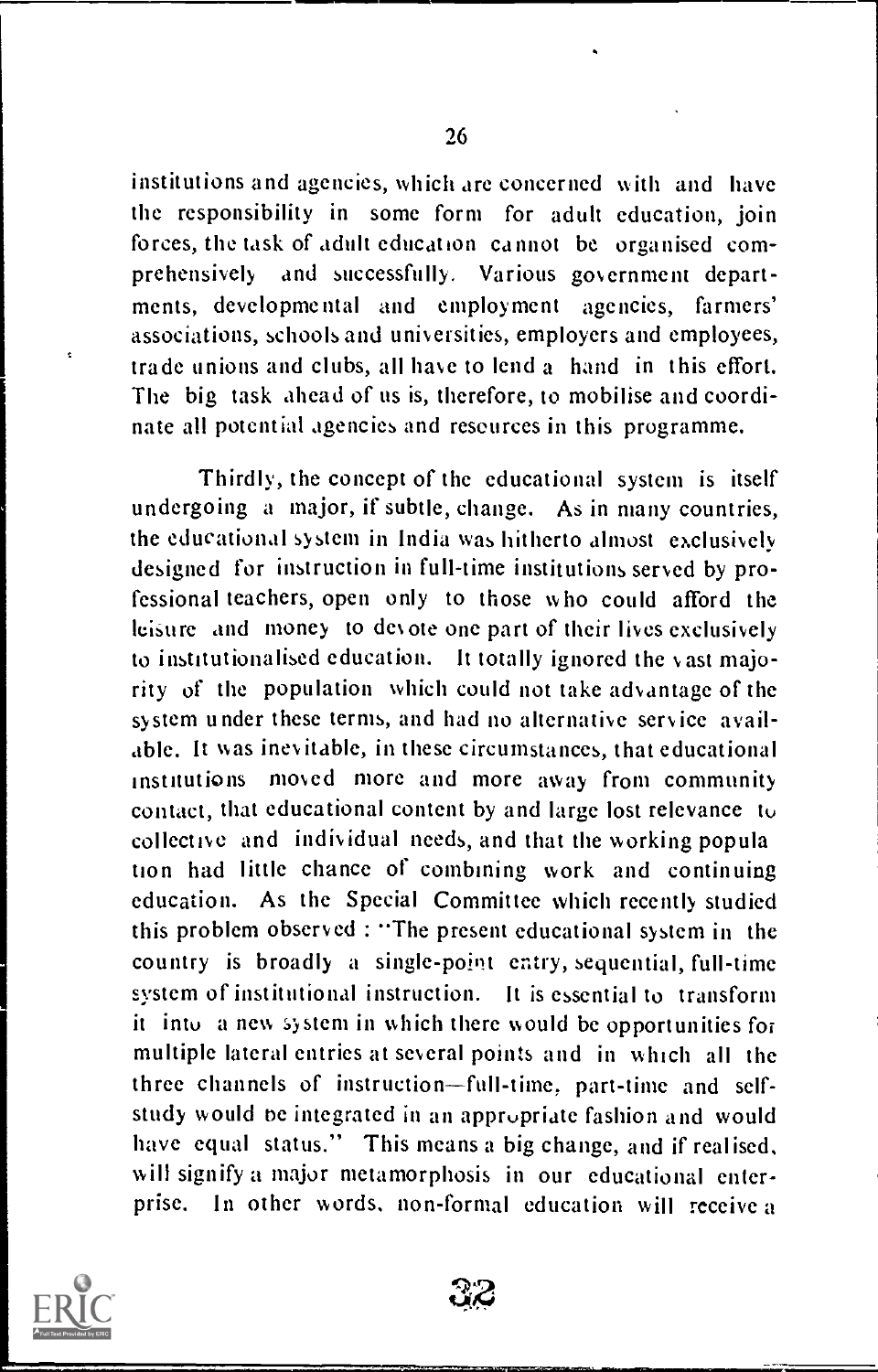institutions and agencies, which are concerned with and have the responsibility in some form for adult education, join forces, the task of adult education cannot be organised comprehensively and successfully. Various government departments, developmental and employment agencies, farmers' associations, schools and universities, employers and employees, trade unions and clubs, all have to lend a hand in this effort. The big task ahead of us is, therefore, to mobilise and coordinate all potential agencies and resources in this programme.

Thirdly, the concept of the educational system is itself undergoing a major, if subtle, change. As in many countries, the educational system in India was hitherto almost exclusively designed for instruction in full-time institutions served by professional teachers, open only to those who could afford the leisure and money to devote one part of their lives exclusively to institutionalised education. It totally ignored the vast majority of the population which could not take advantage of the system under these terms, and had no alternative service available. It was inevitable, in these circumstances, that educational institutions moved more and more away from community contact, that educational content by and large lost relevance to collective and individual needs, and that the working popula tion had little chance of combining work and continuing education. As the Special Committee which recently studied this problem observed : "The present educational system in the country is broadly a single-point entry, sequential, full-time system of institutional instruction. It is essential to transform it into a new system in which there would be opportunities for multiple lateral entries at several points and in which all the three channels of instruction-full-time, part-time and selfstudy would be integrated in an appropriate fashion and would have equal status." This means a big change, and if realised, will signify a major metamorphosis in our educational enterprise. In other words, non-formal education will receive a

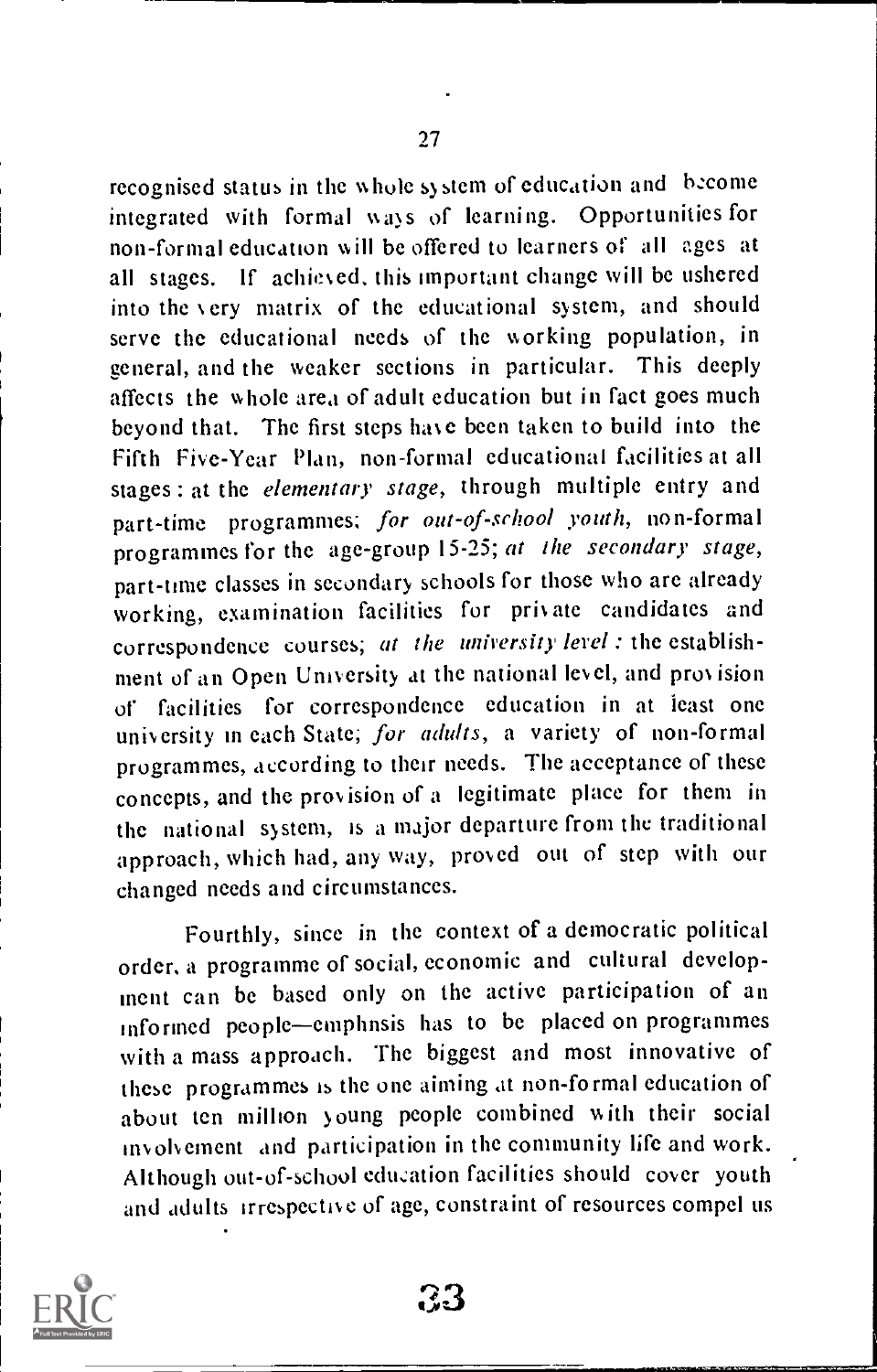recognised status in the whole system of education and become integrated with formal ways of learning. Opportunities for non-formal education will be offered to learners of all ages at all stages. if achiesed, this important change will be ushered into the very matrix of the educational system, and should serve the educational needs of the working population, in general, and the weaker sections in particular. This deeply affects the whole area of adult education but in fact goes much beyond that. The first steps have been taken to build into the Fifth Five-Year Plan, non-formal educational facilities at all stages : at the elementary stage, through multiple entry and part-time programmes; for out-of-school youth, non-formal programmes for the age-group 15-25; at the secondary stage, part-time classes in secondary schools for those who are already working, examination facilities for private candidates and correspondence courses; at the university lerel : the establishment of an Open University at the national level, and pros ision of facilities for correspondence education in at least one university in each State; for adults, a variety of non-formal programmes, according to their needs. The acceptance of these concepts, and the provision of a legitimate place for them in the national system, is a major departure from the traditional approach, which had, any way, proved out of step with our changed needs and circumstances.

Fourthly, since in the context of a democratic political order, a programme of social, economic and cultural development can be based only on the active participation of an informed people-emphnsis has to be placed on programmes with a mass approach. The biggest and most innovative of these programmes Is the one aiming at non-formal education of about ten million young people combined with their social involvement and participation in the community life and work. Although out-of-school education facilities should cover youth and adults irrespective of age, constraint of resources compel us



 $33-$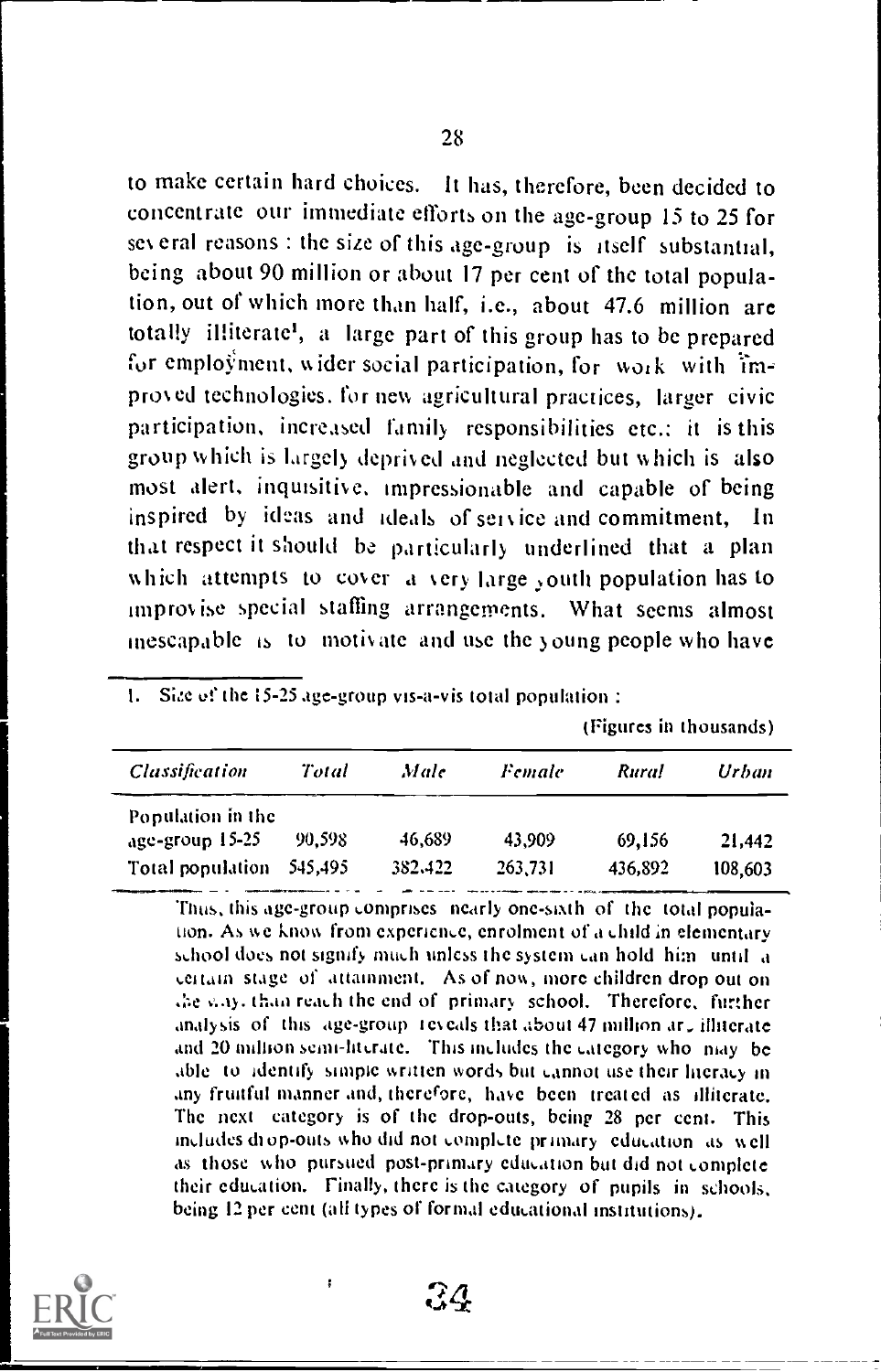to make certain hard choices. It has, therefore, been decided to concentrate our immediate efforts on the age-group 15 to 25 for several reasons : the size of this age-group is itself substantial, being about 90 million or about 17 per cent of the total population, out of which more than half, i.e., about 47.6 million are totally illiterate', a large part of this group has to be prepared for employment, wider social participation, for work with  $\lim_{n \to \infty}$ proved technologies. for new agricultural practices, larger civic participation, increased family responsibilities etc.: it is this group which is largely. deprived and neglected but which is also most alert, inquisitive. impressionable and capable of being inspired by ideas and ideals of service and commitment, that respect it should be particularly underlined that a plan which attempts to cover a very large youth population has to improvise special staffing arrangements. What seems almost inescapable is to motivate and use the young people who have

I. Site of the 15-25 age-group vis-a-vis total population :

(Figures in thousands)

| Classification                       | Total  | Male    | Female  | Rural   | Urban   |
|--------------------------------------|--------|---------|---------|---------|---------|
| Population in the<br>age-group 15-25 | 90.598 | 46.689  | 43,909  | 69,156  | 21,442  |
| Total population 545,495             |        | 382,422 | 263.731 | 436,892 | 108,603 |

Thus, this age -group comprises nearly one-sixth of the total population. As we know from experience, enrolment of a child in elementary school does not signify much unless the system can hold him until a certain stage of attainment. As of now, more children drop out on the way, than reach the end of primary school. Therefore, further analysis of this age-group teyeals that about 47 million ar, illiterate and 20 million semi-literate. This includes the category who may be able to identify simple written words but cannot use their literacy in any fruitful manner and, therefore, have been treated as illiterate. The next category is of the drop-outs, being 28 per cent. This includes di op-outs who did not complete primary education as well as those who pursued post-primary education but did not complete their education. Finally, there is the category of pupils in schools, being 12 per cent (ali types of formal educational institutions).



 $\mathcal{R} \mathcal{A}$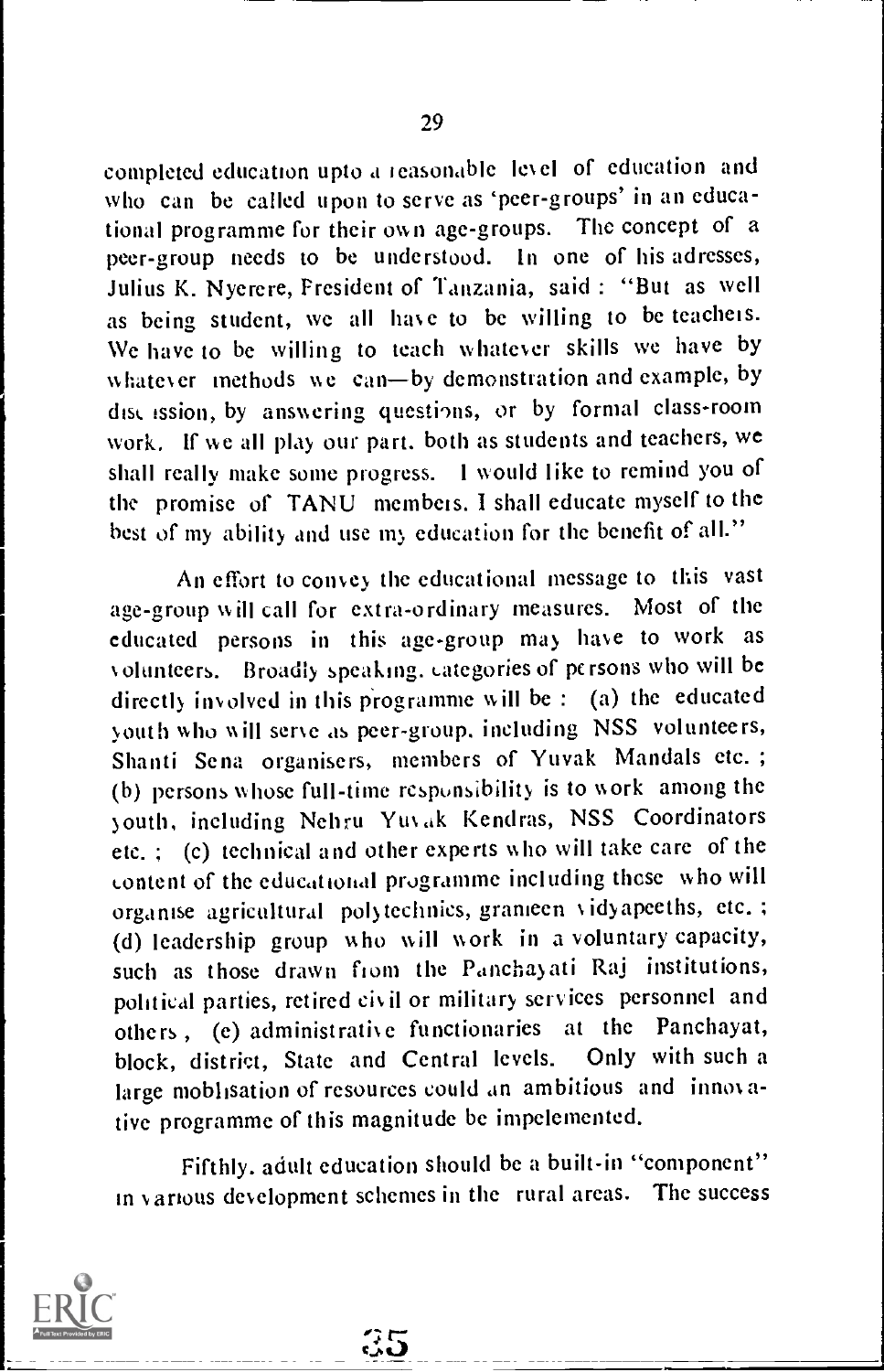completed education upto a reasonable level of education and who can be called upon to serve as 'peer-groups' in an educational programme for their own age-groups. The concept of a peer-group needs to be understood. In one of his adresses, Julius K. Nyerere, President of Tanzania, said : "But as well as being student, we all have to be willing to be teachers. We have to be willing to teach whatever skills we have by whatever methods we can-by demonstration and example, by dist ission, by answering questions, or by formal class-room work, If we all play our part. both as students and teachers, we shall really make some progress. I would like to remind you of the promise of TANU members. I shall educate myself to the best of my ability and use my education for the benefit of all."

An effort to convey the educational message to this vast age-group will call for extra-ordinary measures. Most of the educated persons in this age-group may have to work as volunteers. Broadly speaking. categories of persons who will be directly involved in this programme w ill be : (a) the educated youth who will serve as peer-group. including NSS volunteers, Shanti Sena organisers, members of Yuvak Mandals etc. ; (b) persons whose full-time respunsibility is to work among the youth, including Nehru Yuvak Kendras, NSS Coordinators etc. ; (c) technical and other experts who will take care of the Lontent of the educational programme including these who will organise agricultural polytechnics, grameen v idyapeeths, etc. ; (d) leadership group who will work in a voluntary capacity, such as those drawn from the Panchayati Raj institutions, political parties, retired civil or military services personnel and others , (e) administrative functionaries at the Panchayat, block, district, State and Central levels. Only with such a large moblisation of resources could an ambitious and innovative programme of this magnitude be impelemented.

Fifthly. adult education should be a built-in "component" in various development schemes in the rural areas. The success

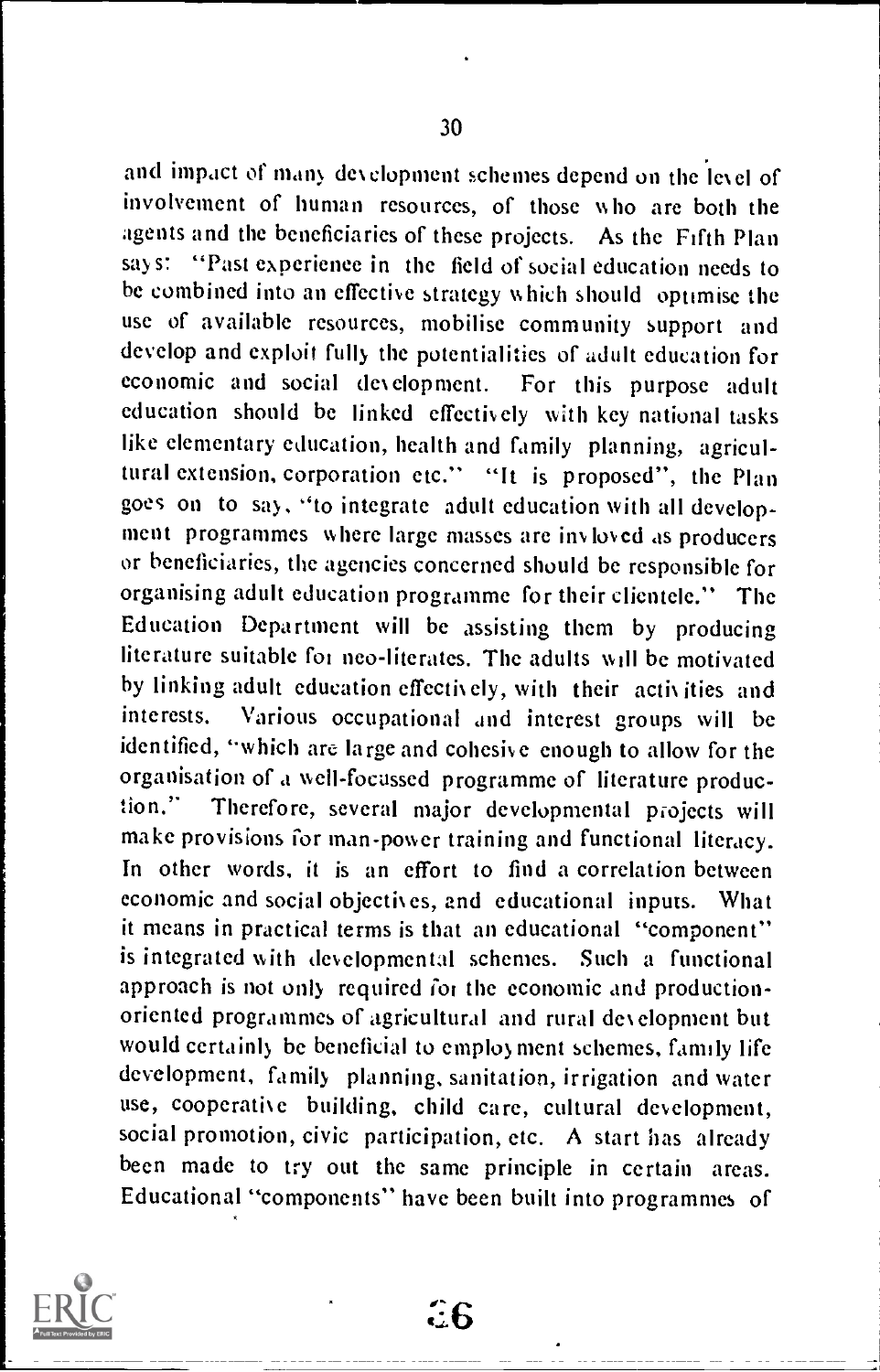and impact of many development schemes depend on the level of involvement of human resources, of those w ho are both the agents and the beneficiaries of these projects. As the Fifth Plan says: "Past experience in the field of social education needs to be combined into an effective strategy which should optimise the use of available resources, mobilise community support and develop and exploit fully the potentialities of adult education for economic and social development. For this purpose adult education should be linked effectively with key national tasks like elementary education, health and family planning, agricultural extension, corporation etc." "It is proposed", the Plan goes on to say, "to integrate adult education with all development programmes where large masses are invloved as producers or beneficiaries, the agencies concerned should be responsible for organising adult education programme for their clientele." The Education Department will be assisting them by producing literature suitable foi neo-literates. The adults will be motivated by linking adult education effectively, with their activities and interests. Various occupational and interest groups will be identified, "which are large and cohesive enough to allow for the organisation of a well-focussed programme of literature production." Therefore, several major developmental projects will make provisions for man-power training and functional literacy. In other words, it is an effort to find a correlation between economic and social objectives, and educational inputs. What it means in practical terms is that an educational "component" is integrated with developmental schemes. Such a functional approach is not only required for the economic and productionoriented programmes of agricultural and rural development but would certainly be beneficial to employment schemes, family life development, family planning, sanitation, irrigation and water use, cooperative building, child care, cultural development, social promotion, civic participation, etc. A start has already been made to try out the same principle in certain areas. Educational "components" have been built into programmes of



7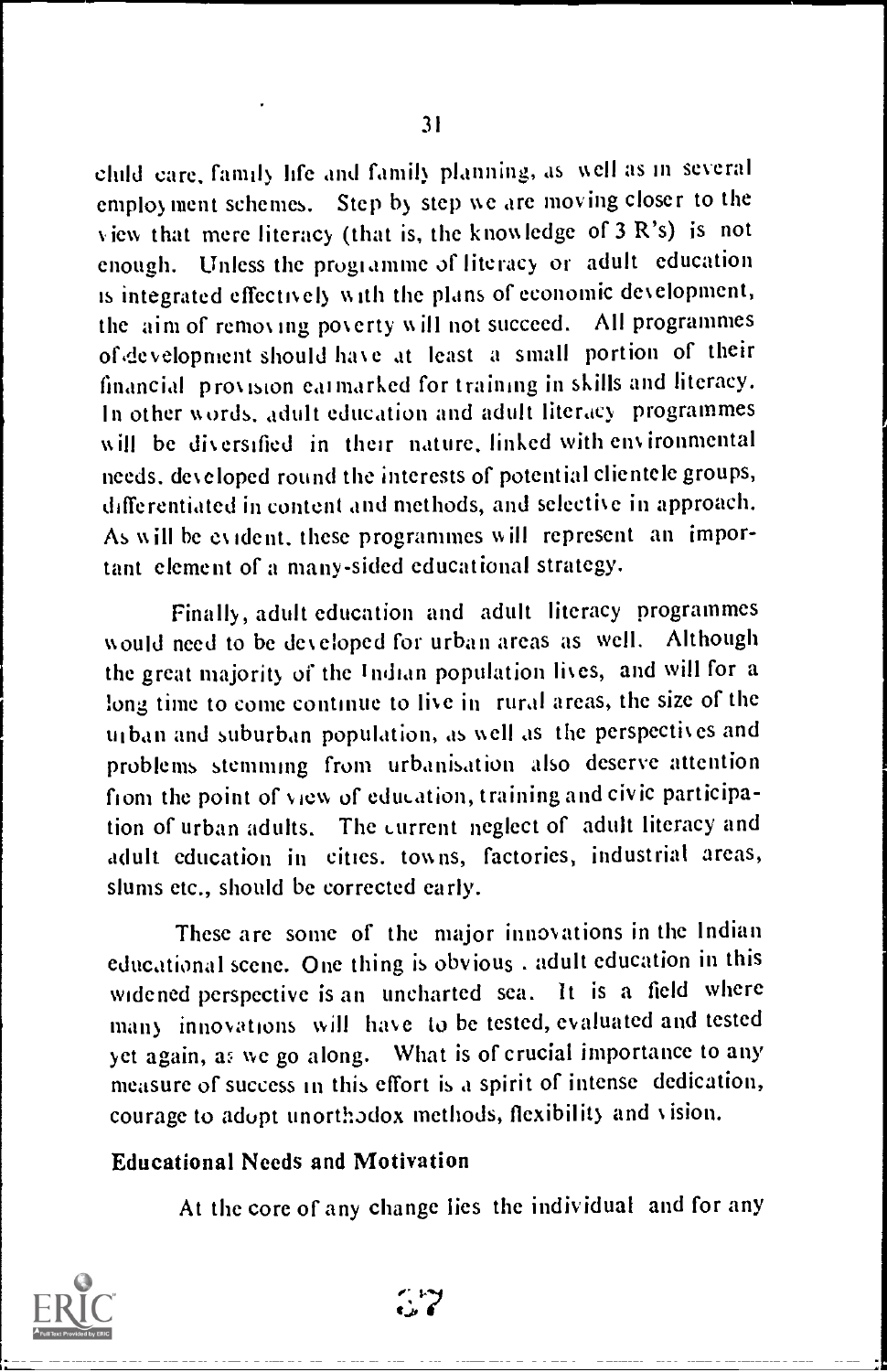child care, family life and family planning, as well as in several employ ment schemes. Step by step we are moving closer to the view that mere literacy (that is, the knowledge of 3 R's) is not enough. Unless the programme of literacy or adult education is integrated effectively w ith the plans of economic deselopment, the aim of remos mg poserty w ill not succeed. All programmes of development should have at least a small portion of their financial pros ision cal marked for training in skills and literacy. In other words, adult education and adult literacy programmes will be diversified in their nature, linked with environmental needs, developed round the interests of potential clientele groups, differentiated in content and methods, and selective in approach. As w ill he es ident, these programmes will represent an important element of a many-sided educational strategy.

Finally, adult education and adult literacy programmes would need to be developed for urban areas as well. Although the great majority of the Indian population lives, and will for a long time to come continue to live in rural areas, the size of the urban and suburban population, as well as the perspectives and problems stemming from urbanisation also deserve attention from the point of view of education, training and civic participation of urban adults. The current neglect of adult literacy and adult education in cities. towns, factories, industrial areas, slums etc., should be corrected early.

These are some of the major innovations in the Indian educational scene. One thing is obvious . adult education in this widened perspective is an uncharted sea. It is a field where many innovations will have to be tested, evaluated and tested yet again, a; we go along. What is of crucial importance to any measure of success in this effort is a spirit of intense dedication, courage to adopt unorthodox methods, flexibility and vision.

#### Educational Needs and Motivation

At the core of any change lies the individual and for any



ea. Ir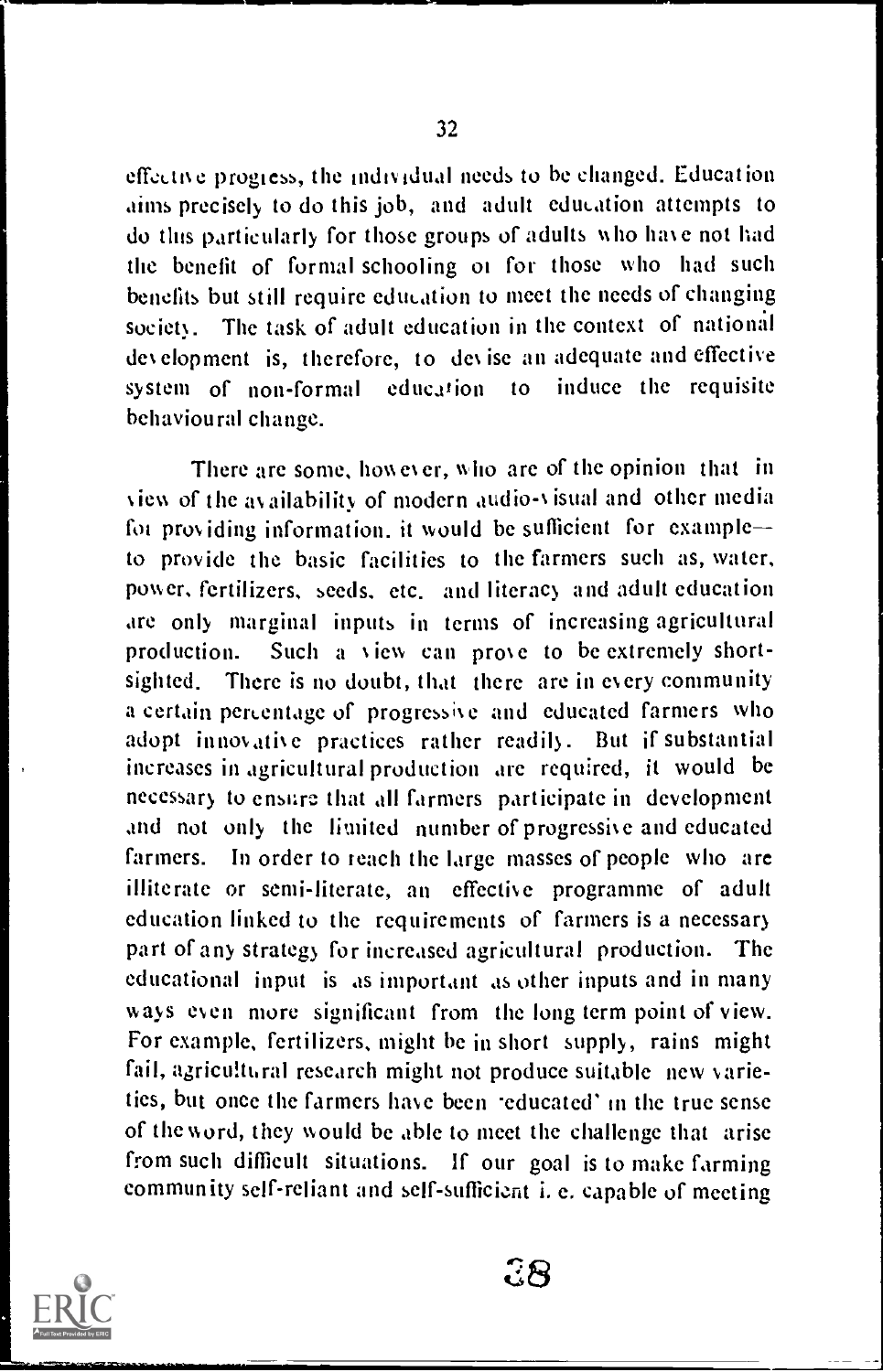effective progress, the individual needs to be changed. Education aims precisely to do this job, and adult education attempts to do this particularly for those groups of adults who have not had the benefit of formal schooling 01 for those who had such benefits but still require education to meet the needs of changing society. The task of adult education in the context of national des elopment is, therefore, to des ise an adequate and effective system of non-formal education to induce the requisite behavioural change.

There are some, how es er, who are of the opinion that in view of the availability of modern audio-visual and other media foi pros iding information. it would be sufficient for example to provide the basic facilities to the farmers such as, water, power, fertilizers, seeds. etc. and literacy and adult education are only marginal inputs in terms of increasing agricultural production. Such a view can prose to be extremely shortsighted. There is no doubt, that there are in every community a certain percentage of progressive and educated farmers who adopt innovatise practices rather readily. But if substantial increases in agricultural production are required, it would be necessary to ensure that all farmers participate in development and not only the limited number of progressise and educated farmers. In order to reach the large masses of people who are illiterate or semi-literate, an effective programme of adult education linked to the requirements of farmers is a necessary part of any strategy for increased agricultural production. The educational input is as important as other inputs and in many ways even more significant from the long term point of view. For example, fertilizers, might be in short supply, rains might fail, agricultural research might not produce suitable new varieties, but once the farmers have been educated' in the true sense of the word, they would be able to meet the challenge that arise from such difficult situations. If our goal is to make farming community self-reliant and self-sufficient i. e. capable of meeting



ЗR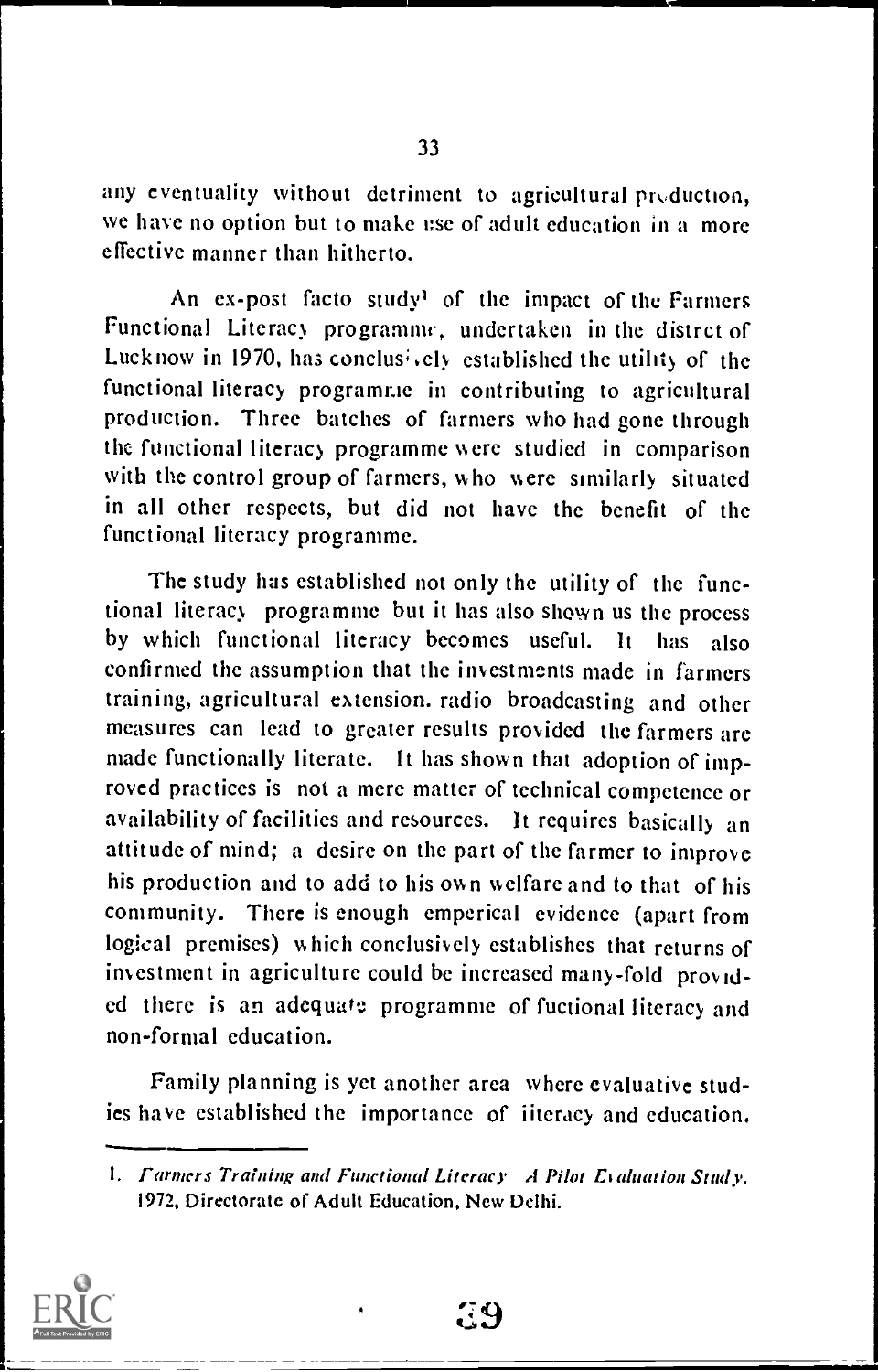any eventuality without detriment to agricultural production, we have no option but to make use of adult education in a more effective manner than hitherto.

An ex-post facto study' of the impact of the Farmers Functional Literacy programme, undertaken in the distrct of Lucknow in 1970, has conclus<sup> $\lambda$ </sup> ely established the utility of the functional literacy programme in contributing to agricultural production. Three batches of farmers who had gone through the functional literacy programme were studied in comparison with the control group of farmers, who were similarly situated in all other respects, but did not have the benefit of the functional literacy programme.

The study has established not only the utility of the functional literacy programme but it has also shown us the process by which functional literacy becomes useful. It has also confirmed the assumption that the investments made in farmers training, agricultural extension. radio broadcasting and other measures can lead to greater results provided the farmers are made functionally literate. It has shown that adoption of improved practices is not a mere matter of technical competence or availability of facilities and resources. It requires basically an attitude of mind; a desire on the part of the farmer to improve his production and to add to his own welfare and to that of his community. There is enough emperical evidence (apart from logical premises) which conclusively establishes that returns of investment in agriculture could be increased many-fold provided there is an adequate programme of fuctional literacy and non-formal education.

Family planning is yet another area where evaluative studies have established the importance of iiteracy and education.

<sup>1.</sup> Farmers Training and Functional Literacy A Pilot Evaluation Study. 1972, Directorate of Adult Education, New Delhi.



. य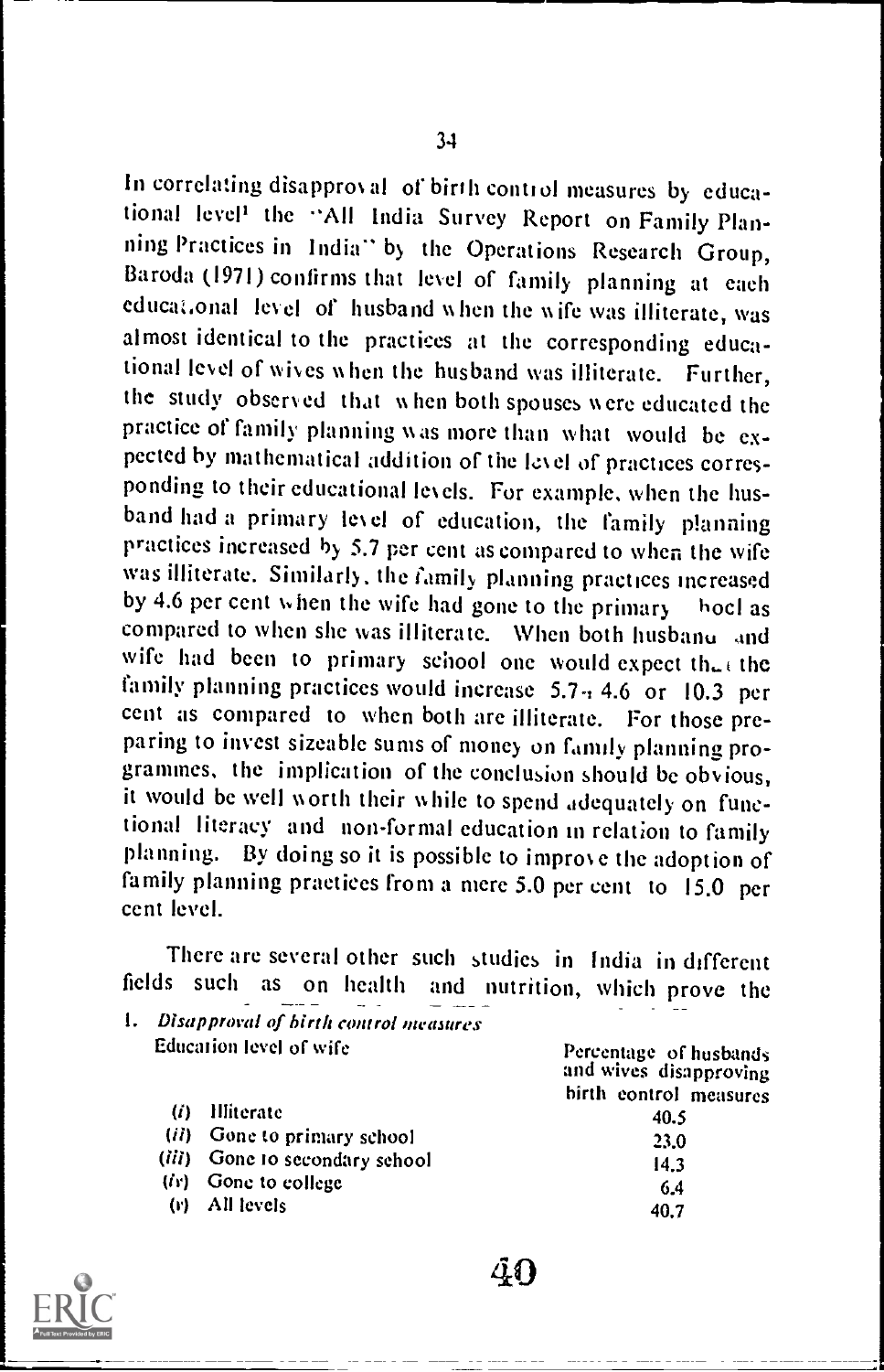In correlating disapproval of birth control measures by educational level<sup>1</sup> the "All India Survey Report on Family Planning Practices in India" by the Operations Research Group, Baroda (1971) confirms that level of family planning at each educa:.onal level of husband when the wife was illiterate, was almost identical to the practices at the corresponding educational level of wives when the husband was illiterate. Further, the study observed that w hen both spouses were educated the practice of family planning was more than what would be expected by mathematical addition of the level of practices corresponding to their educational levels. For example, when the husband had a primary level of education, the family planning practices increased by 5.7 per cent as compared to when the wife was illiterate. Similarly, the family planning practices increased by 4.6 per cent when the wife had gone to the primary hocl as compared to when she was illiterate. When both husbano and wife had been to primary school one would expect the the family planning practices would increase 5.7  $\div$  4.6 or 10.3 per cent as compared to when both are illiterate. For those preparing to invest sizeable sums of money on family planning programmes, the implication of the conclusion should be obvious, it would be well worth their while to spend adequately on functional literacy and non-formal education in relation to family planning. By doing so it is possible to improve the adoption of family planning practices from a mere 5.0 per cent to 15.0 per cent level.

There are several other such studies in India in different fields such as on health and nutrition, which prove the  $\frac{1}{1}$ . Disapproval of birth control nutritions

| Ι.<br>Disapproval of birth control measures |                                                                                                                                   |  |  |  |
|---------------------------------------------|-----------------------------------------------------------------------------------------------------------------------------------|--|--|--|
|                                             | Percentage of husbands<br>and wives disapproving                                                                                  |  |  |  |
|                                             | birth control measures                                                                                                            |  |  |  |
|                                             | 40.5                                                                                                                              |  |  |  |
|                                             | 23.0                                                                                                                              |  |  |  |
|                                             | 14.3                                                                                                                              |  |  |  |
| Gone to college                             | 6.4                                                                                                                               |  |  |  |
| All levels                                  | 40.7                                                                                                                              |  |  |  |
|                                             | <b>Education level of wife</b><br>Hliterate<br>(i)<br>(ii) Gone to primary school<br>(iii) Gone to secondary sehool<br>tir).<br>ω |  |  |  |

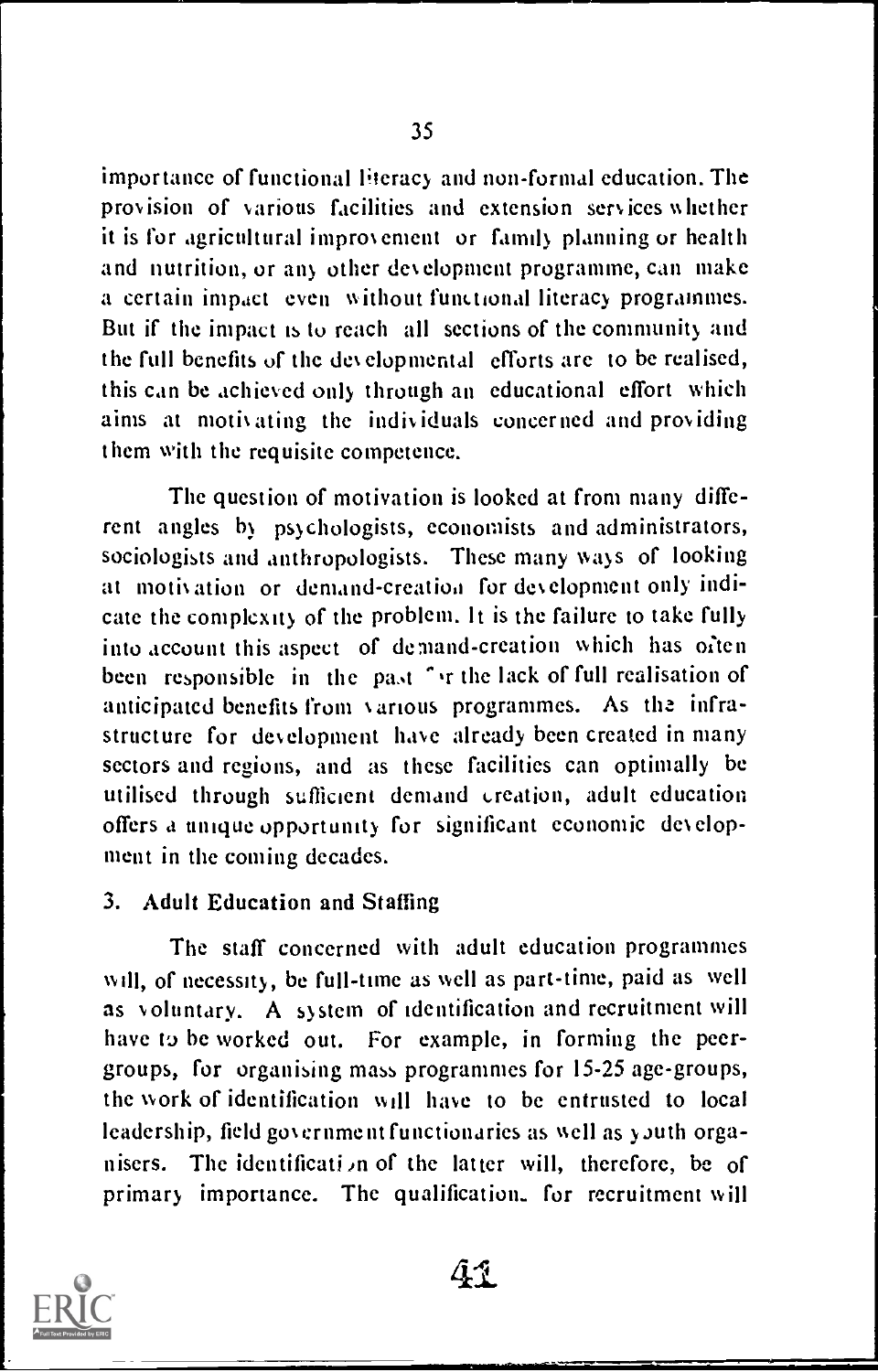importance of functional literacy and non-formal education. The provision of various facilities and extension services whether it is for agricultural improvement or family planning or health and nutrition, or any other development programme, can make a certain impact even without functional literacy programmes. But if the impact is to reach all sections of the community and the full benefits of the developmental efforts are to be realised, this can be achieved only through an educational effort which aims at motivating the individuals concerned and providing them with the requisite competence.

The question of motivation is looked at from many different angles by psychologists, economists and administrators, sociologists and anthropologists. These many ways of looking at motivation or demand-creation for development only indicate the complexity of the problem. It is the failure to take fully into account this aspect of demand-creation which has often been responsible in the past " ir the lack of full realisation of anticipated benefits from various programmes. As the infrastructure for development have already been created in many sectors and regions, and as these facilities can optimally be utilised through sufficient demand creation, adult education offers a unique opportunity for significant economic development in the coming decades.

#### 3. Adult Education and Staffing

The staff concerned with adult education programmes will, of necessity, be full-time as well as part-time, paid as well as voluntary. A system of identification and recruitment will have to be worked out. For example, in forming the peergroups, for organising mass programmes for 15-25 age-groups, the work of identification will have to be entrusted to local leadership, field government functionaries as well as youth organisers. The identification of the latter will, therefore, be of primary importance. The qualification. for recruitment will

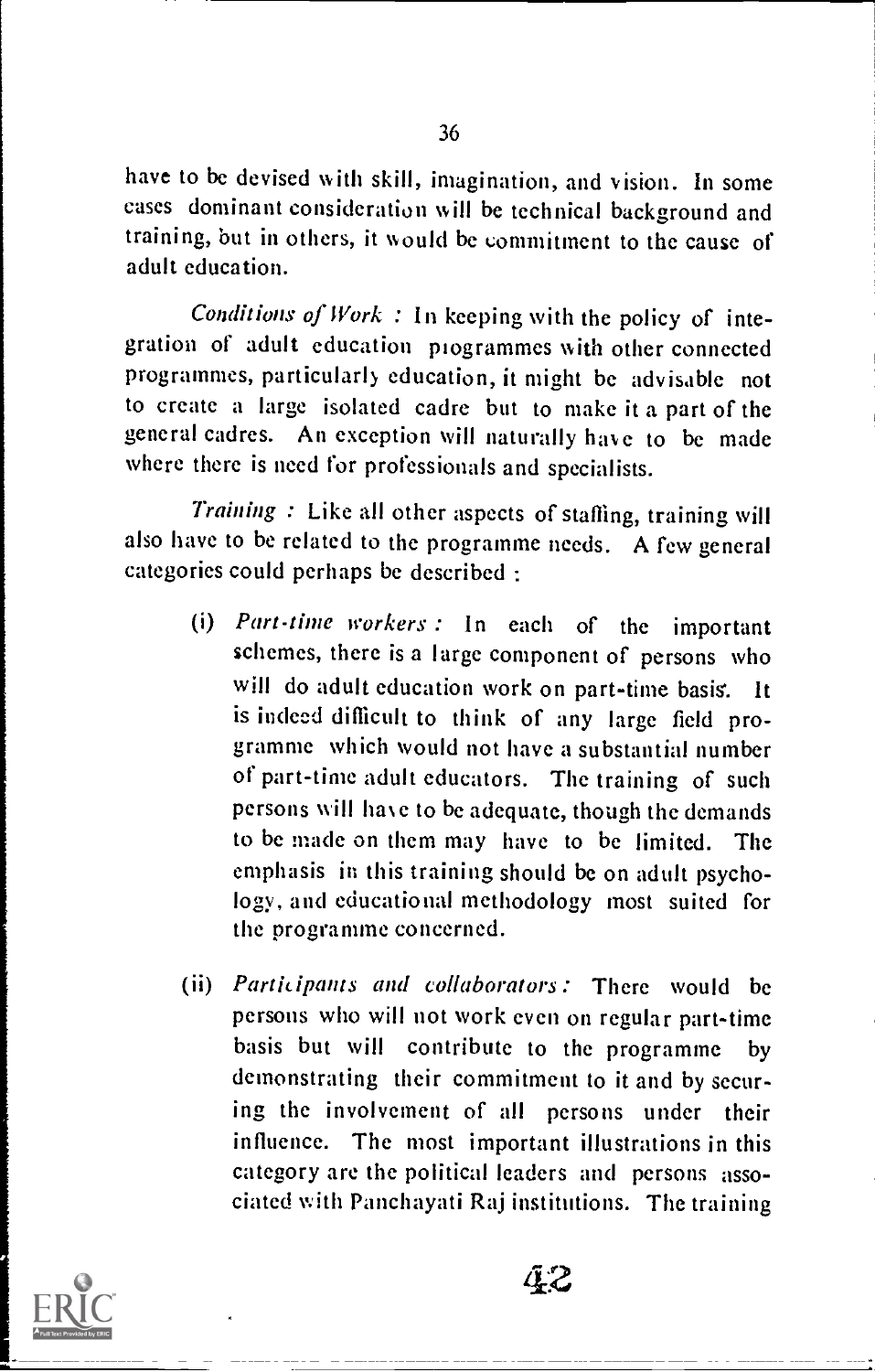have to be devised with skill, imagination, and vision. In some cases dominant consideration will be technical background and training, but in others, it would be commitment to the cause of adult education.

Conditions of Work : In keeping with the policy of integration of adult education programmes with other connected programmes, particularly education, it might be advisable not to create a large isolated cadre but to make it a part of the general cadres. An exception will naturally have to be made where there is need for professionals and specialists.

Training : Like all other aspects of staffing, training will also have to be related to the programme needs. A few general categories could perhaps be described :

- (i) Part-time workers : In each of the important schemes, there is a large component of persons who will do adult education work on part-time basis. It is indeed difficult to think of any large field programme which would not have a substantial number of part-time adult educators. The training of such persons will have to be adequate, though the demands to be made on them may have to be limited. The emphasis in this training should be on adult psychology, and educational methodology most suited for the programme concerned.
- (ii) Participants and collaborators: There would be persons who will not work even on regular part-time basis but will contribute to the programme by demonstrating their commitment to it and by securing the involvement of all persons under their influence. The most important illustrations in this category are the political leaders and persons associated with Panchayati Raj institutions. The training

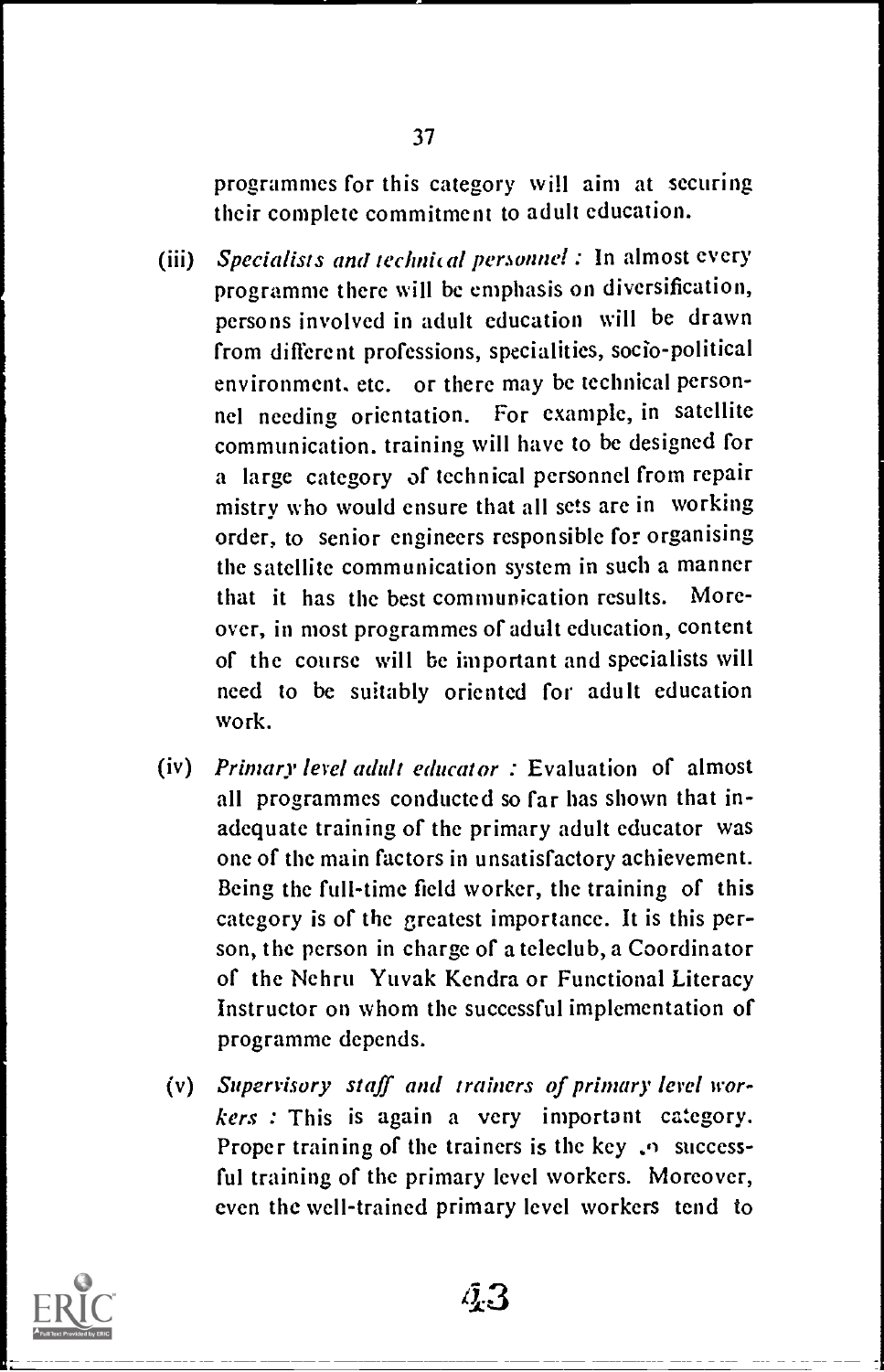programmes for this category will aim at securing their complete commitment to adult education.

- (iii) Specialists and technical personnel : In almost every programme there will be emphasis on diversification, persons involved in adult education will be drawn from different professions, specialities, socio-political environment. etc. or there may be technical personnel needing orientation. For example, in satellite communication, training will have to be designed for a large category of technical personnel from repair mistry who would ensure that all sets are in working order, to senior engineers responsible for organising the satellite communication system in such a manner that it has the best communication results. Moreover, in most programmes of adult education, content of the course will be important and specialists will need to be suitably oriented for adult education work.
- (iv) Primary level adult educator : Evaluation of almost all programmes conducted so far has shown that inadequate training of the primary adult educator was one of the main factors in unsatisfactory achievement. Being the full-time field worker, the training of this category is of the greatest importance. It is this person, the person in charge of a teleclub, a Coordinator of the Nehru Yuvak Kendra or Functional Literacy Instructor on whom the successful implementation of programme depends.
	- (v) Supervisory staff and trainers of primary level workers : This is again a very important category. Proper training of the trainers is the key  $\sqrt{2}$  successful training of the primary level workers. Moreover, even the well-trained primary level workers tend to



 $a_{3}$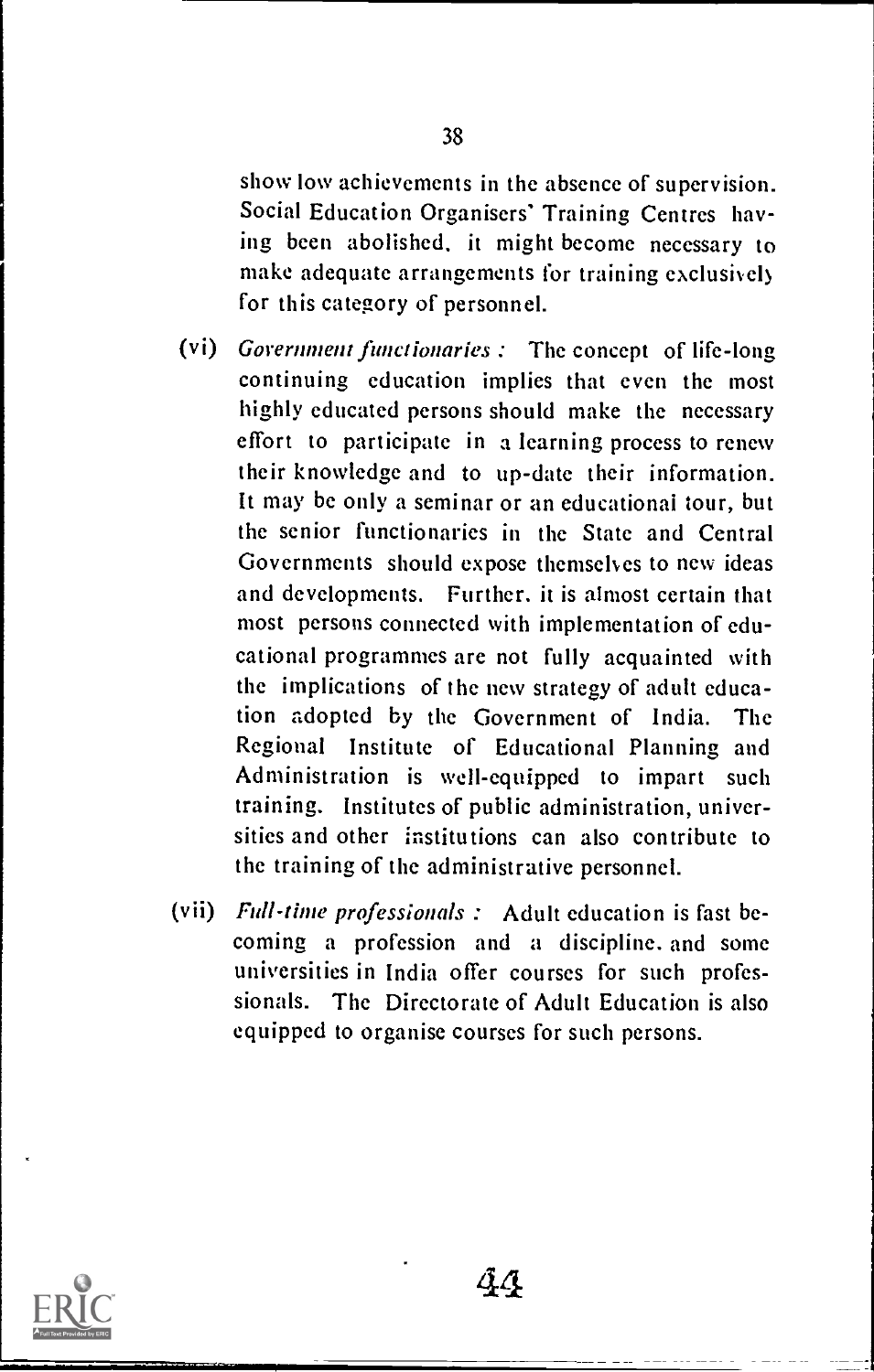show low achievements in the absence of supervision. Social Education Organisers' Training Centres having been abolished, it might become necessary to make adequate arrangements for training exclusive!) for this category of personnel.

- (vi) Government functionaries : The concept of life-long continuing education implies that even the most highly educated persons should make the necessary effort to participate in a learning process to renew their knowledge and to up-date their information. It may be only a seminar or an educational tour, but the senior functionaries in the State and Central Governments should expose themselves to new ideas and developments. Further. it is almost certain that most persons connected with implementation of educational programmes are not fully acquainted with the implications of the new strategy of adult education adopted by the Government of India. The Regional Institute of Educational Planning and Administration is well-equipped to impart such training. Institutes of public administration, universities and other institutions can also contribute to the training of the administrative personnel.
- (vii) Full-time professionals : Adult education is fast becoming a profession and a discipline, and some universities in India offer courses for such professionals. The Directorate of Adult Education is also equipped to organise courses for such persons.



 $a\alpha$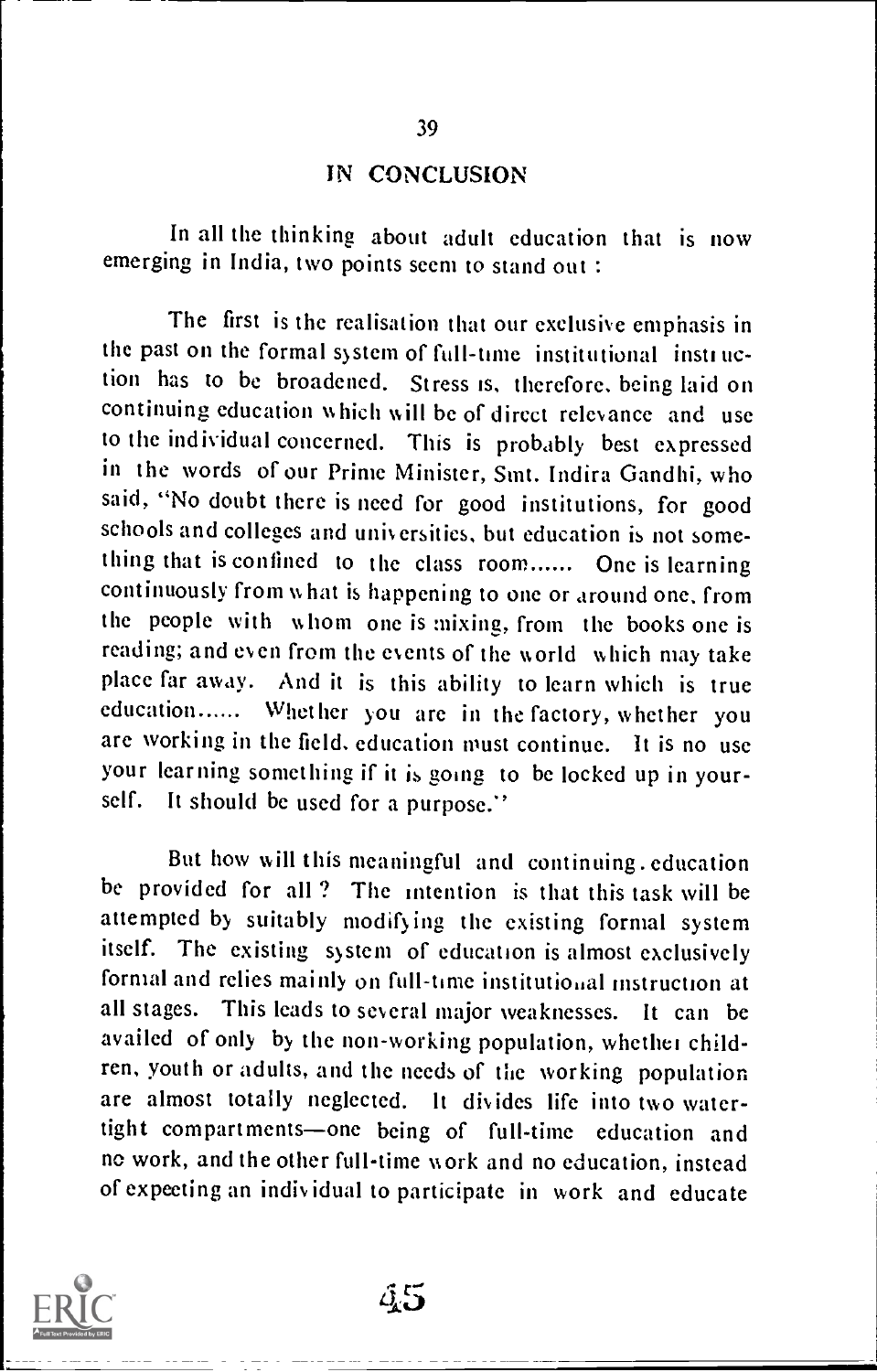#### IN CONCLUSION

39

In all the thinking about adult education that is now emerging in India, two points seem to stand out :

The first is the realisation that our exclusive emphasis in the past on the formal system of full-time institutional instruction has to be broadened. Stress is, therefore. being laid on continuing education which will be of direct relevance and use to the individual concerned. This is probably best expressed in the words of our Prime Minister, Snit. Indira Gandhi, who said, "No doubt there is need for good institutions, for good schools and colleges and universities, but education is not something that is confined to the class room...... One is learning continuously from what is happening to one or around one, from the people with whom one is mixing, from the books one is reading; and even from the events of the world which may take place far away. And it is this ability to learn which is true education...... Whether you are in the factory, whether you are working in the field, education must continue. It is no use your learning something if it is going to be locked up in yourself. It should be used for a purpose."

But how will this meaningful and continuing. education be provided for all? The intention is that this task will be attempted by suitably modifying the existing formal system itself. The existing system of education is almost exclusively formal and relies mainly on full-time institutional instruction at all stages. This leads to several major weaknesses. It can be availed of only by the non-working population, whether children, youth or adults, and the needs of the working population are almost totally neglected. It divides life into two watertight compartments-one being of full-time education and no work, and the other full-time work and no education, instead of expecting an indiv idual to participate in work and educate

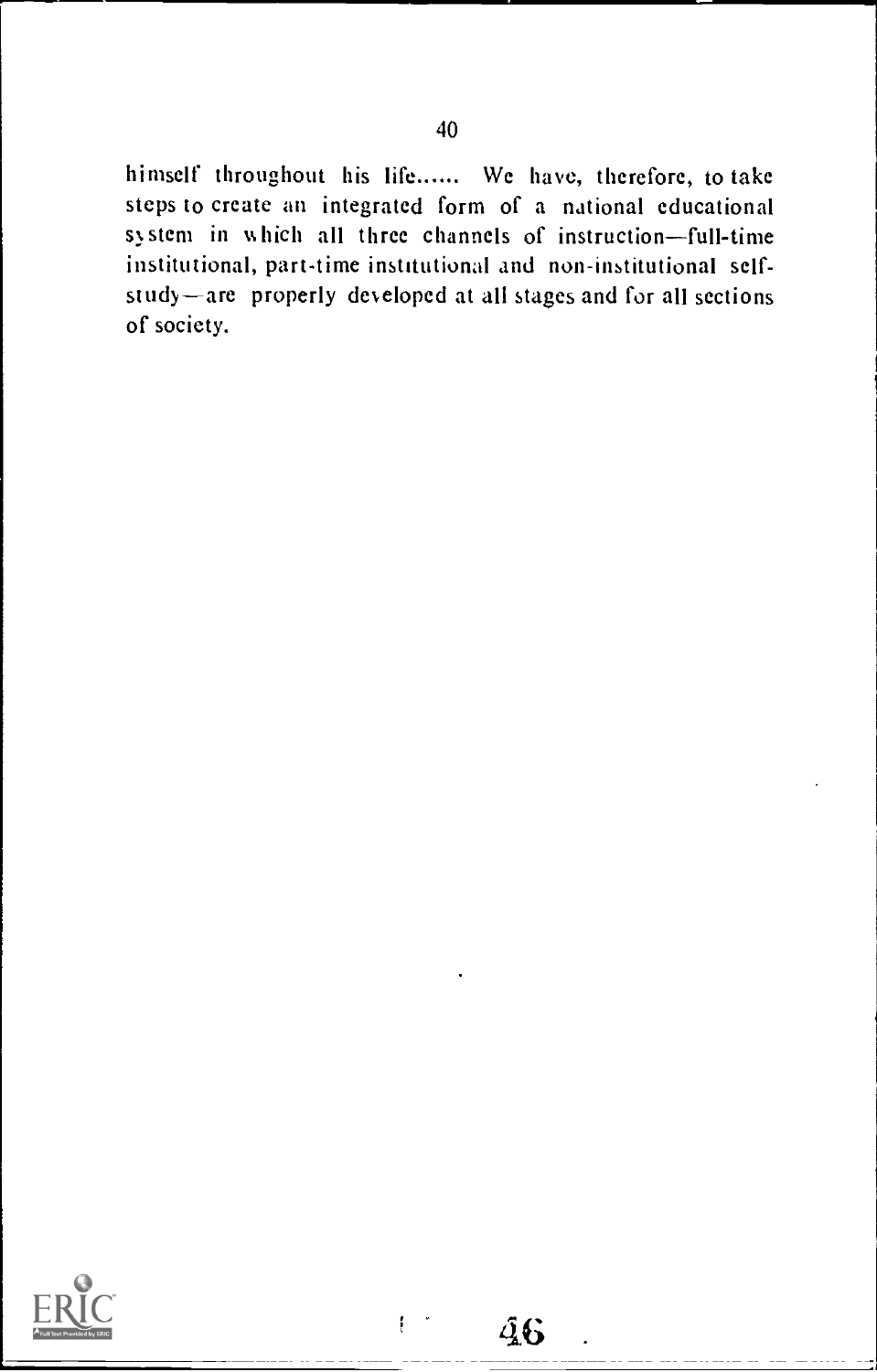himself throughout his life...... We have, therefore, to take steps to create an integrated form of a national educational system in which all three channels of instruction-full-time institutional, part-time institutional and non-institutional selfstudy-are properly developed at all stages and for all sections of society.

 $46$ 

t